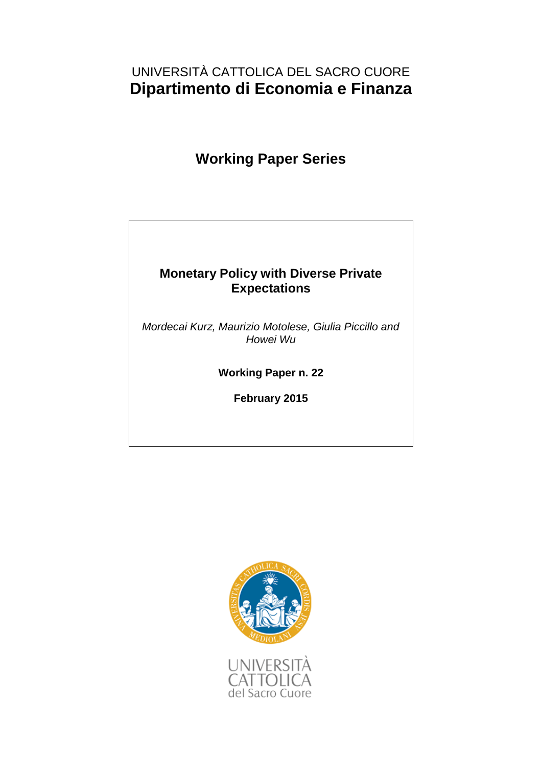# UNIVERSITÀ CATTOLICA DEL SACRO CUORE **Dipartimento di Economia e Finanza**

# **Working Paper Series**

# **Monetary Policy with Diverse Private Expectations**

*Mordecai Kurz, Maurizio Motolese, Giulia Piccillo and Howei Wu*

**Working Paper n. 22**

**February 2015**

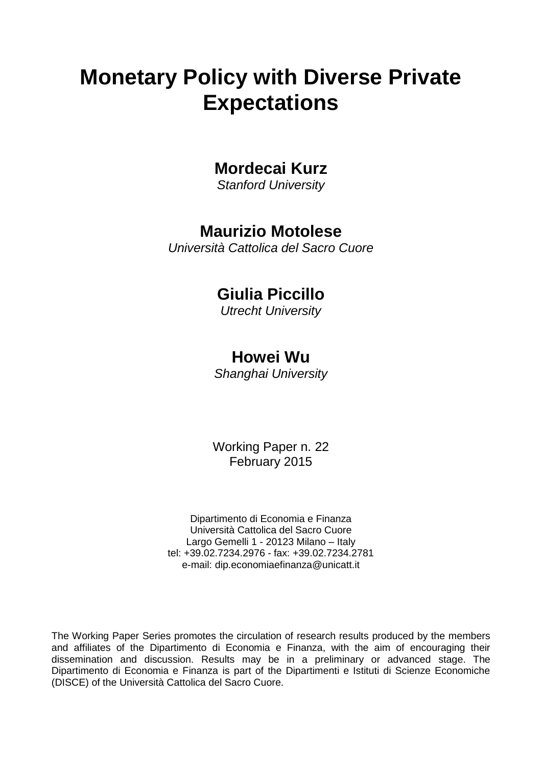# **Monetary Policy with Diverse Private Expectations**

# **Mordecai Kurz**

*Stanford University*

# **Maurizio Motolese**

*Università Cattolica del Sacro Cuore*

# **Giulia Piccillo**

*Utrecht University*

# **Howei Wu**

*Shanghai University*

Working Paper n. 22 February 2015

Dipartimento di Economia e Finanza Università Cattolica del Sacro Cuore Largo Gemelli 1 - 20123 Milano – Italy tel: +39.02.7234.2976 - fax: +39.02.7234.2781 e-mail: dip.economiaefinanza@unicatt.it

The Working Paper Series promotes the circulation of research results produced by the members and affiliates of the Dipartimento di Economia e Finanza, with the aim of encouraging their dissemination and discussion. Results may be in a preliminary or advanced stage. The Dipartimento di Economia e Finanza is part of the Dipartimenti e Istituti di Scienze Economiche (DISCE) of the Università Cattolica del Sacro Cuore.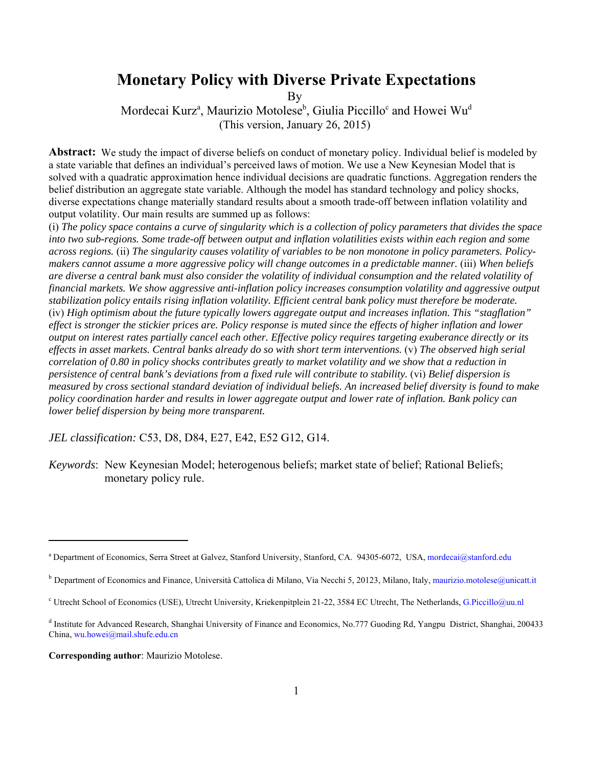# **Monetary Policy with Diverse Private Expectations**

By

Mordecai Kurz<sup>a</sup>, Maurizio Motolese<sup>b</sup>, Giulia Piccillo<sup>c</sup> and Howei Wu<sup>d</sup> (This version, January 26, 2015)

Abstract: We study the impact of diverse beliefs on conduct of monetary policy. Individual belief is modeled by a state variable that defines an individual's perceived laws of motion. We use a New Keynesian Model that is solved with a quadratic approximation hence individual decisions are quadratic functions. Aggregation renders the belief distribution an aggregate state variable. Although the model has standard technology and policy shocks, diverse expectations change materially standard results about a smooth trade-off between inflation volatility and output volatility. Our main results are summed up as follows:

(i) *The policy space contains a curve of singularity which is a collection of policy parameters that divides the space into two sub-regions. Some trade-off between output and inflation volatilities exists within each region and some across regions.* (ii) *The singularity causes volatility of variables to be non monotone in policy parameters. Policymakers cannot assume a more aggressive policy will change outcomes in a predictable manner.* (iii) *When beliefs are diverse a central bank must also consider the volatility of individual consumption and the related volatility of financial markets. We show aggressive anti-inflation policy increases consumption volatility and aggressive output stabilization policy entails rising inflation volatility. Efficient central bank policy must therefore be moderate.*  (iv) *High optimism about the future typically lowers aggregate output and increases inflation. This "stagflation" effect is stronger the stickier prices are. Policy response is muted since the effects of higher inflation and lower output on interest rates partially cancel each other. Effective policy requires targeting exuberance directly or its effects in asset markets. Central banks already do so with short term interventions.* (v) *The observed high serial correlation of 0.80 in policy shocks contributes greatly to market volatility and we show that a reduction in persistence of central bank's deviations from a fixed rule will contribute to stability.* (vi) *Belief dispersion is measured by cross sectional standard deviation of individual beliefs. An increased belief diversity is found to make policy coordination harder and results in lower aggregate output and lower rate of inflation. Bank policy can lower belief dispersion by being more transparent.*

*JEL classification:* C53, D8, D84, E27, E42, E52 G12, G14.

*Keywords*: New Keynesian Model; heterogenous beliefs; market state of belief; Rational Beliefs; monetary policy rule.

**Corresponding author**: Maurizio Motolese.

a Department of Economics, Serra Street at Galvez, Stanford University, Stanford, CA. 94305-6072, USA, mordecai@stanford.edu

<sup>&</sup>lt;sup>b</sup> Department of Economics and Finance, Università Cattolica di Milano, Via Necchi 5, 20123, Milano, Italy, maurizio.motolese@unicatt.it

<sup>&</sup>lt;sup>c</sup> Utrecht School of Economics (USE), Utrecht University, Kriekenpitplein 21-22, 3584 EC Utrecht, The Netherlands, G.Piccillo@uu.nl

<sup>&</sup>lt;sup>d</sup> Institute for Advanced Research, Shanghai University of Finance and Economics, No.777 Guoding Rd, Yangpu District, Shanghai, 200433 China, wu.howei@mail.shufe.edu.cn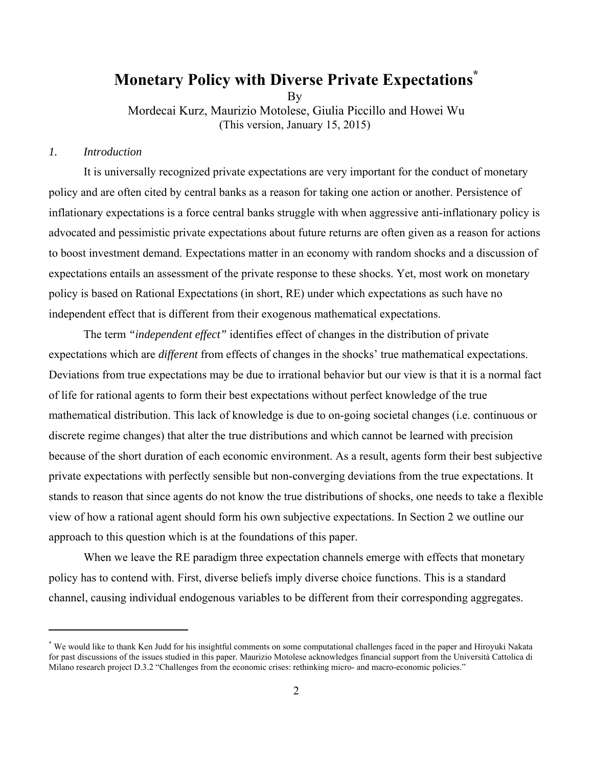# **Monetary Policy with Diverse Private Expectations\***

By

Mordecai Kurz, Maurizio Motolese, Giulia Piccillo and Howei Wu (This version, January 15, 2015)

#### *1. Introduction*

 It is universally recognized private expectations are very important for the conduct of monetary policy and are often cited by central banks as a reason for taking one action or another. Persistence of inflationary expectations is a force central banks struggle with when aggressive anti-inflationary policy is advocated and pessimistic private expectations about future returns are often given as a reason for actions to boost investment demand. Expectations matter in an economy with random shocks and a discussion of expectations entails an assessment of the private response to these shocks. Yet, most work on monetary policy is based on Rational Expectations (in short, RE) under which expectations as such have no independent effect that is different from their exogenous mathematical expectations.

The term *"independent effect"* identifies effect of changes in the distribution of private expectations which are *different* from effects of changes in the shocks' true mathematical expectations. Deviations from true expectations may be due to irrational behavior but our view is that it is a normal fact of life for rational agents to form their best expectations without perfect knowledge of the true mathematical distribution. This lack of knowledge is due to on-going societal changes (i.e. continuous or discrete regime changes) that alter the true distributions and which cannot be learned with precision because of the short duration of each economic environment. As a result, agents form their best subjective private expectations with perfectly sensible but non-converging deviations from the true expectations. It stands to reason that since agents do not know the true distributions of shocks, one needs to take a flexible view of how a rational agent should form his own subjective expectations. In Section 2 we outline our approach to this question which is at the foundations of this paper.

When we leave the RE paradigm three expectation channels emerge with effects that monetary policy has to contend with. First, diverse beliefs imply diverse choice functions. This is a standard channel, causing individual endogenous variables to be different from their corresponding aggregates.

<sup>\*</sup> We would like to thank Ken Judd for his insightful comments on some computational challenges faced in the paper and Hiroyuki Nakata for past discussions of the issues studied in this paper. Maurizio Motolese acknowledges financial support from the Università Cattolica di Milano research project D.3.2 "Challenges from the economic crises: rethinking micro- and macro-economic policies."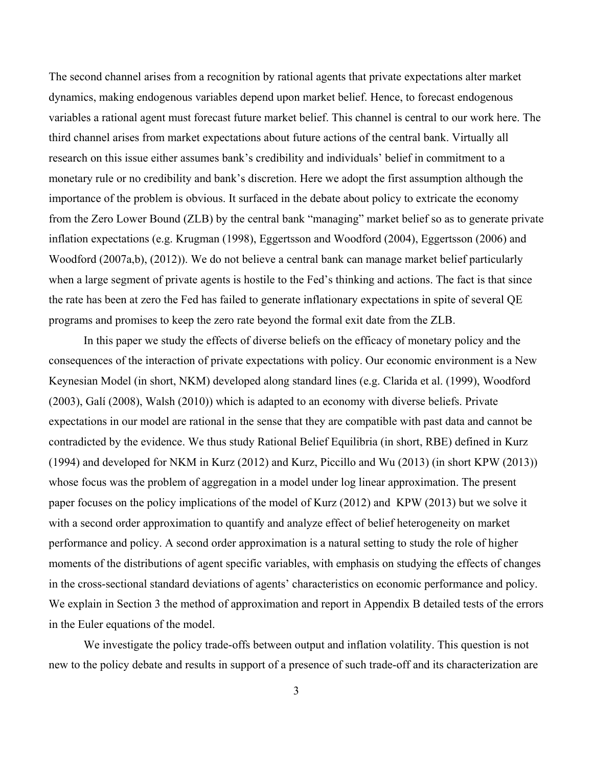The second channel arises from a recognition by rational agents that private expectations alter market dynamics, making endogenous variables depend upon market belief. Hence, to forecast endogenous variables a rational agent must forecast future market belief. This channel is central to our work here. The third channel arises from market expectations about future actions of the central bank. Virtually all research on this issue either assumes bank's credibility and individuals' belief in commitment to a monetary rule or no credibility and bank's discretion. Here we adopt the first assumption although the importance of the problem is obvious. It surfaced in the debate about policy to extricate the economy from the Zero Lower Bound (ZLB) by the central bank "managing" market belief so as to generate private inflation expectations (e.g. Krugman (1998), Eggertsson and Woodford (2004), Eggertsson (2006) and Woodford (2007a,b), (2012)). We do not believe a central bank can manage market belief particularly when a large segment of private agents is hostile to the Fed's thinking and actions. The fact is that since the rate has been at zero the Fed has failed to generate inflationary expectations in spite of several QE programs and promises to keep the zero rate beyond the formal exit date from the ZLB.

In this paper we study the effects of diverse beliefs on the efficacy of monetary policy and the consequences of the interaction of private expectations with policy. Our economic environment is a New Keynesian Model (in short, NKM) developed along standard lines (e.g. Clarida et al. (1999), Woodford (2003), Galí (2008), Walsh (2010)) which is adapted to an economy with diverse beliefs. Private expectations in our model are rational in the sense that they are compatible with past data and cannot be contradicted by the evidence. We thus study Rational Belief Equilibria (in short, RBE) defined in Kurz (1994) and developed for NKM in Kurz (2012) and Kurz, Piccillo and Wu (2013) (in short KPW (2013)) whose focus was the problem of aggregation in a model under log linear approximation. The present paper focuses on the policy implications of the model of Kurz (2012) and KPW (2013) but we solve it with a second order approximation to quantify and analyze effect of belief heterogeneity on market performance and policy. A second order approximation is a natural setting to study the role of higher moments of the distributions of agent specific variables, with emphasis on studying the effects of changes in the cross-sectional standard deviations of agents' characteristics on economic performance and policy. We explain in Section 3 the method of approximation and report in Appendix B detailed tests of the errors in the Euler equations of the model.

We investigate the policy trade-offs between output and inflation volatility. This question is not new to the policy debate and results in support of a presence of such trade-off and its characterization are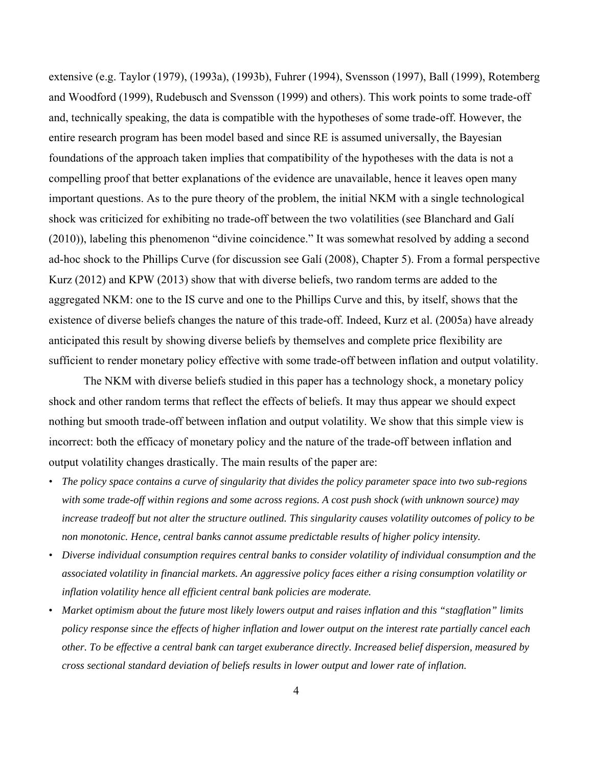extensive (e.g. Taylor (1979), (1993a), (1993b), Fuhrer (1994), Svensson (1997), Ball (1999), Rotemberg and Woodford (1999), Rudebusch and Svensson (1999) and others). This work points to some trade-off and, technically speaking, the data is compatible with the hypotheses of some trade-off. However, the entire research program has been model based and since RE is assumed universally, the Bayesian foundations of the approach taken implies that compatibility of the hypotheses with the data is not a compelling proof that better explanations of the evidence are unavailable, hence it leaves open many important questions. As to the pure theory of the problem, the initial NKM with a single technological shock was criticized for exhibiting no trade-off between the two volatilities (see Blanchard and Galí (2010)), labeling this phenomenon "divine coincidence." It was somewhat resolved by adding a second ad-hoc shock to the Phillips Curve (for discussion see Galí (2008), Chapter 5). From a formal perspective Kurz (2012) and KPW (2013) show that with diverse beliefs, two random terms are added to the aggregated NKM: one to the IS curve and one to the Phillips Curve and this, by itself, shows that the existence of diverse beliefs changes the nature of this trade-off. Indeed, Kurz et al. (2005a) have already anticipated this result by showing diverse beliefs by themselves and complete price flexibility are sufficient to render monetary policy effective with some trade-off between inflation and output volatility.

The NKM with diverse beliefs studied in this paper has a technology shock, a monetary policy shock and other random terms that reflect the effects of beliefs. It may thus appear we should expect nothing but smooth trade-off between inflation and output volatility. We show that this simple view is incorrect: both the efficacy of monetary policy and the nature of the trade-off between inflation and output volatility changes drastically. The main results of the paper are:

- *The policy space contains a curve of singularity that divides the policy parameter space into two sub-regions with some trade-off within regions and some across regions. A cost push shock (with unknown source) may increase tradeoff but not alter the structure outlined. This singularity causes volatility outcomes of policy to be non monotonic. Hence, central banks cannot assume predictable results of higher policy intensity.*
- *Diverse individual consumption requires central banks to consider volatility of individual consumption and the associated volatility in financial markets. An aggressive policy faces either a rising consumption volatility or inflation volatility hence all efficient central bank policies are moderate.*
- *Market optimism about the future most likely lowers output and raises inflation and this "stagflation" limits policy response since the effects of higher inflation and lower output on the interest rate partially cancel each other. To be effective a central bank can target exuberance directly. Increased belief dispersion, measured by cross sectional standard deviation of beliefs results in lower output and lower rate of inflation.*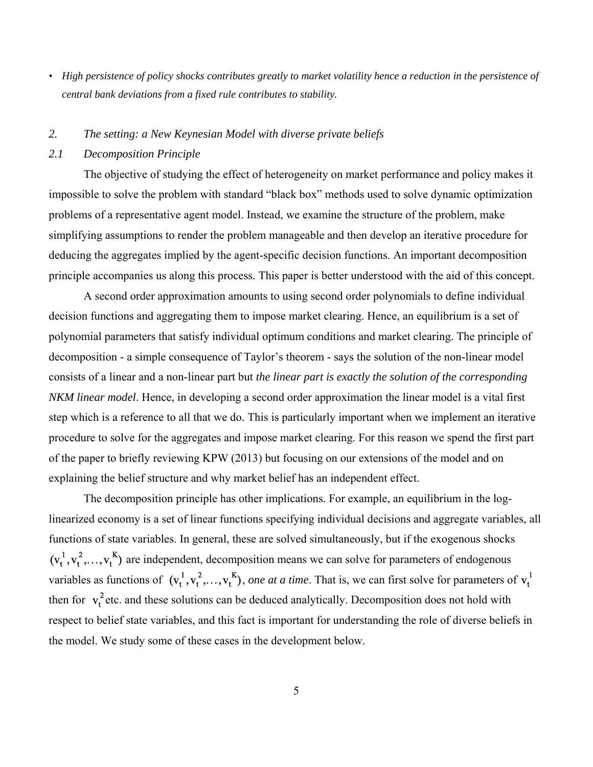*• High persistence of policy shocks contributes greatly to market volatility hence a reduction in the persistence of central bank deviations from a fixed rule contributes to stability.*

## *2. The setting: a New Keynesian Model with diverse private beliefs*

### *2.1 Decomposition Principle*

The objective of studying the effect of heterogeneity on market performance and policy makes it impossible to solve the problem with standard "black box" methods used to solve dynamic optimization problems of a representative agent model. Instead, we examine the structure of the problem, make simplifying assumptions to render the problem manageable and then develop an iterative procedure for deducing the aggregates implied by the agent-specific decision functions. An important decomposition principle accompanies us along this process. This paper is better understood with the aid of this concept.

A second order approximation amounts to using second order polynomials to define individual decision functions and aggregating them to impose market clearing. Hence, an equilibrium is a set of polynomial parameters that satisfy individual optimum conditions and market clearing. The principle of decomposition - a simple consequence of Taylor's theorem - says the solution of the non-linear model consists of a linear and a non-linear part but *the linear part is exactly the solution of the corresponding NKM linear model*. Hence, in developing a second order approximation the linear model is a vital first step which is a reference to all that we do. This is particularly important when we implement an iterative procedure to solve for the aggregates and impose market clearing. For this reason we spend the first part of the paper to briefly reviewing KPW (2013) but focusing on our extensions of the model and on explaining the belief structure and why market belief has an independent effect.

The decomposition principle has other implications. For example, an equilibrium in the loglinearized economy is a set of linear functions specifying individual decisions and aggregate variables, all functions of state variables. In general, these are solved simultaneously, but if the exogenous shocks  $(v_t^1, v_t^2, \ldots, v_t^K)$  are independent, decomposition means we can solve for parameters of endogenous variables as functions of  $(v_t^1, v_t^2, ..., v_t^K)$ , one at a time. That is, we can first solve for parameters of  $v_t^1$ then for  $v_t^2$  etc. and these solutions can be deduced analytically. Decomposition does not hold with respect to belief state variables, and this fact is important for understanding the role of diverse beliefs in the model. We study some of these cases in the development below.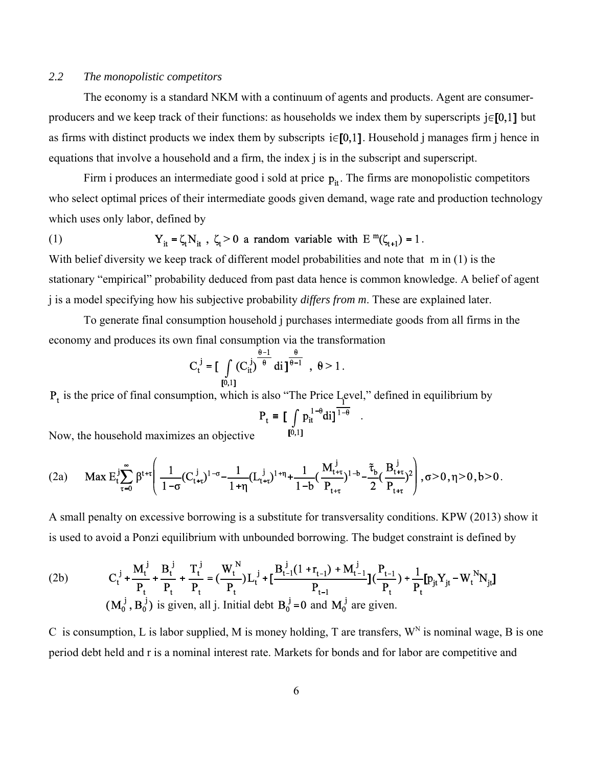### *2.2 The monopolistic competitors*

The economy is a standard NKM with a continuum of agents and products. Agent are consumerproducers and we keep track of their functions: as households we index them by superscripts  $j \in [0,1]$  but as firms with distinct products we index them by subscripts  $i \in [0,1]$ . Household j manages firm j hence in equations that involve a household and a firm, the index j is in the subscript and superscript.

Firm i produces an intermediate good i sold at price  $p_{it}$ . The firms are monopolistic competitors who select optimal prices of their intermediate goods given demand, wage rate and production technology which uses only labor, defined by

(1) 
$$
Y_{it} = \zeta_t N_{it}, \ \zeta_t > 0 \text{ a random variable with } E^{m}(\zeta_{t+1}) = 1.
$$

With belief diversity we keep track of different model probabilities and note that m in (1) is the stationary "empirical" probability deduced from past data hence is common knowledge. A belief of agent j is a model specifying how his subjective probability *differs from m*. These are explained later.

To generate final consumption household j purchases intermediate goods from all firms in the economy and produces its own final consumption via the transformation

$$
C_t^j = \left[ \int_{[0,1]} (C_{it}^j)^{\frac{\theta-1}{\theta}} di \right]^{\frac{\theta}{\theta-1}}, \ \theta > 1.
$$

 $P_t$  is the price of final consumption, which is also "The Price Level," defined in equilibrium by

Now the household maximizes an objective 
$$
P_t = \left[ \int p_{it}^{1-\theta} di \right]^{\frac{1}{1-\theta}}.
$$

Now, the household maximizes an objective

$$
(2a) \qquad Max \ E^j_t\sum_{\tau=0}^{\infty}\beta^{t+\tau}\Bigg(\frac{1}{1-\sigma}(C^{\ j}_{t+\tau})^{1-\sigma}-\frac{1}{1+\eta}(L^{\ j}_{t+\tau})^{1+\eta}+\frac{1}{1-b}(\frac{M^{\ j}_{t+\tau}}{P_{t+\tau}})^{1-b}-\frac{\tilde{\tau}_b}{2}(\frac{B^{\ j}_{t+\tau}}{P_{t+\tau}})^2\Bigg),\sigma>0, \eta>0, b>0\,.
$$

A small penalty on excessive borrowing is a substitute for transversality conditions. KPW (2013) show it is used to avoid a Ponzi equilibrium with unbounded borrowing. The budget constraint is defined by

(2b) 
$$
C_{t}^{j} + \frac{M_{t}^{j}}{P_{t}} + \frac{B_{t}^{j}}{P_{t}} + \frac{T_{t}^{j}}{P_{t}} = (\frac{W_{t}^{N}}{P_{t}})L_{t}^{j} + [\frac{B_{t-1}^{j}(1+r_{t-1}) + M_{t-1}^{j}}{P_{t-1}}](\frac{P_{t-1}}{P_{t}}) + \frac{1}{P_{t}}[p_{jt}Y_{jt} - W_{t}^{N}N_{jt}]
$$
  
( $M_{0}^{j}, B_{0}^{j}$ ) is given, all j. Initial debt  $B_{0}^{j} = 0$  and  $M_{0}^{j}$  are given.

C is consumption, L is labor supplied, M is money holding, T are transfers,  $W<sup>N</sup>$  is nominal wage. B is one period debt held and r is a nominal interest rate. Markets for bonds and for labor are competitive and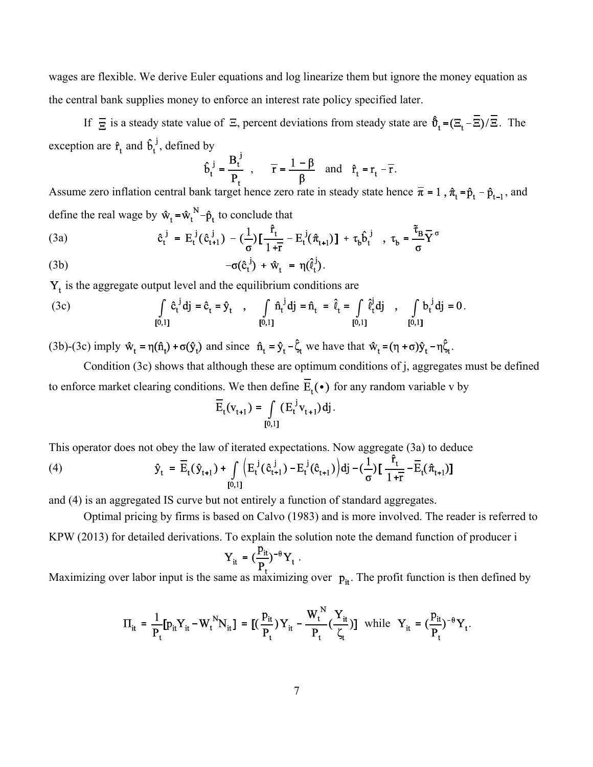wages are flexible. We derive Euler equations and log linearize them but ignore the money equation as the central bank supplies money to enforce an interest rate policy specified later.

If  $\overline{E}$  is a steady state value of  $\Xi$ , percent deviations from steady state are  $\hat{\mathfrak{b}}_t = (\Xi_t - \overline{E})/\overline{E}$ . The exception are  $\hat{\mathbf{r}}_t$  and  $\hat{\mathbf{b}}_t^j$ , defined by

$$
\hat{\mathbf{b}}_t^j = \frac{\mathbf{B}_t^j}{\mathbf{P}_t}
$$
,  $\overline{\mathbf{r}} = \frac{1-\beta}{\beta}$  and  $\hat{\mathbf{r}}_t = \mathbf{r}_t - \overline{\mathbf{r}}$ .

Assume zero inflation central bank target hence zero rate in steady state hence  $\bar{\pi} = 1$ ,  $\hat{\pi}_t = \hat{p}_t - \hat{p}_{t-1}$ , and define the real wage by  $\mathbf{\hat{w}}_t = \mathbf{\hat{w}}_t^N - \mathbf{\hat{p}}_t$  to conclude that

(3a) 
$$
\hat{c}_t^j = E_t^j(\hat{c}_{t+1}^j) - (\frac{1}{\sigma})\left[\frac{\hat{r}_t}{1+\bar{r}} - E_t^j(\hat{\pi}_{t+1})\right] + \tau_b \hat{b}_t^j \quad , \ \tau_b = \frac{\tilde{\tau}_B}{\sigma} \overline{Y}^{\sigma}
$$

(3b) 
$$
-\sigma(\hat{c}_t^j) + \hat{w}_t = \eta(\hat{l}_t^j).
$$

 $Y_t$  is the aggregate output level and the equilibrium conditions are

(3c) 
$$
\int_{[0,1]} \hat{c}_t^{\ j} d\ j = \hat{c}_t = \hat{y}_t , \quad \int_{[0,1]} \hat{n}_t^{\ j} d\ j = \hat{n}_t = \hat{\ell}_t = \int_{[0,1]} \hat{\ell}_t^j d\ j , \quad \int_{[0,1]} b_t^{\ j} d\ j = 0.
$$

(3b)-(3c) imply  $\hat{w}_t = \eta(\hat{n}_t) + \sigma(\hat{y}_t)$  and since  $\hat{n}_t = \hat{y}_t - \hat{\zeta}_t$  we have that  $\hat{w}_t = (\eta + \sigma)\hat{y}_t - \eta\hat{\zeta}_t$ .

Condition (3c) shows that although these are optimum conditions of j, aggregates must be defined to enforce market clearing conditions. We then define  $\overline{E}_t(\bullet)$  for any random variable v by

$$
\mathbf{E}_{t}(\mathbf{v}_{t+1}) = \int_{[0,1]} (\mathbf{E}_{t}^{\mathbf{j}} \mathbf{v}_{t+1}) \, \mathbf{d} \mathbf{j} \, .
$$

This operator does not obey the law of iterated expectations. Now aggregate (3a) to deduce

(4) 
$$
\hat{y}_{t} = \overline{E}_{t}(\hat{y}_{t+1}) + \int_{[0,1]} \left( E_{t}^{j}(\hat{c}_{t+1}^{j}) - E_{t}^{j}(\hat{c}_{t+1}) \right) d j - (\frac{1}{\sigma}) \left[ \frac{r_{t}}{1 + \overline{r}} - \overline{E}_{t}(\hat{\pi}_{t+1}) \right]
$$

and (4) is an aggregated IS curve but not entirely a function of standard aggregates.

Optimal pricing by firms is based on Calvo (1983) and is more involved. The reader is referred to

KPW (2013) for detailed derivations. To explain the solution note the demand function of producer i

$$
Y_{it} = \left(\frac{P_{it}}{P_t}\right)^{-\theta} Y_t.
$$

Maximizing over labor input is the same as maximizing over  $p_{it}$ . The profit function is then defined by

$$
\Pi_{it} = \frac{1}{P_t} [p_{it} Y_{it} - W_t^N N_{it}] = [(\frac{p_{it}}{P_t}) Y_{it} - \frac{W_t^N}{P_t} (\frac{Y_{it}}{\zeta_t})] \text{ while } Y_{it} = (\frac{p_{it}}{P_t})^{-\theta} Y_t.
$$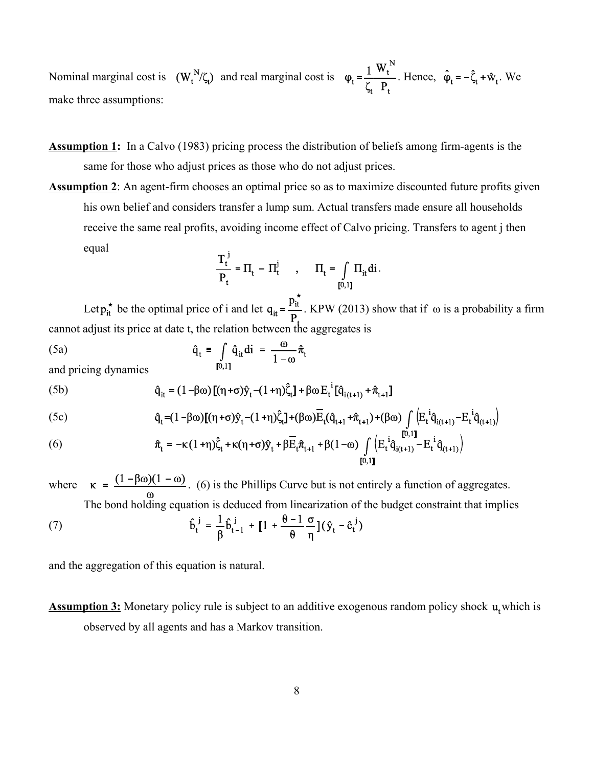Nominal marginal cost is  $(W_t^N/\zeta_t)$  and real marginal cost is  $\varphi_t = \frac{1}{\zeta} \frac{W_t^N}{P}$ . Hence,  $\hat{\varphi}_t = -\hat{\zeta}_t + \hat{w}_t$ . We make three assumptions:

- **Assumption 1:** In a Calvo (1983) pricing process the distribution of beliefs among firm-agents is the same for those who adjust prices as those who do not adjust prices.
- **Assumption 2**: An agent-firm chooses an optimal price so as to maximize discounted future profits given his own belief and considers transfer a lump sum. Actual transfers made ensure all households receive the same real profits, avoiding income effect of Calvo pricing. Transfers to agent j then equal

$$
\frac{T_t^J}{P_t} = \Pi_t - \Pi_t^j \qquad , \qquad \Pi_t = \int_{[0,1]} \Pi_{it} \, di \, .
$$

Let  $p_{it}^{\star}$  be the optimal price of i and let  $q_{it} = \frac{p_{it}}{P}$ . KPW (2013) show that if  $\omega$  is a probability a firm cannot adjust its price at date t, the relation between the aggregates is

(5a) 
$$
\hat{q}_t = \int_{[0,1]} \hat{q}_{it} di = \frac{\omega}{1-\omega} \hat{\pi}_t
$$
and pricing dynamics

and pricing dynamics

(5b) 
$$
\hat{q}_{it} = (1 - \beta \omega) \left[ (\eta + \sigma) \hat{y}_t - (1 + \eta) \hat{\zeta}_t \right] + \beta \omega E_t^i [\hat{q}_{i(t+1)} + \hat{\pi}_{t+1}]
$$

(5c) 
$$
\hat{q}_t = (1 - \beta \omega) [(\eta + \sigma) \hat{y}_t - (1 + \eta) \hat{\zeta}_t] + (\beta \omega) \overline{E}_t (\hat{q}_{t+1} + \hat{\pi}_{t+1}) + (\beta \omega) \int_{[0,1]} \left( E_t^i \hat{q}_{i(t+1)} - E_t^i \hat{q}_{(t+1)} \right)
$$

(6) 
$$
\hat{\pi}_t = -\kappa (1+\eta) \hat{\zeta}_t + \kappa (\eta + \sigma) \hat{y}_t + \beta \overline{E}_t \hat{\pi}_{t+1} + \beta (1-\omega) \int_{[0,1]} \left( E_t^i \hat{q}_{i(t+1)} - E_t^i \hat{q}_{(t+1)} \right)
$$

where  $\kappa = \frac{(1 - \beta \omega)(1 - \omega)}{\omega}$ . (6) is the Phillips Curve but is not entirely a function of aggregates. The bond holding equation is deduced from linearization of the budget constraint that implies

(7) 
$$
\hat{\mathbf{b}}_t^j = \frac{1}{\beta} \hat{\mathbf{b}}_{t-1}^j + \left[1 + \frac{\theta - 1}{\theta} \frac{\sigma}{\eta}\right] (\hat{\mathbf{y}}_t - \hat{\mathbf{c}}_t^j)
$$

and the aggregation of this equation is natural.

**Assumption 3:** Monetary policy rule is subject to an additive exogenous random policy shock  $\mathbf{u}_t$  which is observed by all agents and has a Markov transition.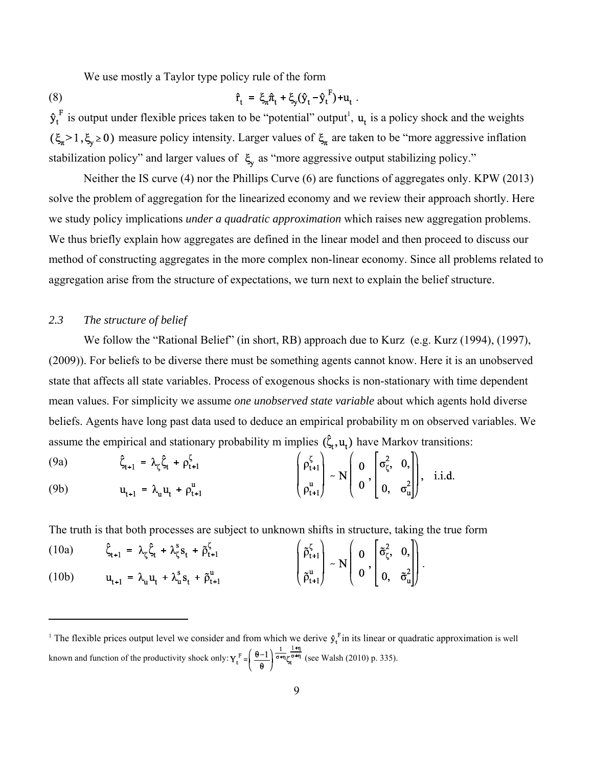We use mostly a Taylor type policy rule of the form

(8) 
$$
\hat{\mathbf{r}}_t = \xi_{\mathbf{r}} \hat{\mathbf{n}}_t + \xi_{\mathbf{y}} (\hat{\mathbf{y}}_t - \hat{\mathbf{y}}_t^{\mathrm{F}}) + \mathbf{u}_t.
$$

is output under flexible prices taken to be "potential" output<sup>1</sup>,  $\mathbf{u}_t$  is a policy shock and the weights  $(\xi_n > 1, \xi_y \ge 0)$  measure policy intensity. Larger values of  $\xi_n$  are taken to be "more aggressive inflation" stabilization policy" and larger values of  $\xi$  as "more aggressive output stabilizing policy."

Neither the IS curve (4) nor the Phillips Curve (6) are functions of aggregates only. KPW (2013) solve the problem of aggregation for the linearized economy and we review their approach shortly. Here we study policy implications *under a quadratic approximation* which raises new aggregation problems. We thus briefly explain how aggregates are defined in the linear model and then proceed to discuss our method of constructing aggregates in the more complex non-linear economy. Since all problems related to aggregation arise from the structure of expectations, we turn next to explain the belief structure.

#### *2.3 The structure of belief*

We follow the "Rational Belief" (in short, RB) approach due to Kurz (e.g. Kurz (1994), (1997), (2009)). For beliefs to be diverse there must be something agents cannot know. Here it is an unobserved state that affects all state variables. Process of exogenous shocks is non-stationary with time dependent mean values. For simplicity we assume *one unobserved state variable* about which agents hold diverse beliefs. Agents have long past data used to deduce an empirical probability m on observed variables. We assume the empirical and stationary probability m implies  $(\hat{\zeta}_t, u_t)$  have Markov transitions:

(9a) 
$$
\hat{\zeta}_{t+1} = \lambda_{\zeta} \hat{\zeta}_{t} + \rho_{t+1}^{\zeta}
$$
  
\n(9b)  $u_{t+1} = \lambda_{u} u_{t} + \rho_{t+1}^{u}$   $\begin{pmatrix} \rho_{t+1}^{\zeta} \\ \rho_{t+1}^{u} \end{pmatrix} \sim N \begin{pmatrix} 0 \\ 0 \\ \rho_{t+1}^{u} \end{pmatrix}, \text{ i.i.d.}$ 

The truth is that both processes are subject to unknown shifts in structure, taking the true form

| (10a) | $\hat{\zeta}_{t+1} = \lambda_{\zeta} \hat{\zeta}_{t} + \lambda_{\zeta}^{s} s_{t} + \tilde{\rho}_{t+1}^{\zeta}$ | $\begin{pmatrix} \tilde{\rho}_{t+1}^{\zeta} \\ \tilde{\rho}_{t+1}^{\mathrm{u}} \end{pmatrix} \sim N \begin{pmatrix} 0 \\ 0 \\ 0 \end{pmatrix}, \begin{pmatrix} \tilde{\sigma}_{\zeta}^{2}, & 0 \\ 0, & \tilde{\sigma}_{\mathrm{u}}^{2} \end{pmatrix}.$ |  |  |
|-------|----------------------------------------------------------------------------------------------------------------|--------------------------------------------------------------------------------------------------------------------------------------------------------------------------------------------------------------------------------------------------------|--|--|
| (10b) | $u_{t+1} = \lambda_u u_t + \lambda_u^s s_t + \tilde{\rho}_{t+1}^u$                                             |                                                                                                                                                                                                                                                        |  |  |

<sup>&</sup>lt;sup>1</sup> The flexible prices output level we consider and from which we derive  $\hat{\mathbf{y}}_t^{\text{F}}$  in its linear or quadratic approximation is well known and function of the productivity shock only:  $Y_t^F = \begin{bmatrix} \sigma-1 \\ \sigma-1 \end{bmatrix}$   $\sigma^{+n}$  (see Walsh (2010) p. 335).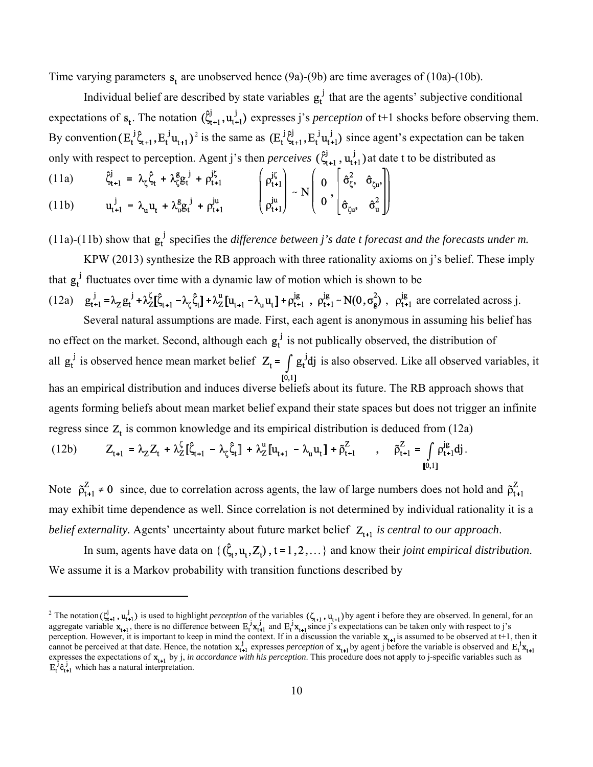Time varying parameters  $s_t$  are unobserved hence (9a)-(9b) are time averages of (10a)-(10b).

Individual belief are described by state variables  $g_t^j$  that are the agents' subjective conditional expectations of  $s_t$ . The notation  $(\hat{\zeta}_{t+1}^j, u_{t+1}^j)$  expresses j's *perception* of t+1 shocks before observing them. By convention  $(E_t^j \hat{\zeta}_{t+1}, E_t^j u_{t+1})^2$  is the same as  $(E_t^j \hat{\zeta}_{t+1}, E_t^j u_{t+1}^j)$  since agent's expectation can be taken only with respect to perception. Agent j's then *perceives*  $(\hat{\xi}_{t+1}^j, u_{t+1}^j)$  at date t to be distributed as

(11a) 
$$
\begin{aligned}\n\hat{\xi}_{t+1}^{j} &= \lambda_{\zeta} \hat{\zeta}_{t} + \lambda_{\zeta}^{g} g_{t}^{j} + \rho_{t+1}^{j\zeta} \\
u_{t+1}^{j} &= \lambda_{u} u_{t} + \lambda_{u}^{g} g_{t}^{j} + \rho_{t+1}^{ju}\n\end{aligned}\n\qquad\n\begin{pmatrix}\n\rho_{t+1}^{j\zeta} \\
\rho_{t+1}^{ju}\n\end{pmatrix}\n\sim N\n\begin{pmatrix}\n0 \\
0 \\
\delta_{\zeta}^{o}, \quad \hat{\sigma}_{u}^{o}\n\end{pmatrix}
$$

(11a)-(11b) show that  $g_t^j$  specifies the *difference between j's date t forecast and the forecasts under m.* 

KPW (2013) synthesize the RB approach with three rationality axioms on j's belief. These imply that  $g_t^j$  fluctuates over time with a dynamic law of motion which is shown to be

(12a)  $g_{t+1}^{j} = \lambda_{Z} g_{t}^{j} + \lambda_{Z}^{k} [\hat{\zeta}_{t+1} - \lambda_{\zeta} \hat{\zeta}_{t}] + \lambda_{Z}^{u} [u_{t+1} - \lambda_{u} u_{t}] + \rho_{t+1}^{j}$ ,  $\rho_{t+1}^{j} \sim N(0, \sigma_{g}^{2})$ ,  $\rho_{t+1}^{j}$  are correlated across j. Several natural assumptions are made. First, each agent is anonymous in assuming his belief has

no effect on the market. Second, although each  $g_t^j$  is not publically observed, the distribution of all  $g_t^j$  is observed hence mean market belief  $Z_t = \int g_t^j dj$  is also observed. Like all observed variables, it has an empirical distribution and induces diverse beliefs about its future. The RB approach shows that agents forming beliefs about mean market belief expand their state spaces but does not trigger an infinite regress since  $Z_t$  is common knowledge and its empirical distribution is deduced from (12a)

(12b) 
$$
Z_{t+1} = \lambda_Z Z_t + \lambda_Z^{\zeta} [\hat{\zeta}_{t+1} - \lambda_{\zeta} \hat{\zeta}_t] + \lambda_Z^u [u_{t+1} - \lambda_u u_t] + \tilde{\rho}_{t+1}^Z \qquad , \qquad \tilde{\rho}_{t+1}^Z = \int_{[0,1]} \rho_{t+1}^{ig} dj.
$$

Note  $\tilde{\rho}_{t+1}^Z \neq 0$  since, due to correlation across agents, the law of large numbers does not hold and  $\tilde{\rho}_{t+1}^Z$ may exhibit time dependence as well. Since correlation is not determined by individual rationality it is a *belief externality.* Agents' uncertainty about future market belief  $Z_{t+1}$  is central to our approach.

In sum, agents have data on  $\{(\hat{\zeta}_t, u_t, Z_t), t = 1, 2, ...\}$  and know their *joint empirical distribution*. We assume it is a Markov probability with transition functions described by

<sup>&</sup>lt;sup>2</sup> The notation  $(\xi_{i+1}^j, u_{i+1}^j)$  is used to highlight *perception* of the variables  $(\zeta_{i+1}, u_{i+1})$  by agent i before they are observed. In general, for an aggregate variable  $\mathbf{x}_{t+1}$ , there is no difference between  $\mathbf{E}_t^1\mathbf{x}_{t+1}^1$  and  $\mathbf{E}_t^1\mathbf{x}_{t+1}$  since j's expectations can be taken only with respect to j's perception. However, it is important to keep in mind the context. If in a discussion the variable  $\mathbf{x}_{t-1}$  is assumed to be observed at t+1, then it cannot be perceived at that date. Hence, the notation  $x_{t+1}$  expresses *perception* of  $x_{t+1}$  by agent j before the variable is observed and expresses the expectations of  $\mathbf{x}_{t-1}$  by j, *in accordance with his perception*. This procedure does not apply to j-specific variables such as which has a natural interpretation.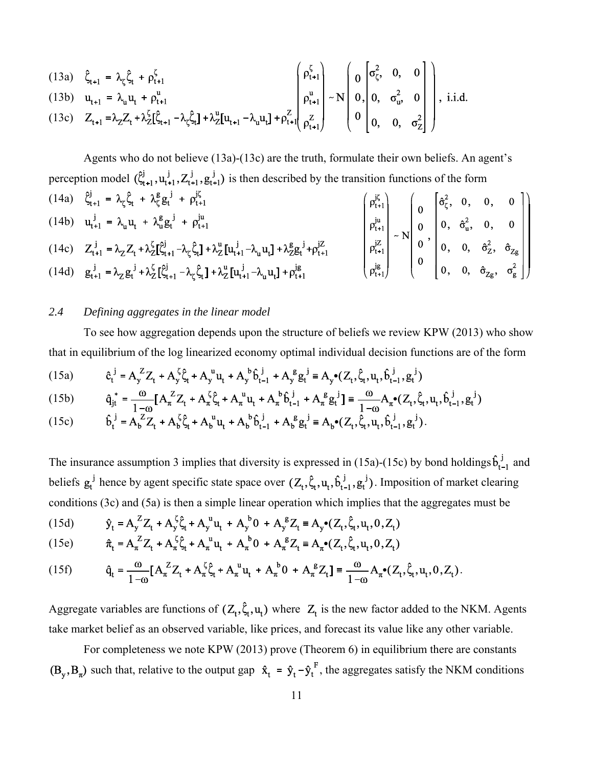(13a) 
$$
\hat{\zeta}_{t+1} = \lambda_{\zeta} \hat{\zeta}_{t} + \rho_{t+1}^{\zeta}
$$
  
\n(13b)  $u_{t+1} = \lambda_{u} u_{t} + \rho_{t+1}^{u}$   
\n(13c)  $Z_{t+1} = \lambda_{Z} Z_{t} + \lambda_{Z}^{\zeta} [\hat{\zeta}_{t+1} - \lambda_{\zeta} \hat{\zeta}_{t}] + \lambda_{Z}^{u} [u_{t+1} - \lambda_{u} u_{t}] + \rho_{t+1}^{Z} \begin{bmatrix} \rho_{t+1}^{\zeta} \\ \rho_{t+1}^{u} \\ \rho_{t+1}^{z} \end{bmatrix} - N \begin{bmatrix} 0 & \sigma_{\zeta}^{2}, & 0, & 0 \\ 0 & 0, & \sigma_{u}^{2}, & 0 \\ 0 & 0, & \sigma_{Z}^{2} \end{bmatrix}$ , i.i.d.

Agents who do not believe (13a)-(13c) are the truth, formulate their own beliefs. An agent's perception model 
$$
(\hat{\zeta}_{t+1}^j, u_{t+1}^j, Z_{t+1}^j, g_{t+1}^j)
$$
 is then described by the transition functions of the form

\n(14a)  $\hat{\zeta}_{t+1}^j = \lambda_{\zeta} \hat{\zeta}_t + \lambda_{\zeta}^g g_t^j + \rho_{t+1}^{j\zeta}$ 

\n(14b)  $u_{t+1}^j = \lambda_{\mu} u_t + \lambda_{\mu}^g g_t^j + \rho_{t+1}^{ju}$ 

\n(14c)  $Z_{t+1}^j = \lambda_Z Z_t + \lambda_Z^{\zeta} [\hat{\zeta}_{t+1}^j - \lambda_{\zeta} \hat{\zeta}_t] + \lambda_Z^u [u_{t+1}^j - \lambda_u u_t] + \lambda_Z^g g_t^j + \rho_{t+1}^{jZ}$ 

\n(14d)  $g_{t+1}^j = \lambda_Z g_t^j + \lambda_Z^{\zeta} [\hat{\zeta}_{t+1}^j - \lambda_{\zeta} \hat{\zeta}_t] + \lambda_Z^u [u_{t+1}^j - \lambda_u u_t] + \rho_{t+1}^{j\epsilon}$ 

\n(14d)  $g_{t+1}^j = \lambda_Z g_t^j + \lambda_Z^{\zeta} [\hat{\zeta}_{t+1}^j - \lambda_{\zeta} \hat{\zeta}_t] + \lambda_Z^u [u_{t+1}^j - \lambda_u u_t] + \rho_{t+1}^{j\epsilon}$ 

#### *2.4 Defining aggregates in the linear model*

To see how aggregation depends upon the structure of beliefs we review KPW (2013) who show that in equilibrium of the log linearized economy optimal individual decision functions are of the form

(15a) 
$$
\hat{c}_t^{j} = A_y^Z Z_t + A_y^{\zeta} \hat{\zeta}_t + A_y^{\{u\}} u_t + A_y^{\{b\}} \hat{b}_{t-1}^{j} + A_y^{\{g\}} g_t^{j} \equiv A_y \bullet (Z_t, \hat{\zeta}_t, u_t, \hat{b}_{t-1}^{j}, g_t^{j})
$$

(15b) 
$$
\hat{q}_{jt}^* = \frac{\omega}{1-\omega} [A_{\pi}^2 Z_t + A_{\pi}^{\zeta} \hat{\zeta}_t + A_{\pi}^{\mu} u_t + A_{\pi}^{\mu} \hat{b}_{t-1}^{\ j} + A_{\pi}^{\mu} g_t^{\ j}] \equiv \frac{\omega}{1-\omega} A_{\pi}^{\phi} (Z_t, \hat{\zeta}_t, u_t, \hat{b}_{t-1}^{\ j}, g_t^{\mu})
$$

(15c) 
$$
\hat{b}_t^j = A_b^Z Z_t + A_b^{\zeta} \hat{\zeta}_t + A_b^{\{u\}} u_t + A_b^{\{b\}} \hat{b}_{t-1}^j + A_b^{\{g\}} g_t^j \equiv A_b (Z_t, \hat{\zeta}_t, u_t, \hat{b}_{t-1}^j, g_t^j).
$$

The insurance assumption 3 implies that diversity is expressed in (15a)-(15c) by bond holdings  $\hat{b}_{t-1}^j$  and beliefs  $g_t^j$  hence by agent specific state space over  $(Z_t, \hat{\zeta}_t, u_t, \hat{b}_{t-1}^j, g_t^j)$ . Imposition of market clearing conditions (3c) and (5a) is then a simple linear operation which implies that the aggregates must be

(15d) 
$$
\hat{y}_t = A_y^Z Z_t + A_y^{\zeta} \hat{\zeta}_t + A_y^{\{u\}} u_t + A_y^{\{b\}} 0 + A_y^{\{g\}} Z_t \equiv A_y \bullet (Z_t, \hat{\zeta}_t, u_t, 0, Z_t)
$$

(15e) 
$$
\hat{\pi}_t = A_\pi^2 Z_t + A_\pi^3 \xi_t + A_\pi^{\mathbf{u}} \mathbf{u}_t + A_\pi^{\mathbf{v}} \mathbf{0} + A_\pi^{\mathbf{g}} Z_t \equiv A_\pi \bullet (Z_t, \xi_t, \mathbf{u}_t, 0, Z_t)
$$

(15f) 
$$
\hat{q}_t = \frac{\omega}{1-\omega} [A_{\pi}^Z Z_t + A_{\pi}^{\zeta} \hat{\zeta}_t + A_{\pi}^{\ u} u_t + A_{\pi}^{\ b} 0 + A_{\pi}^{\ g} Z_t] \equiv \frac{\omega}{1-\omega} A_{\pi} (Z_t, \hat{\zeta}_t, u_t, 0, Z_t).
$$

Aggregate variables are functions of  $(Z_t, \hat{\zeta}_t, u_t)$  where  $Z_t$  is the new factor added to the NKM. Agents take market belief as an observed variable, like prices, and forecast its value like any other variable.

For completeness we note KPW (2013) prove (Theorem 6) in equilibrium there are constants  $(\mathbf{B}_{\mathbf{y}}, \mathbf{B}_{\mathbf{z}})$  such that, relative to the output gap  $\hat{\mathbf{x}}_t = \hat{\mathbf{y}}_t - \hat{\mathbf{y}}_t^F$ , the aggregates satisfy the NKM conditions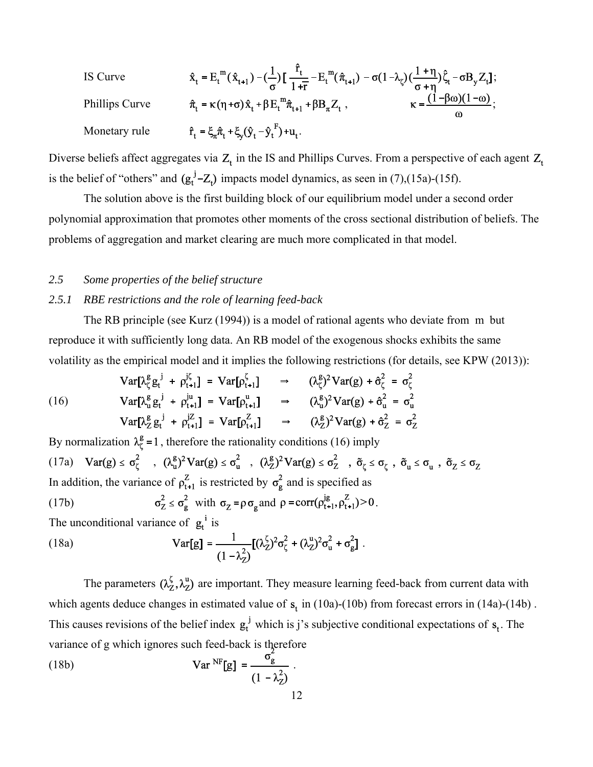| IS Curve       | $\hat{x}_t = E_t^m(\hat{x}_{t+1}) - (\frac{1}{\sigma}) \left[ \frac{\hat{r}_t}{1+\bar{r}} - E_t^m(\hat{\pi}_{t+1}) - \sigma(1-\lambda_{\zeta}) \left( \frac{1+\eta}{\sigma + \eta} \right) \hat{\zeta}_t - \sigma B_y Z_t \right];$ |                                                 |
|----------------|-------------------------------------------------------------------------------------------------------------------------------------------------------------------------------------------------------------------------------------|-------------------------------------------------|
| Phillips Curve | $\hat{\pi}_t = \kappa (\eta + \sigma) \hat{x}_t + \beta E_t^m \hat{\pi}_{t+1} + \beta B_{\pi} Z_t$ ,                                                                                                                                | $\kappa = \frac{(1-\beta\omega)(1-\omega)}{2}.$ |
| Monetary rule  | $\hat{r}_t = \xi_{\pi} \hat{\pi}_t + \xi_{\nu} (\hat{y}_t - \hat{y}_t^{F}) + u_t$ .                                                                                                                                                 |                                                 |

Diverse beliefs affect aggregates via  $Z_t$  in the IS and Phillips Curves. From a perspective of each agent  $Z_t$ is the belief of "others" and  $(g_t^j - Z_t)$  impacts model dynamics, as seen in (7),(15a)-(15f).

The solution above is the first building block of our equilibrium model under a second order polynomial approximation that promotes other moments of the cross sectional distribution of beliefs. The problems of aggregation and market clearing are much more complicated in that model.

#### *2.5 Some properties of the belief structure*

#### *2.5.1 RBE restrictions and the role of learning feed-back*

The RB principle (see Kurz (1994)) is a model of rational agents who deviate from m but reproduce it with sufficiently long data. An RB model of the exogenous shocks exhibits the same volatility as the empirical model and it implies the following restrictions (for details, see KPW (2013)):

$$
\begin{array}{llll}\n\text{Var}[\lambda_{\zeta}^{g} g_{t}^{j} + \rho_{t+1}^{j\zeta}] &= \text{Var}[\rho_{t+1}^{\zeta}] & \Rightarrow & (\lambda_{\zeta}^{g})^{2} \text{Var}(g) + \hat{\sigma}_{\zeta}^{2} = \sigma_{\zeta}^{2} \\
\text{(16)} & \text{Var}[\lambda_{u}^{g} g_{t}^{j} + \rho_{t+1}^{ju}] &= \text{Var}[\rho_{t+1}^{u}] & \Rightarrow & (\lambda_{u}^{g})^{2} \text{Var}(g) + \hat{\sigma}_{u}^{2} = \sigma_{u}^{2} \\
\text{Var}[\lambda_{Z}^{g} g_{t}^{j} + \rho_{t+1}^{jZ}] &= \text{Var}[\rho_{t+1}^{Z}] & \Rightarrow & (\lambda_{Z}^{g})^{2} \text{Var}(g) + \hat{\sigma}_{Z}^{2} = \sigma_{Z}^{2}\n\end{array}
$$

By normalization  $\lambda_{\zeta}^{\mathsf{g}} = 1$ , therefore the rationality conditions (16) imply (17a)  $Var(g) \le \sigma_{\zeta}^2$ ,  $(\lambda_u^g)^2 Var(g) \le \sigma_u^2$ ,  $(\lambda_Z^g)^2 Var(g) \le \sigma_Z^2$ ,  $\tilde{\sigma}_{\zeta} \le \sigma_{\zeta}$ ,  $\tilde{\sigma}_u \le \sigma_u$ ,  $\tilde{\sigma}_z \le \sigma_Z$ In addition, the variance of  $\rho_{t+1}^Z$  is restricted by  $\sigma_g^2$  and is specified as (17b)  $\sigma_Z^2 \le \sigma_g^2$  with  $\sigma_Z = \rho \sigma_g$  and  $\rho = \text{corr}(\rho_{t+1}^{j} , \rho_{t+1}^Z) > 0$ . The unconditional variance of  $g_t^i$  is (18a)  $Var[g] = \frac{1}{(1 - \lambda_2^2)} [(\lambda_2^{\zeta})^2 \sigma_{\zeta}^2 + (\lambda_2^{\mu})^2 \sigma_{\mu}^2 + \sigma_{g}^2].$ 

The parameters  $(\lambda_Z^{\zeta}, \lambda_Z^{\mu})$  are important. They measure learning feed-back from current data with which agents deduce changes in estimated value of  $s_t$  in (10a)-(10b) from forecast errors in (14a)-(14b). This causes revisions of the belief index  $g_t^j$  which is j's subjective conditional expectations of  $s_t$ . The variance of g which ignores such feed-back is therefore

(18b) 
$$
\mathbf{Var}^{\text{NF}}[\mathbf{g}] = \frac{\sigma_{\mathbf{g}}^2}{(1 - \lambda_{\mathbf{Z}}^2)}.
$$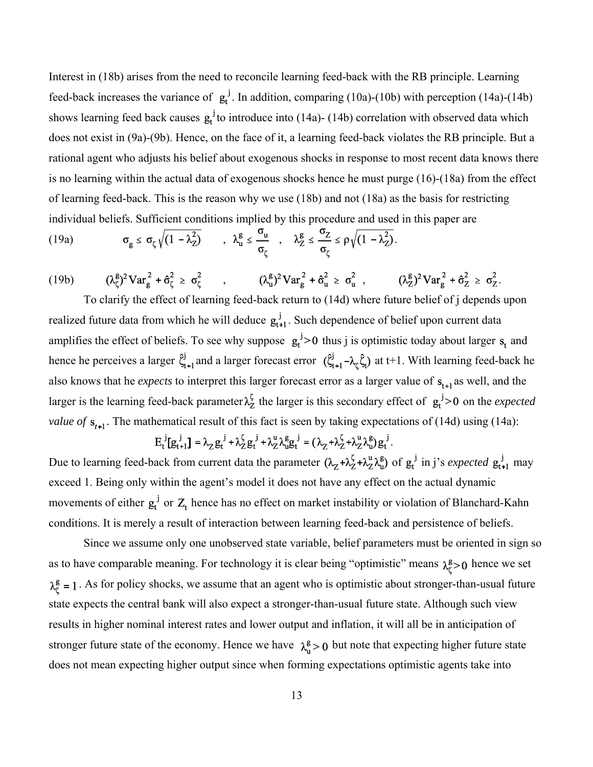Interest in (18b) arises from the need to reconcile learning feed-back with the RB principle. Learning feed-back increases the variance of  $g_t^j$ . In addition, comparing (10a)-(10b) with perception (14a)-(14b) shows learning feed back causes  $g_t^j$  to introduce into (14a)- (14b) correlation with observed data which does not exist in (9a)-(9b). Hence, on the face of it, a learning feed-back violates the RB principle. But a rational agent who adjusts his belief about exogenous shocks in response to most recent data knows there is no learning within the actual data of exogenous shocks hence he must purge (16)-(18a) from the effect of learning feed-back. This is the reason why we use (18b) and not (18a) as the basis for restricting individual beliefs. Sufficient conditions implied by this procedure and used in this paper are

(19a) 
$$
\sigma_g \leq \sigma_\zeta \sqrt{(1-\lambda_Z^2)} \qquad , \ \lambda_u^g \leq \frac{\sigma_u}{\sigma_\zeta} \qquad , \quad \lambda_Z^g \leq \frac{\sigma_Z}{\sigma_\zeta} \leq \rho \sqrt{(1-\lambda_Z^2)}.
$$

(19b)  $(\lambda_{\zeta}^g)^2 \text{Var}_{g}^2 + \hat{\sigma}_{\zeta}^2 \ge \sigma_{\zeta}^2$ ,  $(\lambda_{u}^g)^2 \text{Var}_{g}^2 + \hat{\sigma}_{u}^2 \ge \sigma_{u}^2$ ,  $(\lambda_{Z}^g)^2 \text{Var}_{g}^2 + \hat{\sigma}_{Z}^2 \ge \sigma_{Z}^2$ .

To clarify the effect of learning feed-back return to (14d) where future belief of j depends upon realized future data from which he will deduce  $g_{t+1}^j$ . Such dependence of belief upon current data amplifies the effect of beliefs. To see why suppose  $g_t^j > 0$  thus j is optimistic today about larger  $s_t$  and hence he perceives a larger  $\hat{\zeta}_{t+1}^{j}$  and a larger forecast error  $(\hat{\zeta}_{t+1}^{j} - \lambda_{\zeta} \hat{\zeta}_{t})$  at t+1. With learning feed-back he also knows that he *expects* to interpret this larger forecast error as a larger value of  $s_{t+1}$  as well, and the larger is the learning feed-back parameter  $\lambda_Z^{\zeta}$  the larger is this secondary effect of  $g_t^j > 0$  on the *expected value of*  $s_{t+1}$ . The mathematical result of this fact is seen by taking expectations of (14d) using (14a):

$$
E_t^j[g_{t+1}^j] = \lambda_Z g_t^j + \lambda_Z^{\zeta} g_t^j + \lambda_Z^u \lambda_u^g g_t^j = (\lambda_Z + \lambda_Z^{\zeta} + \lambda_Z^u \lambda_U^g) g_t^j.
$$

Due to learning feed-back from current data the parameter  $(\lambda_z + \lambda_z^{\zeta} + \lambda_z^{\mu} \lambda_{\bar{\mu}}^{\bar{\mu}})$  of  $g_t^j$  in j's *expected*  $g_{t+1}^j$  may exceed 1. Being only within the agent's model it does not have any effect on the actual dynamic movements of either  $g_t^j$  or  $Z_t$  hence has no effect on market instability or violation of Blanchard-Kahn conditions. It is merely a result of interaction between learning feed-back and persistence of beliefs.

Since we assume only one unobserved state variable, belief parameters must be oriented in sign so as to have comparable meaning. For technology it is clear being "optimistic" means  $\lambda_r^g > 0$  hence we set  $\lambda_{\zeta}^{\mathsf{g}} = 1$ . As for policy shocks, we assume that an agent who is optimistic about stronger-than-usual future state expects the central bank will also expect a stronger-than-usual future state. Although such view results in higher nominal interest rates and lower output and inflation, it will all be in anticipation of stronger future state of the economy. Hence we have  $\lambda_n^g > 0$  but note that expecting higher future state does not mean expecting higher output since when forming expectations optimistic agents take into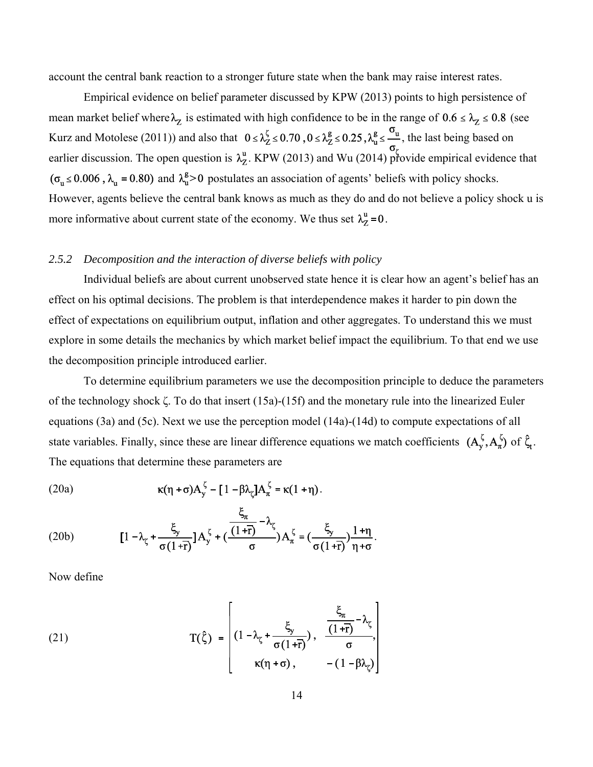account the central bank reaction to a stronger future state when the bank may raise interest rates.

Empirical evidence on belief parameter discussed by KPW (2013) points to high persistence of mean market belief where  $\lambda_z$  is estimated with high confidence to be in the range of  $0.6 \le \lambda_z \le 0.8$  (see Kurz and Motolese (2011)) and also that  $0 \le \lambda_Z^{\zeta} \le 0.70$ ,  $0 \le \lambda_Z^{\zeta} \le 0.25$ ,  $\lambda_u^{\zeta} \le \frac{\sigma_u}{\zeta}$ , the last being based on earlier discussion. The open question is  $\lambda^u_Z$ . KPW (2013) and Wu (2014) provide empirical evidence that  $(\sigma_u \le 0.006$ ,  $\lambda_u = 0.80)$  and  $\lambda_u^g > 0$  postulates an association of agents' beliefs with policy shocks. However, agents believe the central bank knows as much as they do and do not believe a policy shock u is more informative about current state of the economy. We thus set  $\lambda_z^u = 0$ .

#### *2.5.2 Decomposition and the interaction of diverse beliefs with policy*

Individual beliefs are about current unobserved state hence it is clear how an agent's belief has an effect on his optimal decisions. The problem is that interdependence makes it harder to pin down the effect of expectations on equilibrium output, inflation and other aggregates. To understand this we must explore in some details the mechanics by which market belief impact the equilibrium. To that end we use the decomposition principle introduced earlier.

To determine equilibrium parameters we use the decomposition principle to deduce the parameters of the technology shock ζ. To do that insert (15a)-(15f) and the monetary rule into the linearized Euler equations (3a) and (5c). Next we use the perception model (14a)-(14d) to compute expectations of all state variables. Finally, since these are linear difference equations we match coefficients  $(A_y^{\zeta}, A_{\pi}^{\zeta})$  of  $\hat{\zeta}_t$ . The equations that determine these parameters are

(20a) 
$$
\kappa(\eta + \sigma)A_{y}^{\zeta} - [1 - \beta \lambda_{\zeta}]A_{\pi}^{\zeta} = \kappa(1 + \eta).
$$

(20b) 
$$
[1 - \lambda_{\zeta} + \frac{\xi_{y}}{\sigma(1+\bar{r})}]A_{y}^{\zeta} + (\frac{\frac{\varsigma_{\pi}}{(1+\bar{r})} - \lambda_{\zeta}}{\sigma})A_{\pi}^{\zeta} = (\frac{\xi_{y}}{\sigma(1+\bar{r})})\frac{1+\eta}{\eta+\sigma}.
$$

Now define

(21) 
$$
T(\hat{\zeta}) = \begin{bmatrix} \xi_{\frac{\zeta}{\tau}} & \frac{\xi_{\gamma}}{\sigma(1+\bar{r})}, & \frac{\xi_{\frac{\zeta}{\tau}}}{\sigma(1+\bar{r})}, \\ \kappa(\eta+\sigma), & -(1-\beta\lambda_{\zeta}) \end{bmatrix}
$$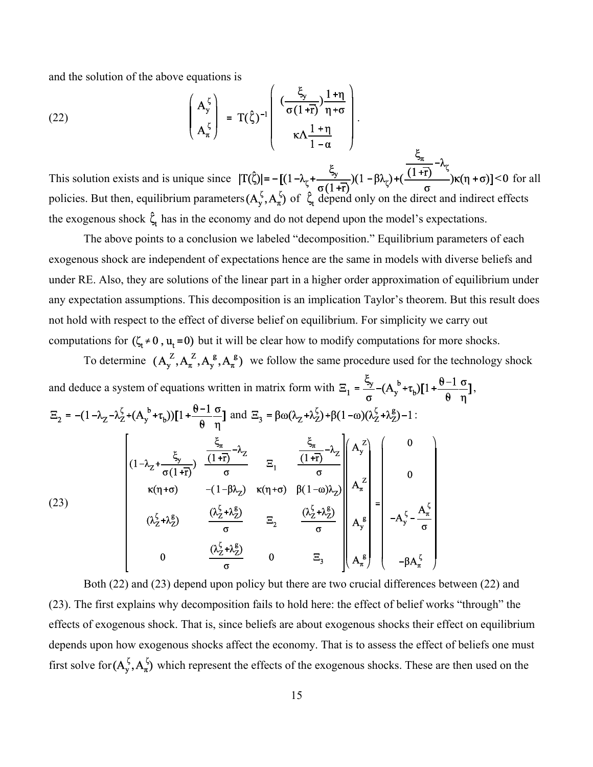and the solution of the above equations is

(22) 
$$
\begin{pmatrix} A_y^{\zeta} \\ A_{\pi}^{\zeta} \end{pmatrix} = T(\hat{\zeta})^{-1} \begin{pmatrix} \frac{\zeta_y}{\sigma(1+\bar{r})} \frac{1+\eta}{\eta+\sigma} \\ \kappa \Lambda \frac{1+\eta}{1-\alpha} \end{pmatrix}.
$$

This solution exists and is unique since  $|T(\hat{\zeta})| = -[(1 - \lambda_r + \frac{\lambda_r}{\sqrt{1-\lambda_r}})(1 - \beta\lambda_r) + (\frac{\lambda_r}{\sqrt{1-\lambda_r}})(1 - \beta\lambda_r)] < 0$  for all policies. But then, equilibrium parameters  $(A_v^{\zeta}, A_\pi^{\zeta})$  of  $\zeta$  depend only on the direct and indirect effects the exogenous shock  $\hat{\zeta}_t$  has in the economy and do not depend upon the model's expectations.

The above points to a conclusion we labeled "decomposition." Equilibrium parameters of each exogenous shock are independent of expectations hence are the same in models with diverse beliefs and under RE. Also, they are solutions of the linear part in a higher order approximation of equilibrium under any expectation assumptions. This decomposition is an implication Taylor's theorem. But this result does not hold with respect to the effect of diverse belief on equilibrium. For simplicity we carry out computations for  $(\zeta_t \neq 0, u_t = 0)$  but it will be clear how to modify computations for more shocks.

To determine  $(A_y^Z, A_x^Z, A_y^g, A_z^g)$  we follow the same procedure used for the technology shock

and deduce a system of equations written in matrix form with 
$$
\Xi_1 = \frac{\xi_y}{\sigma} - (A_y^b + \tau_b)[1 + \frac{\theta - 1}{\theta} \frac{\sigma}{\eta}],
$$
  
\n $\Xi_2 = -(1 - \lambda_z - \lambda_z^{\zeta} + (A_y^b + \tau_b))[1 + \frac{\theta - 1}{\theta} \frac{\sigma}{\eta}]$  and  $\Xi_3 = \beta \omega (\lambda_z + \lambda_z^{\zeta}) + \beta (1 - \omega)(\lambda_z^{\zeta} + \lambda_z^{\zeta}) - 1:$   
\n
$$
\left[\begin{array}{ccc} & \frac{\xi_x}{(1 + \overline{t})} & \frac{\xi_y}{(1 + \overline{t})} - \lambda_z & \frac{\xi_x}{(1 + \overline{t})} - \lambda_z \\ & & \frac{\xi_x}{(1 + \overline{t})} - \lambda_z & \frac{\xi_x}{\sigma} \end{array}\right] \begin{array}{c} A_y^2 \\ A_y^2 \\ B_z^2 \\ B_z^2 \end{array}
$$
\n(23)  
\n $(\lambda_z^{\zeta} + \lambda_z^{\zeta})$   $\frac{(\lambda_z^{\zeta} + \lambda_z^{\zeta})}{\sigma}$   $\Xi_2$   $\frac{(\lambda_z^{\zeta} + \lambda_z^{\zeta})}{\sigma}$   $\left[\begin{array}{c} 0 \\ A_x^{\zeta} \\ A_y^{\zeta} \\ A_z^{\zeta} \end{array}\right] = -A_y^{\zeta} - \frac{A_x^{\zeta}}{\sigma}$   
\n $- \beta A_x^{\zeta}$ 

Both (22) and (23) depend upon policy but there are two crucial differences between (22) and (23). The first explains why decomposition fails to hold here: the effect of belief works "through" the effects of exogenous shock. That is, since beliefs are about exogenous shocks their effect on equilibrium depends upon how exogenous shocks affect the economy. That is to assess the effect of beliefs one must first solve for  $(A_y^{\zeta}, A_{\pi}^{\zeta})$  which represent the effects of the exogenous shocks. These are then used on the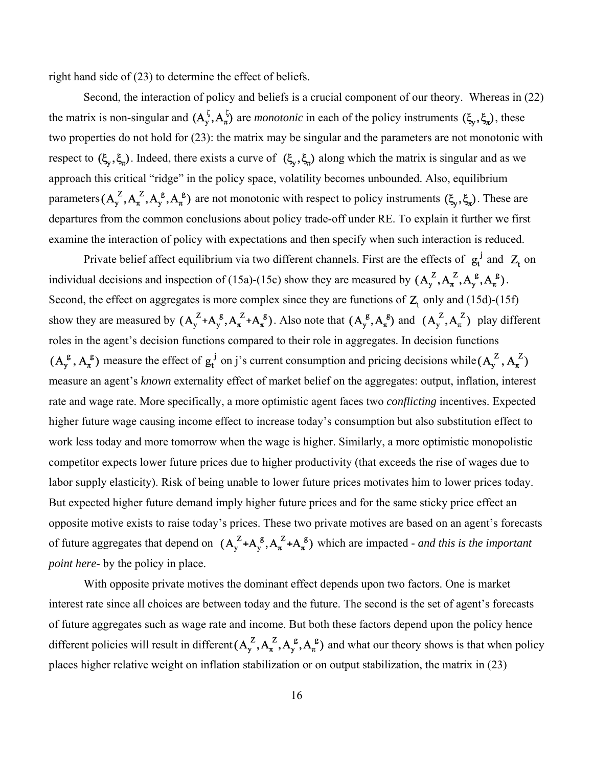right hand side of (23) to determine the effect of beliefs.

Second, the interaction of policy and beliefs is a crucial component of our theory. Whereas in (22) the matrix is non-singular and  $(A_y^{\xi}, A_{\pi}^{\xi})$  are *monotonic* in each of the policy instruments  $(\xi_y, \xi_{\pi})$ , these two properties do not hold for (23): the matrix may be singular and the parameters are not monotonic with respect to  $(\xi_v, \xi_u)$ . Indeed, there exists a curve of  $(\xi_v, \xi_u)$  along which the matrix is singular and as we approach this critical "ridge" in the policy space, volatility becomes unbounded. Also, equilibrium parameters  $(A_y^Z, A_y^Z, A_y^g, A_z^g)$  are not monotonic with respect to policy instruments  $(\xi_y, \xi_z)$ . These are departures from the common conclusions about policy trade-off under RE. To explain it further we first examine the interaction of policy with expectations and then specify when such interaction is reduced.

Private belief affect equilibrium via two different channels. First are the effects of  $g_t^j$  and  $Z_t$  on individual decisions and inspection of (15a)-(15c) show they are measured by  $(A_y^Z, A_x^Z, A_y^g, A_x^g)$ . Second, the effect on aggregates is more complex since they are functions of  $Z_t$  only and (15d)-(15f) show they are measured by  $(A_y^Z + A_y^g, A_\pi^Z + A_\pi^g)$ . Also note that  $(A_y^g, A_\pi^g)$  and  $(A_y^Z, A_\pi^g)$  play different roles in the agent's decision functions compared to their role in aggregates. In decision functions  $(A_v^g, A_\pi^g)$  measure the effect of  $g_t^j$  on j's current consumption and pricing decisions while  $(A_v^Z, A_\pi^Z)$ measure an agent's *known* externality effect of market belief on the aggregates: output, inflation, interest rate and wage rate. More specifically, a more optimistic agent faces two *conflicting* incentives. Expected higher future wage causing income effect to increase today's consumption but also substitution effect to work less today and more tomorrow when the wage is higher. Similarly, a more optimistic monopolistic competitor expects lower future prices due to higher productivity (that exceeds the rise of wages due to labor supply elasticity). Risk of being unable to lower future prices motivates him to lower prices today. But expected higher future demand imply higher future prices and for the same sticky price effect an opposite motive exists to raise today's prices. These two private motives are based on an agent's forecasts of future aggregates that depend on  $(A_y^Z + A_y^g, A_\pi^Z + A_\pi^g)$  which are impacted - *and this is the important point here-* by the policy in place.

With opposite private motives the dominant effect depends upon two factors. One is market interest rate since all choices are between today and the future. The second is the set of agent's forecasts of future aggregates such as wage rate and income. But both these factors depend upon the policy hence different policies will result in different  $(A_y^Z, A_\pi^Z, A_y^g, A_\pi^g)$  and what our theory shows is that when policy places higher relative weight on inflation stabilization or on output stabilization, the matrix in (23)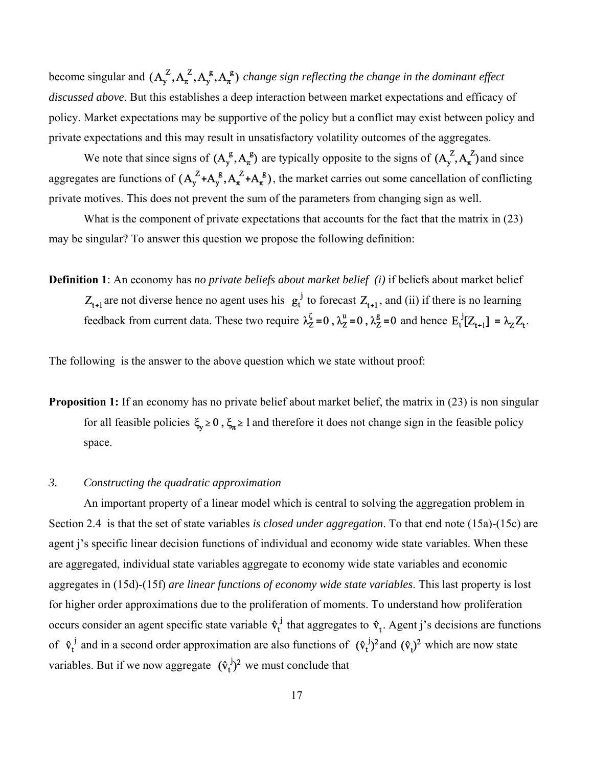become singular and  $(A_y^Z, A_x^Z, A_y^g, A_\pi^g)$  *change sign reflecting the change in the dominant effect discussed above*. But this establishes a deep interaction between market expectations and efficacy of policy. Market expectations may be supportive of the policy but a conflict may exist between policy and private expectations and this may result in unsatisfactory volatility outcomes of the aggregates.

We note that since signs of  $(A_y^g, A_\pi^g)$  are typically opposite to the signs of  $(A_y^Z, A_\pi^Z)$  and since aggregates are functions of  $(A_y^Z+A_y^g, A_\pi^Z+A_\pi^g)$ , the market carries out some cancellation of conflicting private motives. This does not prevent the sum of the parameters from changing sign as well.

What is the component of private expectations that accounts for the fact that the matrix in (23) may be singular? To answer this question we propose the following definition:

**Definition 1**: An economy has *no private beliefs about market belief (i)* if beliefs about market belief  $Z_{t+1}$  are not diverse hence no agent uses his  $g_t^j$  to forecast  $Z_{t+1}$ , and (ii) if there is no learning feedback from current data. These two require  $\lambda_Z^{\zeta} = 0$ ,  $\lambda_Z^{\underline{u}} = 0$ ,  $\lambda_Z^{\underline{g}} = 0$  and hence  $E_t^{j}[Z_{t+1}] = \lambda_Z Z_t$ .

The following is the answer to the above question which we state without proof:

**Proposition 1:** If an economy has no private belief about market belief, the matrix in (23) is non singular for all feasible policies  $\xi_y \ge 0$ ,  $\xi_n \ge 1$  and therefore it does not change sign in the feasible policy space.

#### *3. Constructing the quadratic approximation*

An important property of a linear model which is central to solving the aggregation problem in Section 2.4 is that the set of state variables *is closed under aggregation*. To that end note (15a)-(15c) are agent j's specific linear decision functions of individual and economy wide state variables. When these are aggregated, individual state variables aggregate to economy wide state variables and economic aggregates in (15d)-(15f) *are linear functions of economy wide state variables*. This last property is lost for higher order approximations due to the proliferation of moments. To understand how proliferation occurs consider an agent specific state variable  $\hat{v}_t$  that aggregates to  $\hat{v}_t$ . Agent j's decisions are functions of  $\hat{v}_t^j$  and in a second order approximation are also functions of  $(\hat{v}_t^j)^2$  and  $(\hat{v}_t)^2$  which are now state variables. But if we now aggregate  $(\hat{v}_t^j)^2$  we must conclude that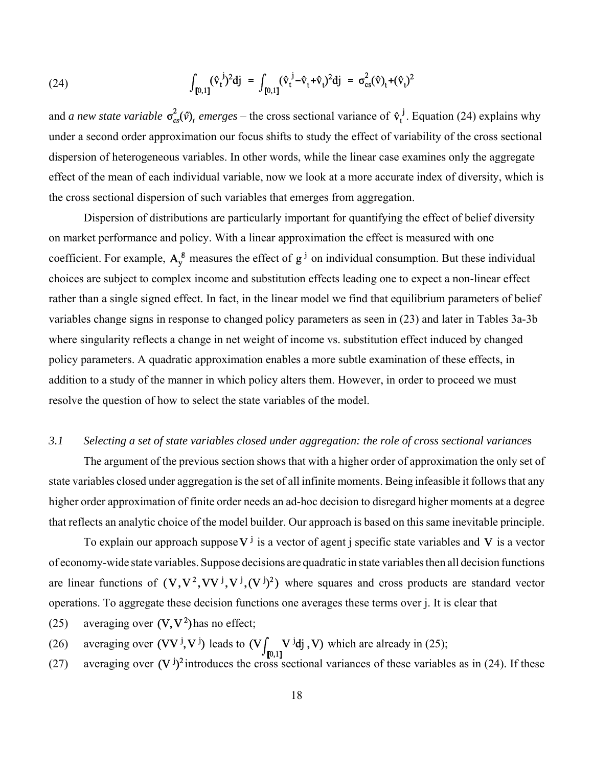(24) 
$$
\int_{[0,1]} (\hat{v}_t^{\ j})^2 dj = \int_{[0,1]} (\hat{v}_t^{\ j} - \hat{v}_t + \hat{v}_t)^2 dj = \sigma_{cs}^2(\hat{v})_t + (\hat{v}_t)^2
$$

and *a new state variable*  $\sigma_{cs}^2(\hat{v})$ <sub>t</sub> emerges – the cross sectional variance of  $\hat{v}_t^j$ . Equation (24) explains why under a second order approximation our focus shifts to study the effect of variability of the cross sectional dispersion of heterogeneous variables. In other words, while the linear case examines only the aggregate effect of the mean of each individual variable, now we look at a more accurate index of diversity, which is the cross sectional dispersion of such variables that emerges from aggregation.

Dispersion of distributions are particularly important for quantifying the effect of belief diversity on market performance and policy. With a linear approximation the effect is measured with one coefficient. For example,  $A_v^g$  measures the effect of  $g^j$  on individual consumption. But these individual choices are subject to complex income and substitution effects leading one to expect a non-linear effect rather than a single signed effect. In fact, in the linear model we find that equilibrium parameters of belief variables change signs in response to changed policy parameters as seen in (23) and later in Tables 3a-3b where singularity reflects a change in net weight of income vs. substitution effect induced by changed policy parameters. A quadratic approximation enables a more subtle examination of these effects, in addition to a study of the manner in which policy alters them. However, in order to proceed we must resolve the question of how to select the state variables of the model.

### *3.1 Selecting a set of state variables closed under aggregation: the role of cross sectional variance*s

The argument of the previous section shows that with a higher order of approximation the only set of state variables closed under aggregation is the set of all infinite moments. Being infeasible it follows that any higher order approximation of finite order needs an ad-hoc decision to disregard higher moments at a degree that reflects an analytic choice of the model builder. Our approach is based on this same inevitable principle.

To explain our approach suppose  $V^j$  is a vector of agent j specific state variables and V is a vector of economy-wide state variables. Suppose decisions are quadratic in state variables then all decision functions are linear functions of  $(V, V^2, VV^j, V^j, (V^j)^2)$  where squares and cross products are standard vector operations. To aggregate these decision functions one averages these terms over j. It is clear that

- (25) averaging over  $(V, V^2)$  has no effect;
- (26) averaging over  $(VV^j, V^j)$  leads to  $(V \int_{[0,1]} V^j d\mathbf{j}, V)$  which are already in (25);
- (27) averaging over  $(V^{j})^2$  introduces the cross sectional variances of these variables as in (24). If these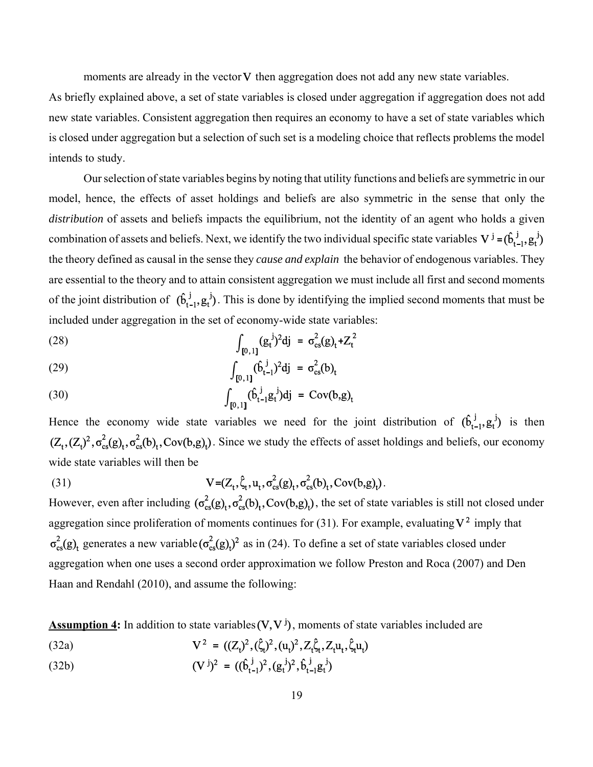moments are already in the vector  $V$  then aggregation does not add any new state variables.

As briefly explained above, a set of state variables is closed under aggregation if aggregation does not add new state variables. Consistent aggregation then requires an economy to have a set of state variables which is closed under aggregation but a selection of such set is a modeling choice that reflects problems the model intends to study.

Our selection of state variables begins by noting that utility functions and beliefs are symmetric in our model, hence, the effects of asset holdings and beliefs are also symmetric in the sense that only the *distribution* of assets and beliefs impacts the equilibrium, not the identity of an agent who holds a given combination of assets and beliefs. Next, we identify the two individual specific state variables  $V^j = (\hat{b}_{t-1}^j, g_t^j)$ the theory defined as causal in the sense they *cause and explain* the behavior of endogenous variables. They are essential to the theory and to attain consistent aggregation we must include all first and second moments of the joint distribution of  $(\hat{b}_{t-1}^j, g_t^j)$ . This is done by identifying the implied second moments that must be included under aggregation in the set of economy-wide state variables:

(28) 
$$
\int_{[0,1]} (g_t^{\,j})^2 dj = \sigma_{cs}^2(g)_t + Z_t^2
$$

(29) 
$$
\int_{[0,1]} (\hat{b}_{t-1}^{\ j})^2 dj = \sigma_{cs}^2(b)_t
$$

(30) 
$$
\int_{[0,1]} (\hat{b}_{t-1}^j g_t^j) dj = Cov(b,g)_t
$$

Hence the economy wide state variables we need for the joint distribution of  $(\hat{b}_{t-1}^j, g_t^j)$  is then  $(Z_t, (Z_t)^2, \sigma_{cs}^2(g)_t, \sigma_{cs}^2(b)_t, Cov(b,g)_t)$ . Since we study the effects of asset holdings and beliefs, our economy wide state variables will then be

(31) 
$$
V = (Z_t, \hat{\zeta}_t, u_t, \sigma_{cs}^2(g)_t, \sigma_{cs}^2(b)_t, Cov(b,g)_t).
$$

However, even after including  $(\sigma_{cs}^2(g)_t, \sigma_{cs}^2(b)_t, Cov(b,g)_t)$ , the set of state variables is still not closed under aggregation since proliferation of moments continues for (31). For example, evaluating  $V^2$  imply that  $\sigma_{cs}^2(g)$ <sub>t</sub> generates a new variable  $(\sigma_{cs}^2(g)$ <sub>t</sub> $)^2$  as in (24). To define a set of state variables closed under aggregation when one uses a second order approximation we follow Preston and Roca (2007) and Den Haan and Rendahl (2010), and assume the following:

**Assumption 4:** In addition to state variables  $(V, V^j)$ , moments of state variables included are

 $V^2 = ((Z_t)^2, (\hat{\zeta}_t)^2, (u_t)^2, Z_t \hat{\zeta}_t, Z_t u_t, \hat{\zeta}_t u_t)$ (32a)

(32b) 
$$
(\mathbf{V}^{\mathbf{j}})^2 = ((\mathbf{b}_{t-1}^{\mathbf{j}})^2, (\mathbf{g}_t^{\mathbf{j}})^2, \mathbf{b}_{t-1}^{\mathbf{j}} \mathbf{g}_t^{\mathbf{j}})
$$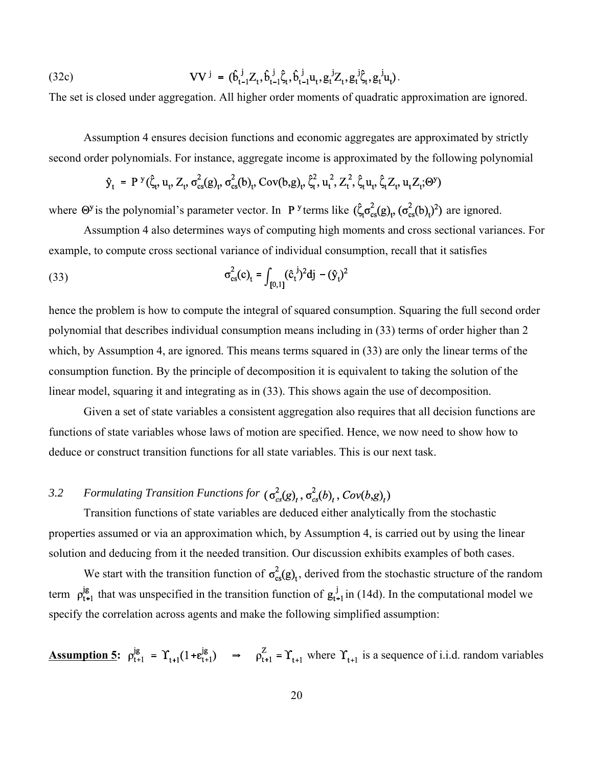(32c) 
$$
\mathbf{V}\mathbf{V}^{\mathbf{j}} = (\hat{b}_{t-1}^{\mathbf{j}}Z_t, \hat{b}_{t-1}^{\mathbf{j}}\hat{\zeta}_t, \hat{b}_{t-1}^{\mathbf{j}}\mathbf{u}_t, g_t^{\mathbf{j}}Z_t, g_t^{\mathbf{j}}\hat{\zeta}_t, g_t^{\mathbf{j}}\mathbf{u}_t).
$$

The set is closed under aggregation. All higher order moments of quadratic approximation are ignored.

Assumption 4 ensures decision functions and economic aggregates are approximated by strictly second order polynomials. For instance, aggregate income is approximated by the following polynomial

# $\hat{y}_t = P^{y}(\hat{\zeta}_t, u_t, Z_t, \sigma_{cs}^2(g_t, \sigma_{cs}^2(b_t, Cov(b,g)_t, \hat{\zeta}_t^2, u_t^2, Z_t^2, \hat{\zeta}_t u_t, \hat{\zeta}_t Z_t, u_t Z_t; \Theta^y))$

where  $\Theta^y$  is the polynomial's parameter vector. In **P**<sup>y</sup> terms like  $(\hat{\zeta}_t \sigma_{cs}^2(g)_t, (\sigma_{cs}^2(b)_t)^2)$  are ignored.

Assumption 4 also determines ways of computing high moments and cross sectional variances. For example, to compute cross sectional variance of individual consumption, recall that it satisfies

(33) 
$$
\sigma_{cs}^2(c)_t = \int_{[0,1]} (\hat{c}_t^{\ j})^2 dj - (\hat{y}_t)^2
$$

hence the problem is how to compute the integral of squared consumption. Squaring the full second order polynomial that describes individual consumption means including in (33) terms of order higher than 2 which, by Assumption 4, are ignored. This means terms squared in (33) are only the linear terms of the consumption function. By the principle of decomposition it is equivalent to taking the solution of the linear model, squaring it and integrating as in (33). This shows again the use of decomposition.

Given a set of state variables a consistent aggregation also requires that all decision functions are functions of state variables whose laws of motion are specified. Hence, we now need to show how to deduce or construct transition functions for all state variables. This is our next task.

# *3.2 Formulating Transition Functions for*  $(\sigma_{cs}^2(g)_t, \sigma_{cs}^2(b)_t, Cov(b,g)_t)$

Transition functions of state variables are deduced either analytically from the stochastic properties assumed or via an approximation which, by Assumption 4, is carried out by using the linear solution and deducing from it the needed transition. Our discussion exhibits examples of both cases.

We start with the transition function of  $\sigma_{cs}^2(g)$ , derived from the stochastic structure of the random term  $\rho_{t+1}^{jg}$  that was unspecified in the transition function of  $g_{t+1}^{j}$  in (14d). In the computational model we specify the correlation across agents and make the following simplified assumption:

**Assumption 5:**  $\rho_{t+1}^{jg} = \Upsilon_{t+1}(1+\epsilon_{t+1}^{jg}) \Rightarrow \rho_{t+1}^{Z} = \Upsilon_{t+1}$  where  $\Upsilon_{t+1}$  is a sequence of i.i.d. random variables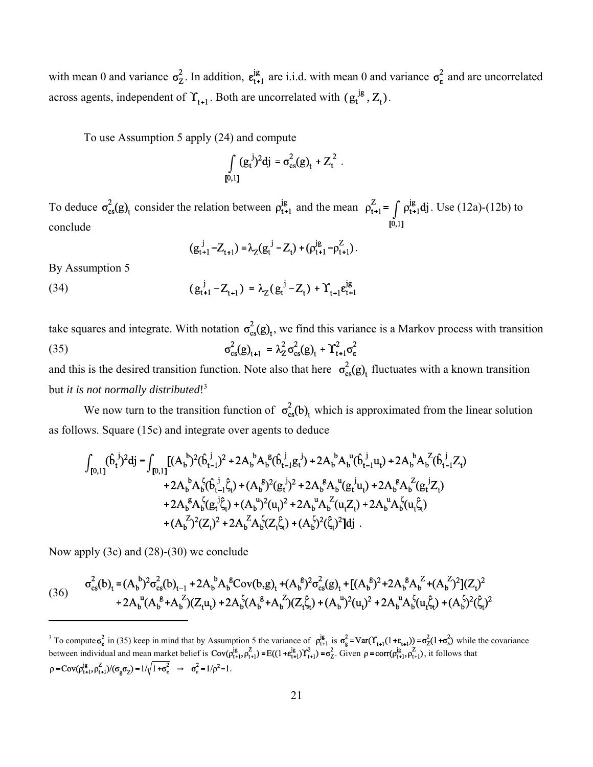with mean 0 and variance  $\sigma_Z^2$ . In addition,  $\varepsilon_{t+1}^{j}$  are i.i.d. with mean 0 and variance  $\sigma_g^2$  and are uncorrelated across agents, independent of  $\Upsilon_{t+1}$ . Both are uncorrelated with  $(g_t^{jg}, Z_t)$ .

To use Assumption 5 apply (24) and compute

$$
\int_{[0,1]}(g_t^{\ j})^2dj = \sigma_{cs}^2(g)_t + Z_t^2.
$$

To deduce  $\sigma_{cs}^2(g)$ <sub>t</sub> consider the relation between  $\rho_{t+1}^{jg}$  and the mean  $\rho_{t+1}^Z = \int \rho_{t+1}^{jg} dj$ . Use (12a)-(12b) to conclude

$$
(g_{t+1}^j - Z_{t+1}) = \lambda_Z (g_t^j - Z_t) + (\rho_{t+1}^{jg} - \rho_{t+1}^Z).
$$

By Assumption 5

(34) 
$$
(g_{t+1}^j - Z_{t+1}) = \lambda_Z (g_t^j - Z_t) + \Upsilon_{t+1} g_{t+1}^{jg}
$$

take squares and integrate. With notation  $\sigma_{cs}^2(g)$ , we find this variance is a Markov process with transition  $\sigma_{cs}^2(g)_{t+1} = \lambda_Z^2 \sigma_{cs}^2(g)_{t} + \Upsilon_{t+1}^2 \sigma_{\epsilon}^2$ (35)

and this is the desired transition function. Note also that here  $\sigma_{cs}^2(g)$  fluctuates with a known transition but *it is not normally distributed*! 3

We now turn to the transition function of  $\sigma_{cs}^2(b)_t$  which is approximated from the linear solution as follows. Square (15c) and integrate over agents to deduce

$$
\int_{[0,1]} (\hat{b}_{t}^{j})^{2}dj = \int_{[0,1]} [(A_{b}^{b})^{2}(\hat{b}_{t-1}^{j})^{2} + 2A_{b}^{b}A_{b}^{g}(\hat{b}_{t-1}^{j}g_{t}^{j}) + 2A_{b}^{b}A_{b}^{u}(\hat{b}_{t-1}^{j}u_{t}) + 2A_{b}^{b}A_{b}^{Z}(\hat{b}_{t-1}^{j}Z_{t}) + 2A_{b}^{b}A_{b}^{Z}(\hat{b}_{t-1}^{j}\hat{\zeta}_{t}) + (A_{b}^{g})^{2}(g_{t}^{j})^{2} + 2A_{b}^{g}A_{b}^{u}(g_{t}^{j}u_{t}) + 2A_{b}^{g}A_{b}^{Z}(g_{t}^{j}Z_{t}) + 2A_{b}^{g}A_{b}^{Z}(g_{t}^{j}\hat{\zeta}_{t}) + (A_{b}^{u})^{2}(u_{t})^{2} + 2A_{b}^{u}A_{b}^{Z}(u_{t}Z_{t}) + 2A_{b}^{u}A_{b}^{Z}(u_{t}\hat{\zeta}_{t}) + (A_{b}^{Z})^{2}(Z_{t})^{2} + 2A_{b}^{Z}A_{b}^{Z}(Z_{t}\hat{\zeta}_{t}) + (A_{b}^{Z})^{2}(\hat{\zeta}_{t})^{2}]dj.
$$

Now apply (3c) and (28)-(30) we conclude

$$
(36) \qquad \sigma_{cs}^2(b)_t = (A_b^b)^2 \sigma_{cs}^2(b)_{t-1} + 2A_b^b A_b^{\text{g}} Cov(b,g)_t + (A_b^{\text{g}})^2 \sigma_{cs}^2(g)_t + [(A_b^{\text{g}})^2 + 2A_b^{\text{g}} A_b^{\text{g}} + (A_b^{\text{g}})^2](Z_t)^2 \\ + 2A_b^{\text{u}} (A_b^{\text{g}} + A_b^{\text{z}})(Z_t u_t) + 2A_b^{\text{f}} (A_b^{\text{g}} + A_b^{\text{z}})(Z_t^{\hat{\zeta}}_t) + (A_b^{\text{u}})^2 (u_t)^2 + 2A_b^{\text{u}} A_b^{\text{f}} (u_t^{\hat{\zeta}}_t) + (A_b^{\text{f}})^2 (\hat{\zeta}_t)^2
$$

<sup>&</sup>lt;sup>3</sup> To compute  $\sigma_{\epsilon}^2$  in (35) keep in mind that by Assumption 5 the variance of  $\rho_{t+1}^{j\epsilon}$  is  $\sigma_{\epsilon}^2 = \text{Var}(\Upsilon_{t+1}(1+\varepsilon_{t+1})) = \sigma_Z^2(1+\sigma_E^2)$  while the covariance between individual and mean market belief is  $\text{Cov}(p_{t+1}^{\mu}, p_{t+1}^{\mu}) = E((1 + e_{t+1}^{\mu}) \Upsilon_{t+1}^{\mu}) = \sigma_{Z}^{\mu}$ . Given  $\rho = \text{corr}(p_{t+1}^{\mu}, p_{t+1}^{\mu})$ , it follows that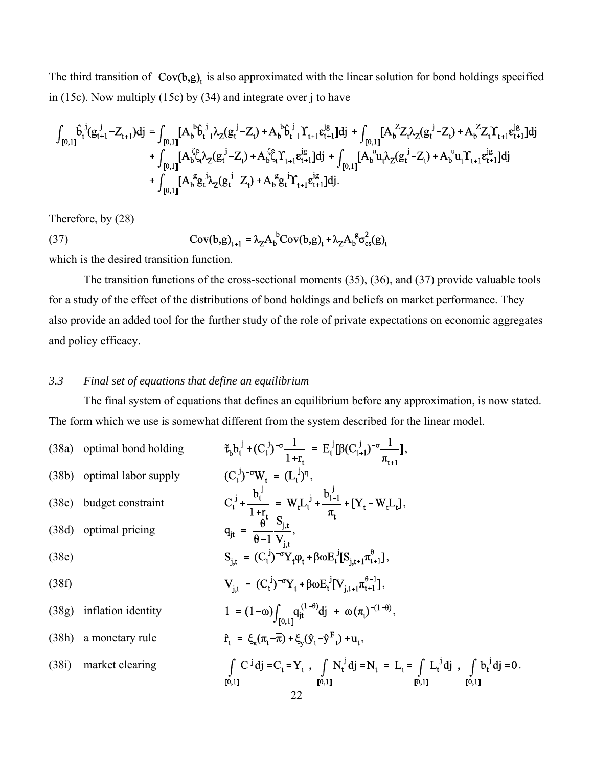The third transition of  $Cov(b,g)$ <sub>t</sub> is also approximated with the linear solution for bond holdings specified in (15c). Now multiply (15c) by (34) and integrate over j to have

$$
\begin{aligned} \int_{[0,1]} \hat{b}_t^{\ j} (g_{t+1}^{j} - Z_{t+1}) dj &= \int_{[0,1]} [A_b^{\ b} \hat{b}_{t-1}^{\ j} \lambda_Z (g_t^{j} - Z_t) + A_b^{\ b} \hat{b}_{t-1}^{\ j} \Upsilon_{t+1} e_{t+1}^{j g}] dj + \int_{[0,1]} [A_b^{\ Z} Z_t \lambda_Z (g_t^{j} - Z_t) + A_b^{\ Z} Z_t \Upsilon_{t+1} e_{t+1}^{j g}] dj \\ &\quad + \int_{[0,1]} [A_b^{\ \zeta} \hat{\zeta}_t \lambda_Z (g_t^{j} - Z_t) + A_b^{\ \zeta} \hat{\zeta}_t \Upsilon_{t+1} e_{t+1}^{j g}] dj + \int_{[0,1]} [A_b^{\ u} u_t \lambda_Z (g_t^{j} - Z_t) + A_b^{\ u} u_t \Upsilon_{t+1} e_{t+1}^{j g}] dj \\ &\quad + \int_{[0,1]} [A_b^{\ \ g} g_t^{\ j} \lambda_Z (g_t^{j} - Z_t) + A_b^{\ \ g} g_t^{\ j} \Upsilon_{t+1} e_{t+1}^{j g}] dj. \end{aligned}
$$

Therefore, by (28)

Therefore, by (28)  
\n
$$
Cov(b,g)_{t+1} = \lambda_Z A_b^b Cov(b,g)_t + \lambda_Z A_b^g \sigma_{cs}^2(g)_t
$$

which is the desired transition function.

The transition functions of the cross-sectional moments (35), (36), and (37) provide valuable tools for a study of the effect of the distributions of bond holdings and beliefs on market performance. They also provide an added tool for the further study of the role of private expectations on economic aggregates and policy efficacy.

### *3.3 Final set of equations that define an equilibrium*

The final system of equations that defines an equilibrium before any approximation, is now stated. The form which we use is somewhat different from the system described for the linear model.

|       | (38a) optimal bond holding | $\tilde{\tau}_{b} b_{t}^{j} + (C_{t}^{j})^{-\sigma} \frac{1}{1+r_{t}} = E_{t}^{j} [\beta (C_{t+1}^{j})^{-\sigma} \frac{1}{\pi_{t+1}}],$                                                             |
|-------|----------------------------|-----------------------------------------------------------------------------------------------------------------------------------------------------------------------------------------------------|
|       | (38b) optimal labor supply | $(C_t^{j})^{-\sigma}W_t = (L_t^{j})^{\eta},$                                                                                                                                                        |
|       | (38c) budget constraint    | $C_t^j + \frac{b_t^j}{1+r_t} = W_t L_t^j + \frac{b_{t-1}^j}{\pi_t} + [Y_t - W_t L_t],$<br>$q_{jt} = \frac{\theta}{\theta - 1} \frac{S_{j,t}}{V_{i,t}},$                                             |
|       | (38d) optimal pricing      |                                                                                                                                                                                                     |
| (38e) |                            | $S_{i,t} = (C_t^{j})^{-\sigma} Y_t \varphi_t + \beta \omega E_t^{j} [S_{i,t+1} \pi_{t+1}^{\theta}],$                                                                                                |
| (38f) |                            | $V_{i,t} = (C_t^{j})^{-\sigma} Y_t + \beta \omega E_t^{j} [V_{i,t+1} \pi_{t+1}^{\theta-1}],$                                                                                                        |
|       | $(38g)$ inflation identity | 1 = $(1-\omega)\int_{[0,1]} q_{jt}^{(1-\theta)} dj + \omega(\pi_t)^{-(1-\theta)},$                                                                                                                  |
|       | (38h) a monetary rule      | $\hat{\mathbf{r}}_{t} = \xi_{\pi}(\pi_{t} - \overline{\pi}) + \xi_{v}(\hat{\mathbf{y}}_{t} - \hat{\mathbf{y}}^{F}_{t}) + \mathbf{u}_{t}$                                                            |
|       | (38i) market clearing      | $\int C^{j} d\mathbf{j} = C_{t} = Y_{t}$ , $\int N_{t}^{j} d\mathbf{j} = N_{t} = L_{t} = \int L_{t}^{j} d\mathbf{j}$ , $\int b_{t}^{j} d\mathbf{j} = 0$ .<br>[0,1]<br>[0,1]<br>[0,1]<br>[0,1]<br>22 |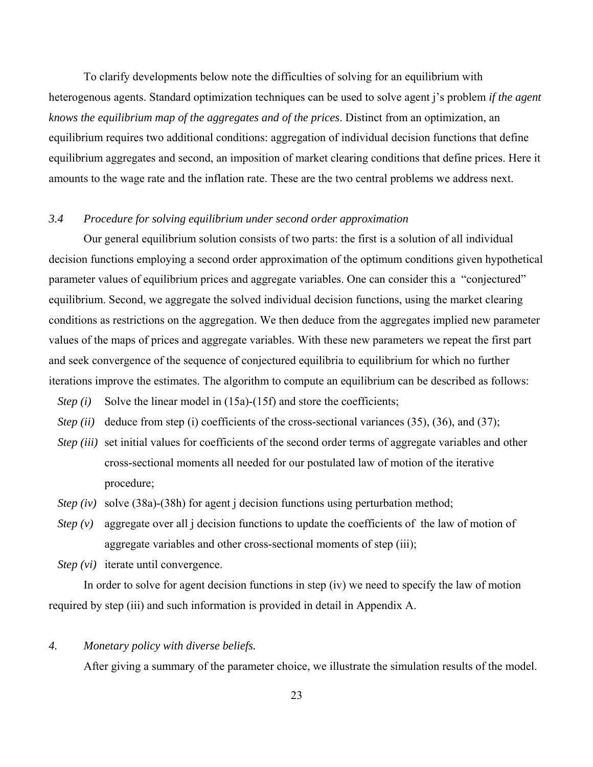To clarify developments below note the difficulties of solving for an equilibrium with heterogenous agents. Standard optimization techniques can be used to solve agent j's problem *if the agent knows the equilibrium map of the aggregates and of the prices*. Distinct from an optimization, an equilibrium requires two additional conditions: aggregation of individual decision functions that define equilibrium aggregates and second, an imposition of market clearing conditions that define prices. Here it amounts to the wage rate and the inflation rate. These are the two central problems we address next.

### *3.4 Procedure for solving equilibrium under second order approximation*

Our general equilibrium solution consists of two parts: the first is a solution of all individual decision functions employing a second order approximation of the optimum conditions given hypothetical parameter values of equilibrium prices and aggregate variables. One can consider this a "conjectured" equilibrium. Second, we aggregate the solved individual decision functions, using the market clearing conditions as restrictions on the aggregation. We then deduce from the aggregates implied new parameter values of the maps of prices and aggregate variables. With these new parameters we repeat the first part and seek convergence of the sequence of conjectured equilibria to equilibrium for which no further iterations improve the estimates. The algorithm to compute an equilibrium can be described as follows:

- *Step (i)* Solve the linear model in (15a)-(15f) and store the coefficients;
- *Step (ii)* deduce from step (i) coefficients of the cross-sectional variances (35), (36), and (37);
- *Step (iii)* set initial values for coefficients of the second order terms of aggregate variables and other cross-sectional moments all needed for our postulated law of motion of the iterative procedure;
- *Step (iv)* solve (38a)-(38h) for agent *j* decision functions using perturbation method;
- *Step*  $(v)$  aggregate over all *j* decision functions to update the coefficients of the law of motion of aggregate variables and other cross-sectional moments of step (iii);
- *Step (vi)* iterate until convergence.

In order to solve for agent decision functions in step (iv) we need to specify the law of motion required by step (iii) and such information is provided in detail in Appendix A.

*4. Monetary policy with diverse beliefs.*

After giving a summary of the parameter choice, we illustrate the simulation results of the model.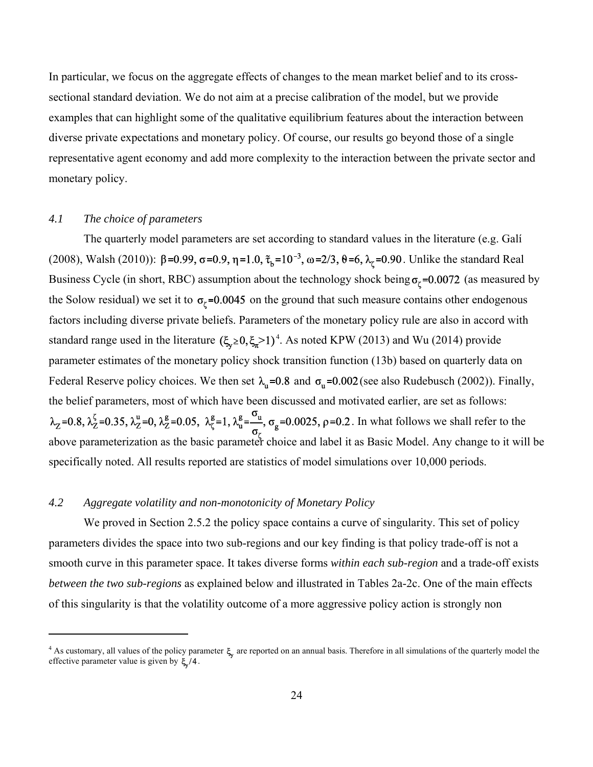In particular, we focus on the aggregate effects of changes to the mean market belief and to its crosssectional standard deviation. We do not aim at a precise calibration of the model, but we provide examples that can highlight some of the qualitative equilibrium features about the interaction between diverse private expectations and monetary policy. Of course, our results go beyond those of a single representative agent economy and add more complexity to the interaction between the private sector and monetary policy.

## *4.1 The choice of parameters*

The quarterly model parameters are set according to standard values in the literature (e.g. Galí (2008), Walsh (2010)):  $\beta = 0.99$ ,  $\sigma = 0.9$ ,  $\eta = 1.0$ ,  $\tilde{\tau}_b = 10^{-3}$ ,  $\omega = 2/3$ ,  $\theta = 6$ ,  $\lambda_\zeta = 0.90$ . Unlike the standard Real Business Cycle (in short, RBC) assumption about the technology shock being  $\sigma_{\zeta}$ =0.0072 (as measured by the Solow residual) we set it to  $\sigma_{\zeta}$ =0.0045 on the ground that such measure contains other endogenous factors including diverse private beliefs. Parameters of the monetary policy rule are also in accord with standard range used in the literature  $(\xi_{\nu} \ge 0, \xi_{\nu} \ge 1)^4$ . As noted KPW (2013) and Wu (2014) provide parameter estimates of the monetary policy shock transition function (13b) based on quarterly data on Federal Reserve policy choices. We then set  $\lambda_n = 0.8$  and  $\sigma_n = 0.002$  (see also Rudebusch (2002)). Finally, the belief parameters, most of which have been discussed and motivated earlier, are set as follows:  $\lambda_z = 0.8$ ,  $\lambda_z^{\zeta} = 0.35$ ,  $\lambda_z^{\mu} = 0$ ,  $\lambda_z^{\mu} = 0.05$ ,  $\lambda_z^{\mu} = 1$ ,  $\lambda_u^{\mu} = \frac{\sigma_u}{\sigma}$ ,  $\sigma_g = 0.0025$ ,  $\rho = 0.2$ . In what follows we shall refer to the above parameterization as the basic parameter choice and label it as Basic Model. Any change to it will be specifically noted. All results reported are statistics of model simulations over 10,000 periods.

## *4.2 Aggregate volatility and non-monotonicity of Monetary Policy*

We proved in Section 2.5.2 the policy space contains a curve of singularity. This set of policy parameters divides the space into two sub-regions and our key finding is that policy trade-off is not a smooth curve in this parameter space. It takes diverse forms *within each sub-region* and a trade-off exists *between the two sub-regions* as explained below and illustrated in Tables 2a-2c. One of the main effects of this singularity is that the volatility outcome of a more aggressive policy action is strongly non

<sup>&</sup>lt;sup>4</sup> As customary, all values of the policy parameter  $\xi$ , are reported on an annual basis. Therefore in all simulations of the quarterly model the effective parameter value is given by  $\xi/4$ .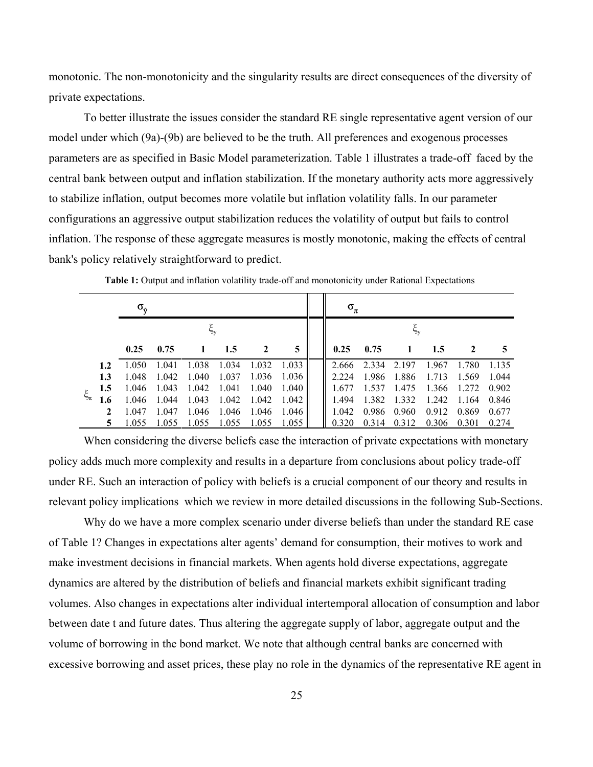monotonic. The non-monotonicity and the singularity results are direct consequences of the diversity of private expectations.

To better illustrate the issues consider the standard RE single representative agent version of our model under which (9a)-(9b) are believed to be the truth. All preferences and exogenous processes parameters are as specified in Basic Model parameterization. Table 1 illustrates a trade-off faced by the central bank between output and inflation stabilization. If the monetary authority acts more aggressively to stabilize inflation, output becomes more volatile but inflation volatility falls. In our parameter configurations an aggressive output stabilization reduces the volatility of output but fails to control inflation. The response of these aggregate measures is mostly monotonic, making the effects of central bank's policy relatively straightforward to predict.

|             |              | $\sigma_{\rm o}$ |       |              |       |       |       | $\sigma_{\pi}$ |             |              |             |              |       |
|-------------|--------------|------------------|-------|--------------|-------|-------|-------|----------------|-------------|--------------|-------------|--------------|-------|
|             |              |                  |       | ξ,           |       |       |       |                |             |              |             |              |       |
|             |              | 0.25             | 0.75  | $\mathbf{1}$ | 1.5   |       | 5     | 0.25           | 0.75        | $\mathbf{1}$ | 1.5         | $\mathbf{2}$ |       |
|             | 1.2          | 1.050            | 1.041 | 1.038        | 1.034 | 1.032 | 1.033 | 2.666          | 2.334 2.197 |              | 1.967 1.780 |              | 1.135 |
|             | 1.3          | 1.048            | 1.042 | 1.040        | 1.037 | 1.036 | 1.036 | 2 2 2 4        | 1.986       | 1.886        | 1.713       | 1.569        | 1.044 |
|             | 1.5          | 1.046            | 1.043 | 1.042 1.041  |       | 1.040 | 1.040 | 1677           | 1.537       | 1.475        | 1.366 1.272 |              | 0.902 |
| $\xi_{\pi}$ | 1.6          | 1.046            | 1.044 | 1.043        | 1.042 | 1.042 | 1.042 | 1494           |             | 1.382 1.332  | 1.242 1.164 |              | 0.846 |
|             | $\mathbf{2}$ | 1.047            | 1.047 | 1.046        | 1.046 | 1.046 | 1.046 | 1 042          | 0.986       | 0.960        | 0.912       | 0.869        | 0.677 |
|             |              | 1.055            | 1.055 | 1.055        | 1.055 | 1.055 | 1.055 |                | 0.314       | 0.312        | 0.306 0.301 |              | 0.274 |

**Table 1:** Output and inflation volatility trade-off and monotonicity under Rational Expectations

When considering the diverse beliefs case the interaction of private expectations with monetary policy adds much more complexity and results in a departure from conclusions about policy trade-off under RE. Such an interaction of policy with beliefs is a crucial component of our theory and results in relevant policy implications which we review in more detailed discussions in the following Sub-Sections.

Why do we have a more complex scenario under diverse beliefs than under the standard RE case of Table 1? Changes in expectations alter agents' demand for consumption, their motives to work and make investment decisions in financial markets. When agents hold diverse expectations, aggregate dynamics are altered by the distribution of beliefs and financial markets exhibit significant trading volumes. Also changes in expectations alter individual intertemporal allocation of consumption and labor between date t and future dates. Thus altering the aggregate supply of labor, aggregate output and the volume of borrowing in the bond market. We note that although central banks are concerned with excessive borrowing and asset prices, these play no role in the dynamics of the representative RE agent in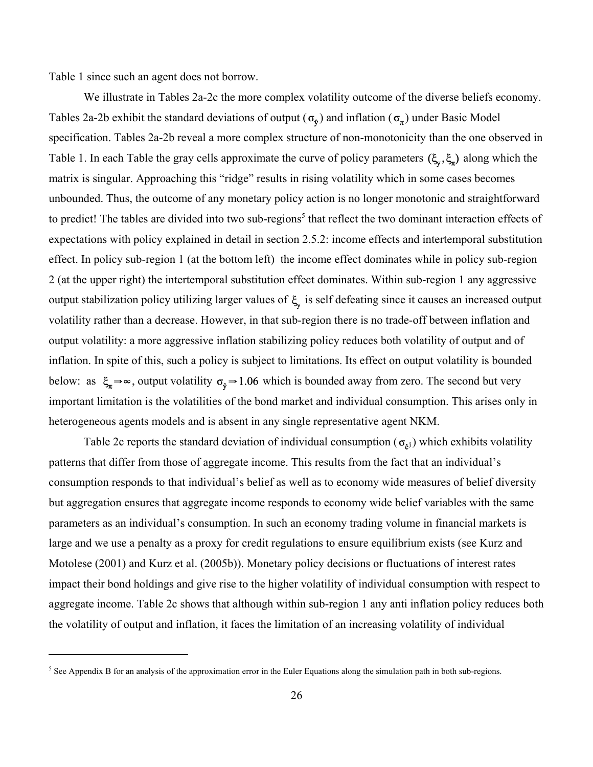Table 1 since such an agent does not borrow.

We illustrate in Tables 2a-2c the more complex volatility outcome of the diverse beliefs economy. Tables 2a-2b exhibit the standard deviations of output ( $\sigma_{\phi}$ ) and inflation ( $\sigma_{\pi}$ ) under Basic Model specification. Tables 2a-2b reveal a more complex structure of non-monotonicity than the one observed in Table 1. In each Table the gray cells approximate the curve of policy parameters  $(\xi_v, \xi_n)$  along which the matrix is singular. Approaching this "ridge" results in rising volatility which in some cases becomes unbounded. Thus, the outcome of any monetary policy action is no longer monotonic and straightforward to predict! The tables are divided into two sub-regions<sup>5</sup> that reflect the two dominant interaction effects of expectations with policy explained in detail in section 2.5.2: income effects and intertemporal substitution effect. In policy sub-region 1 (at the bottom left) the income effect dominates while in policy sub-region 2 (at the upper right) the intertemporal substitution effect dominates. Within sub-region 1 any aggressive output stabilization policy utilizing larger values of  $\xi$  is self defeating since it causes an increased output volatility rather than a decrease. However, in that sub-region there is no trade-off between inflation and output volatility: a more aggressive inflation stabilizing policy reduces both volatility of output and of inflation. In spite of this, such a policy is subject to limitations. Its effect on output volatility is bounded below: as  $\xi_{\pi} \rightarrow \infty$ , output volatility  $\sigma_{\phi} \rightarrow 1.06$  which is bounded away from zero. The second but very important limitation is the volatilities of the bond market and individual consumption. This arises only in heterogeneous agents models and is absent in any single representative agent NKM.

Table 2c reports the standard deviation of individual consumption ( $\sigma_{\rm el}$ ) which exhibits volatility patterns that differ from those of aggregate income. This results from the fact that an individual's consumption responds to that individual's belief as well as to economy wide measures of belief diversity but aggregation ensures that aggregate income responds to economy wide belief variables with the same parameters as an individual's consumption. In such an economy trading volume in financial markets is large and we use a penalty as a proxy for credit regulations to ensure equilibrium exists (see Kurz and Motolese (2001) and Kurz et al. (2005b)). Monetary policy decisions or fluctuations of interest rates impact their bond holdings and give rise to the higher volatility of individual consumption with respect to aggregate income. Table 2c shows that although within sub-region 1 any anti inflation policy reduces both the volatility of output and inflation, it faces the limitation of an increasing volatility of individual

<sup>&</sup>lt;sup>5</sup> See Appendix B for an analysis of the approximation error in the Euler Equations along the simulation path in both sub-regions.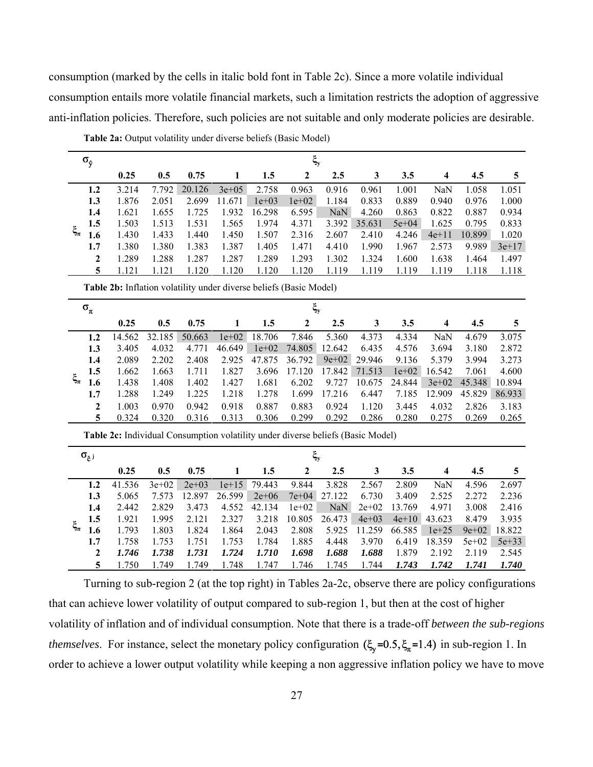consumption (marked by the cells in italic bold font in Table 2c). Since a more volatile individual consumption entails more volatile financial markets, such a limitation restricts the adoption of aggressive anti-inflation policies. Therefore, such policies are not suitable and only moderate policies are desirable.

|             | $\sigma_{\hat{y}}$       |                                                                                 |           |           |              |         | $\xi_{\rm y}$    |           |           |           |                         |           |           |
|-------------|--------------------------|---------------------------------------------------------------------------------|-----------|-----------|--------------|---------|------------------|-----------|-----------|-----------|-------------------------|-----------|-----------|
|             |                          | 0.25                                                                            | 0.5       | 0.75      | $\mathbf{1}$ | 1.5     | $\boldsymbol{2}$ | 2.5       | 3         | 3.5       | $\overline{\mathbf{4}}$ | 4.5       | 5         |
|             | 1.2                      | 3.214                                                                           | 7.792     | 20.126    | $3e + 05$    | 2.758   | 0.963            | 0.916     | 0.961     | 1.001     | NaN                     | 1.058     | 1.051     |
|             | 1.3                      | 1.876                                                                           | 2.051     | 2.699     | 11.671       | $1e+03$ | $1e+02$          | 1.184     | 0.833     | 0.889     | 0.940                   | 0.976     | 1.000     |
|             | 1.4                      | 1.621                                                                           | 1.655     | 1.725     | 1.932        | 16.298  | 6.595            | NaN       | 4.260     | 0.863     | 0.822                   | 0.887     | 0.934     |
|             | 1.5                      | 1.503                                                                           | 1.513     | 1.531     | 1.565        | 1.974   | 4.371            | 3.392     | 35.631    | $5e + 04$ | 1.625                   | 0.795     | 0.833     |
| $\xi_{\pi}$ | 1.6                      | 1.430                                                                           | 1.433     | 1.440     | 1.450        | 1.507   | 2.316            | 2.607     | 2.410     | 4.246     | $4e + 11$               | 10.899    | 1.020     |
|             | 1.7                      | 1.380                                                                           | 1.380     | 1.383     | 1.387        | 1.405   | 1.471            | 4.410     | 1.990     | 1.967     | 2.573                   | 9.989     | $3e+17$   |
|             | $\boldsymbol{2}$         | 1.289                                                                           | 1.288     | 1.287     | 1.287        | 1.289   | 1.293            | 1.302     | 1.324     | 1.600     | 1.638                   | 1.464     | 1.497     |
|             | 5                        | 1.121                                                                           | 1.121     | 1.120     | 1.120        | 1.120   | 1.120            | 1.119     | 1.119     | 1.119     | 1.119                   | 1.118     | 1.118     |
|             |                          | Table 2b: Inflation volatility under diverse beliefs (Basic Model)              |           |           |              |         |                  |           |           |           |                         |           |           |
|             | $\sigma_{\!\pi}$         | $\xi_{\rm y}$                                                                   |           |           |              |         |                  |           |           |           |                         |           |           |
|             |                          | 0.25                                                                            | 0.5       | 0.75      | 1            | 1.5     | $\boldsymbol{2}$ | 2.5       | 3         | 3.5       | $\overline{\mathbf{4}}$ | 4.5       | 5         |
|             | 1.2                      | 14.562                                                                          | 32.185    | 50.663    | $1e+02$      | 18.706  | 7.846            | 5.360     | 4.373     | 4.334     | NaN                     | 4.679     | 3.075     |
|             | 1.3                      | 3.405                                                                           | 4.032     | 4.771     | 46.649       | $1e+02$ | 74.805           | 12.642    | 6.435     | 4.576     | 3.694                   | 3.180     | 2.872     |
|             | 1.4                      | 2.089                                                                           | 2.202     | 2.408     | 2.925        | 47.875  | 36.792           | $9e + 02$ | 29.946    | 9.136     | 5.379                   | 3.994     | 3.273     |
|             | 1.5                      | 1.662                                                                           | 1.663     | 1.711     | 1.827        | 3.696   | 17.120           | 17.842    | 71.513    | $1e+02$   | 16.542                  | 7.061     | 4.600     |
| $\xi_{\pi}$ | 1.6                      | 1.438                                                                           | 1.408     | 1.402     | 1.427        | 1.681   | 6.202            | 9.727     | 10.675    | 24.844    | $3e+02$                 | 45.348    | 10.894    |
|             | 1.7                      | 1.288                                                                           | 1.249     | 1.225     | 1.218        | 1.278   | 1.699            | 17.216    | 6.447     | 7.185     | 12.909                  | 45.829    | 86.933    |
|             | $\boldsymbol{2}$         | 1.003                                                                           | 0.970     | 0.942     | 0.918        | 0.887   | 0.883            | 0.924     | 1.120     | 3.445     | 4.032                   | 2.826     | 3.183     |
|             | 5                        | 0.324                                                                           | 0.320     | 0.316     | 0.313        | 0.306   | 0.299            | 0.292     | 0.286     | 0.280     | 0.275                   | 0.269     | 0.265     |
|             |                          | Table 2c: Individual Consumption volatility under diverse beliefs (Basic Model) |           |           |              |         |                  |           |           |           |                         |           |           |
|             | $\sigma_{\hat{c}^{\,j}}$ |                                                                                 |           |           |              |         | $\xi_{\rm y}$    |           |           |           |                         |           |           |
|             |                          | 0.25                                                                            | 0.5       | 0.75      | $\mathbf{1}$ | 1.5     | $\boldsymbol{2}$ | 2.5       | 3         | 3.5       | $\overline{\mathbf{4}}$ | 4.5       | 5         |
|             | 1.2                      | 41.536                                                                          | $3e + 02$ | $2e + 03$ | $1e+15$      | 79.443  | 9.844            | 3.828     | 2.567     | 2.809     | NaN                     | 4.596     | 2.697     |
|             | 1.3                      | 5.065                                                                           | 7.573     | 12.897    | 26.599       | $2e+06$ | $7e + 04$        | 27.122    | 6.730     | 3.409     | 2.525                   | 2.272     | 2.236     |
|             | 1.4                      | 2.442                                                                           | 2.829     | 3.473     | 4.552        | 42.134  | $1e+02$          | NaN       | $2e + 02$ | 13.769    | 4.971                   | 3.008     | 2.416     |
|             | 1.5                      | 1.921                                                                           | 1.995     | 2.121     | 2.327        | 3.218   | 10.805           | 26.473    | $4e + 03$ | $4e + 10$ | 43.623                  | 8.479     | 3.935     |
| $\xi_{\pi}$ | 1.6                      | 1.793                                                                           | 1.803     | 1.824     | 1.864        | 2.043   | 2.808            | 5.925     | 11.259    | 66.585    | $1e + 25$               | $9e + 02$ | 18.822    |
|             | 1.7                      | 1.758                                                                           | 1.753     | 1.751     | 1.753        | 1.784   | 1.885            | 4.448     | 3.970     | 6.419     | 18.359                  | $5e + 02$ | $5e + 33$ |
|             | 2                        | 1.746                                                                           | 1.738     | 1.731     | 1.724        | 1.710   | 1.698            | 1.688     | 1.688     | 1.879     | 2.192                   | 2.119     | 2.545     |

**Table 2a:** Output volatility under diverse beliefs (Basic Model)

Turning to sub-region 2 (at the top right) in Tables 2a-2c, observe there are policy configurations that can achieve lower volatility of output compared to sub-region 1, but then at the cost of higher volatility of inflation and of individual consumption. Note that there is a trade-off *between the sub-regions themselves*. For instance, select the monetary policy configuration  $(\xi_y=0.5, \xi_x=1.4)$  in sub-region 1. In order to achieve a lower output volatility while keeping a non aggressive inflation policy we have to move

**5** 1.750 1.749 1.749 1.748 1.747 1.746 1.745 1.744 *1.743 1.742 1.741 1.740*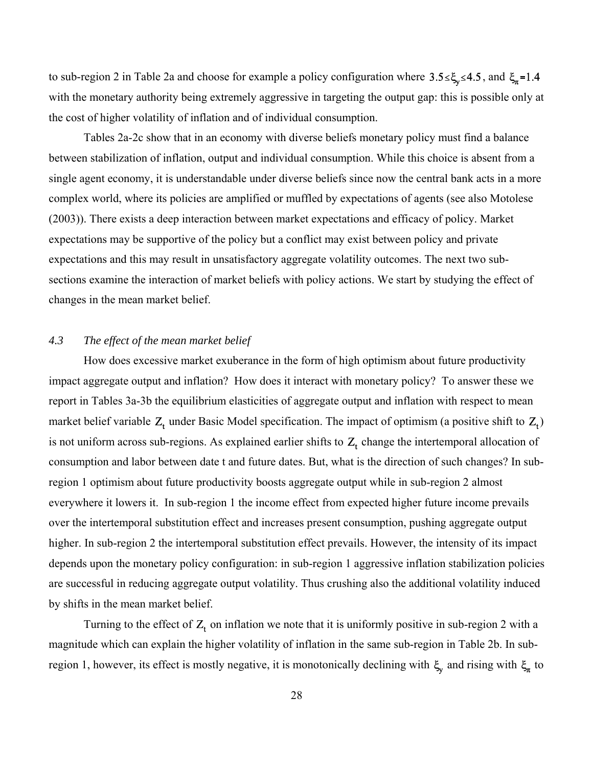to sub-region 2 in Table 2a and choose for example a policy configuration where  $3.5 \leq \xi_y \leq 4.5$ , and  $\xi_{\pi} = 1.4$ with the monetary authority being extremely aggressive in targeting the output gap: this is possible only at the cost of higher volatility of inflation and of individual consumption.

Tables 2a-2c show that in an economy with diverse beliefs monetary policy must find a balance between stabilization of inflation, output and individual consumption. While this choice is absent from a single agent economy, it is understandable under diverse beliefs since now the central bank acts in a more complex world, where its policies are amplified or muffled by expectations of agents (see also Motolese (2003)). There exists a deep interaction between market expectations and efficacy of policy. Market expectations may be supportive of the policy but a conflict may exist between policy and private expectations and this may result in unsatisfactory aggregate volatility outcomes. The next two subsections examine the interaction of market beliefs with policy actions. We start by studying the effect of changes in the mean market belief.

#### *4.3 The effect of the mean market belief*

How does excessive market exuberance in the form of high optimism about future productivity impact aggregate output and inflation? How does it interact with monetary policy? To answer these we report in Tables 3a-3b the equilibrium elasticities of aggregate output and inflation with respect to mean market belief variable  $Z_t$  under Basic Model specification. The impact of optimism (a positive shift to  $Z_t$ ) is not uniform across sub-regions. As explained earlier shifts to  $Z_t$  change the intertemporal allocation of consumption and labor between date t and future dates. But, what is the direction of such changes? In subregion 1 optimism about future productivity boosts aggregate output while in sub-region 2 almost everywhere it lowers it. In sub-region 1 the income effect from expected higher future income prevails over the intertemporal substitution effect and increases present consumption, pushing aggregate output higher. In sub-region 2 the intertemporal substitution effect prevails. However, the intensity of its impact depends upon the monetary policy configuration: in sub-region 1 aggressive inflation stabilization policies are successful in reducing aggregate output volatility. Thus crushing also the additional volatility induced by shifts in the mean market belief.

Turning to the effect of  $Z_t$ , on inflation we note that it is uniformly positive in sub-region 2 with a magnitude which can explain the higher volatility of inflation in the same sub-region in Table 2b. In subregion 1, however, its effect is mostly negative, it is monotonically declining with  $\xi$ <sub>x</sub> and rising with  $\xi$ <sub>x</sub> to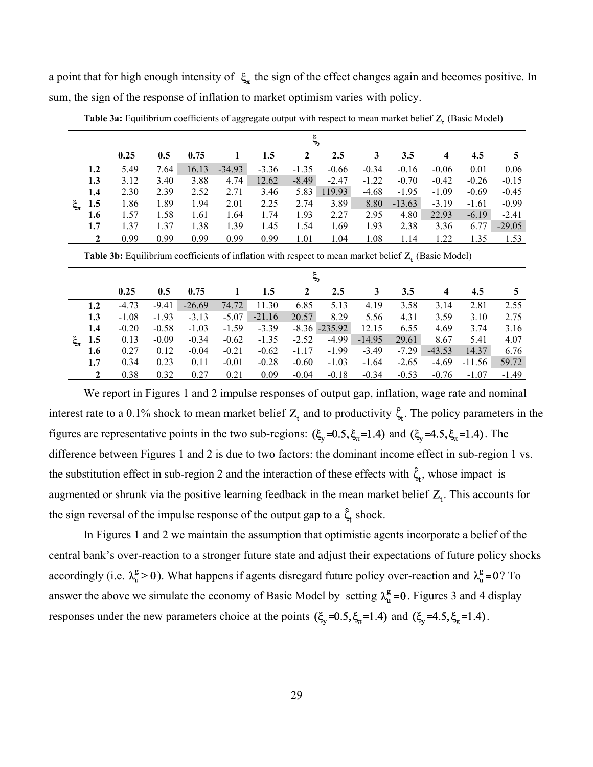a point that for high enough intensity of  $\xi_n$  the sign of the effect changes again and becomes positive. In sum, the sign of the response of inflation to market optimism varies with policy.

|             |              | $\boldsymbol{\xi}_{\mathbf{y}}$ |      |       |          |         |         |         |         |          |         |         |          |
|-------------|--------------|---------------------------------|------|-------|----------|---------|---------|---------|---------|----------|---------|---------|----------|
|             |              | 0.25                            | 0.5  | 0.75  |          | 1.5     | 2       | 2.5     | 3       | 3.5      | 4       | 4.5     |          |
|             | 1.2          | 5.49                            | 7.64 | 16.13 | $-34.93$ | $-3.36$ | $-1.35$ | $-0.66$ | $-0.34$ | $-0.16$  | $-0.06$ | 0.01    | 0.06     |
|             | 1.3          | 3.12                            | 3.40 | 3.88  | 4.74     | 12.62   | $-8.49$ | $-2.47$ | $-1.22$ | $-0.70$  | $-0.42$ | $-0.26$ | $-0.15$  |
|             | 1.4          | 2.30                            | 2.39 | 2.52  | 2.71     | 3.46    | 5.83    | 119.93  | $-4.68$ | $-1.95$  | $-1.09$ | $-0.69$ | $-0.45$  |
| $\xi_{\pi}$ | 1.5          | 1.86                            | 1.89 | 1.94  | 2.01     | 2.25    | 2.74    | 3.89    | 8.80    | $-13.63$ | $-3.19$ | $-1.61$ | $-0.99$  |
|             | 1.6          | 1.57                            | 1.58 | 1.61  | 1.64     | 1.74    | 1.93    | 2.27    | 2.95    | 4.80     | 22.93   | $-6.19$ | $-2.41$  |
|             | 1.7          | 1.37                            | 1.37 | 1.38  | 1.39     | 1.45    | 1.54    | 1.69    | 1.93    | 2.38     | 3.36    | 6.77    | $-29.05$ |
|             | $\mathbf{2}$ | 0.99                            | 0.99 | 0.99  | 0.99     | 0.99    | 1.01    | 1.04    | 1.08    | 1.14     | 1.22    | 1.35    | 1.53     |
|             |              |                                 |      |       |          |         |         |         |         |          |         |         |          |

Table 3a: Equilibrium coefficients of aggregate output with respect to mean market belief Z<sub>t</sub> (Basic Model)

Table 3b: Equilibrium coefficients of inflation with respect to mean market belief Z<sub>t</sub> (Basic Model)

|     | $\xi_{\rm v}$ |         |          |         |          |         |                  |          |         |                |          |         |  |
|-----|---------------|---------|----------|---------|----------|---------|------------------|----------|---------|----------------|----------|---------|--|
|     | 0.25          | 0.5     | 0.75     |         | 1.5      | 2       | 2.5              | 3        | 3.5     | $\overline{4}$ | 4.5      | 5       |  |
| 1.2 | $-4.73$       | $-9.41$ | $-26.69$ | 74.72   | 11.30    | 6.85    | 5.13             | 4.19     | 3.58    | 3.14           | 2.81     | 2.55    |  |
| 1.3 | $-1.08$       | $-1.93$ | $-3.13$  | $-5.07$ | $-21.16$ | 20.57   | 8.29             | 5.56     | 4.31    | 3.59           | 3.10     | 2.75    |  |
| 1.4 | $-0.20$       | $-0.58$ | $-1.03$  | $-1.59$ | $-3.39$  |         | $-8.36 - 235.92$ | 12.15    | 6.55    | 4.69           | 3.74     | 3.16    |  |
| 1.5 | 0.13          | $-0.09$ | $-0.34$  | $-0.62$ | $-1.35$  | $-2.52$ | $-4.99$          | $-14.95$ | 29.61   | 8.67           | 5.41     | 4.07    |  |
| 1.6 | 0.27          | 0.12    | $-0.04$  | $-0.21$ | $-0.62$  | $-1.17$ | $-1.99$          | $-3.49$  | $-7.29$ | $-43.53$       | 14.37    | 6.76    |  |
| 1.7 | 0.34          | 0.23    | 0.11     | $-0.01$ | $-0.28$  | $-0.60$ | $-1.03$          | $-1.64$  | $-2.65$ | $-4.69$        | $-11.56$ | 59.72   |  |
|     | 0.38          | 0.32    | 0.27     | 0.21    | 0.09     | $-0.04$ | $-0.18$          | $-0.34$  | $-0.53$ | $-0.76$        | $-1.07$  | $-1.49$ |  |

We report in Figures 1 and 2 impulse responses of output gap, inflation, wage rate and nominal interest rate to a 0.1% shock to mean market belief  $Z_t$  and to productivity  $\zeta_t$ . The policy parameters in the figures are representative points in the two sub-regions:  $(\xi_y=0.5, \xi_\pi=1.4)$  and  $(\xi_y=4.5, \xi_\pi=1.4)$ . The difference between Figures 1 and 2 is due to two factors: the dominant income effect in sub-region 1 vs. the substitution effect in sub-region 2 and the interaction of these effects with  $\hat{\zeta}_t$ , whose impact is augmented or shrunk via the positive learning feedback in the mean market belief  $Z_t$ . This accounts for the sign reversal of the impulse response of the output gap to a  $\hat{\zeta}_t$  shock.

In Figures 1 and 2 we maintain the assumption that optimistic agents incorporate a belief of the central bank's over-reaction to a stronger future state and adjust their expectations of future policy shocks accordingly (i.e.  $\lambda_u^g > 0$ ). What happens if agents disregard future policy over-reaction and  $\lambda_u^g = 0$ ? To answer the above we simulate the economy of Basic Model by setting  $\lambda_u^g = 0$ . Figures 3 and 4 display responses under the new parameters choice at the points  $(\xi_y=0.5, \xi_\pi=1.4)$  and  $(\xi_y=4.5, \xi_\pi=1.4)$ .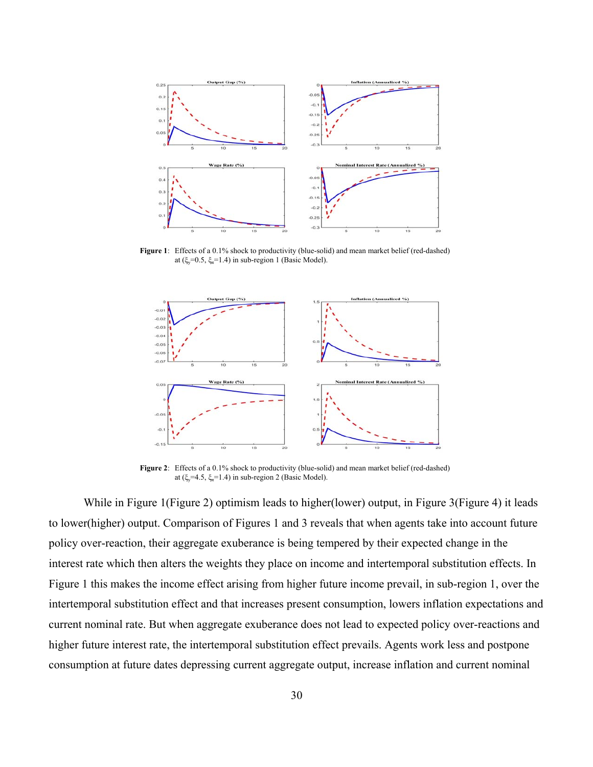

Figure 1: Effects of a 0.1% shock to productivity (blue-solid) and mean market belief (red-dashed) at (ξ<sub>v</sub>=0.5, ξ<sub>π</sub>=1.4) in sub-region 1 (Basic Model).



Figure 2: Effects of a 0.1% shock to productivity (blue-solid) and mean market belief (red-dashed) at (ξ<sub> $v$ </sub>=4.5, ξ<sub>π</sub>=1.4) in sub-region 2 (Basic Model).

While in Figure 1(Figure 2) optimism leads to higher(lower) output, in Figure 3(Figure 4) it leads to lower(higher) output. Comparison of Figures 1 and 3 reveals that when agents take into account future policy over-reaction, their aggregate exuberance is being tempered by their expected change in the interest rate which then alters the weights they place on income and intertemporal substitution effects. In Figure 1 this makes the income effect arising from higher future income prevail, in sub-region 1, over the intertemporal substitution effect and that increases present consumption, lowers inflation expectations and current nominal rate. But when aggregate exuberance does not lead to expected policy over-reactions and higher future interest rate, the intertemporal substitution effect prevails. Agents work less and postpone consumption at future dates depressing current aggregate output, increase inflation and current nominal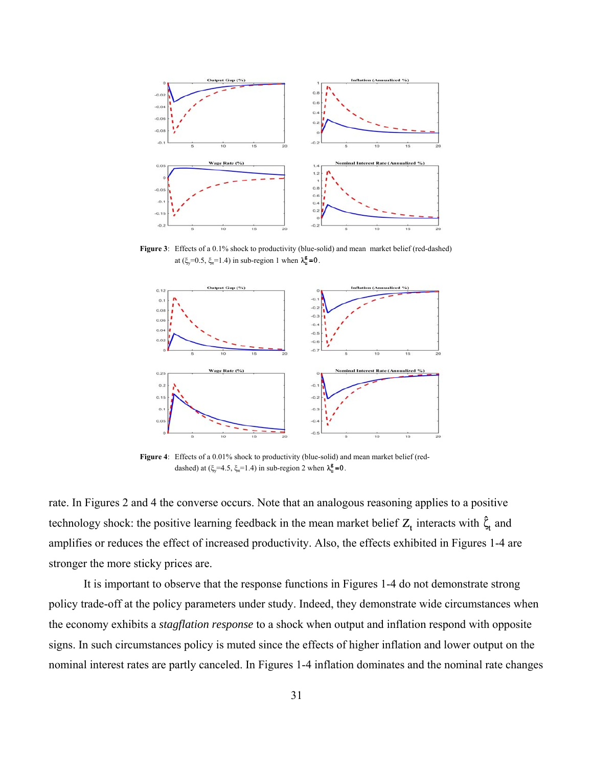

Figure 3: Effects of a 0.1% shock to productivity (blue-solid) and mean market belief (red-dashed) at ( $\xi_v$ =0.5,  $\xi_n$ =1.4) in sub-region 1 when  $\lambda_u^g$ =0



Figure 4: Effects of a 0.01% shock to productivity (blue-solid) and mean market belief (reddashed) at  $(\xi_v=4.5, \xi_v=1.4)$  in sub-region 2 when  $\lambda_u^g=0$ .

rate. In Figures 2 and 4 the converse occurs. Note that an analogous reasoning applies to a positive technology shock: the positive learning feedback in the mean market belief  $Z_t$  interacts with  $\hat{\zeta}_t$  and amplifies or reduces the effect of increased productivity. Also, the effects exhibited in Figures 1-4 are stronger the more sticky prices are.

It is important to observe that the response functions in Figures 1-4 do not demonstrate strong policy trade-off at the policy parameters under study. Indeed, they demonstrate wide circumstances when the economy exhibits a *stagflation response* to a shock when output and inflation respond with opposite signs. In such circumstances policy is muted since the effects of higher inflation and lower output on the nominal interest rates are partly canceled. In Figures 1-4 inflation dominates and the nominal rate changes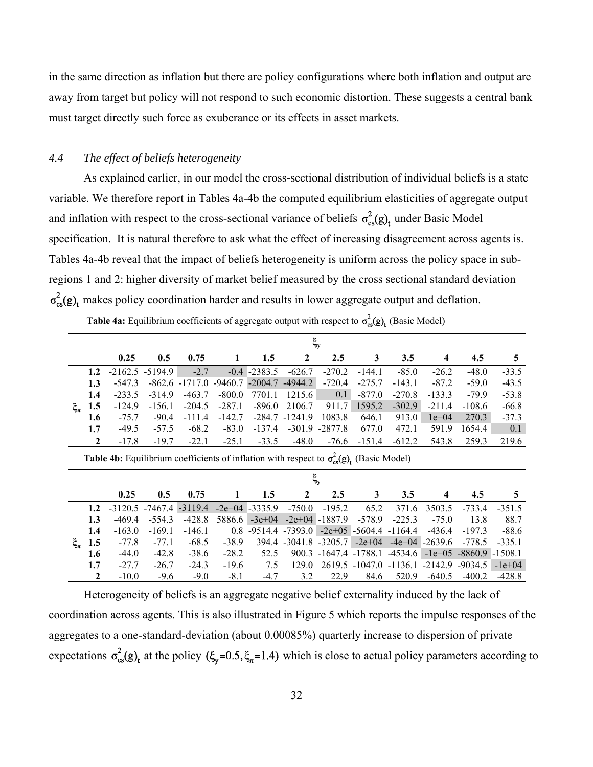in the same direction as inflation but there are policy configurations where both inflation and output are away from target but policy will not respond to such economic distortion. These suggests a central bank must target directly such force as exuberance or its effects in asset markets.

### *4.4 The effect of beliefs heterogeneity*

As explained earlier, in our model the cross-sectional distribution of individual beliefs is a state variable. We therefore report in Tables 4a-4b the computed equilibrium elasticities of aggregate output and inflation with respect to the cross-sectional variance of beliefs  $\sigma_{cs}^2(g)$ <sub>t</sub> under Basic Model specification. It is natural therefore to ask what the effect of increasing disagreement across agents is. Tables 4a-4b reveal that the impact of beliefs heterogeneity is uniform across the policy space in subregions 1 and 2: higher diversity of market belief measured by the cross sectional standard deviation  $\sigma_{cs}^2(g)$ , makes policy coordination harder and results in lower aggregate output and deflation.

|  | <b>Table 4a:</b> Equilibrium coefficients of aggregate output with respect to $\sigma_{cs}^2(g)$ <sub>t</sub> (Basic Model) |  |  |
|--|-----------------------------------------------------------------------------------------------------------------------------|--|--|
|--|-----------------------------------------------------------------------------------------------------------------------------|--|--|

|             |              |                                                                                                           |                    |                   |           |           |              | $\xi_{\rm y}$         |                |                              |                    |                    |          |
|-------------|--------------|-----------------------------------------------------------------------------------------------------------|--------------------|-------------------|-----------|-----------|--------------|-----------------------|----------------|------------------------------|--------------------|--------------------|----------|
|             |              | 0.25                                                                                                      | 0.5                | 0.75              |           | 1.5       | 2            | 2.5                   | 3              | 3.5                          | 4                  | 4.5                | 5        |
|             | 1.2          |                                                                                                           | $-2162.5 - 5194.9$ | $-2.7$            | $-0.4$    | $-2383.5$ | $-626.7$     | $-270.2$              | $-144.1$       | $-85.0$                      | $-26.2$            | $-48.0$            | $-33.5$  |
|             | 1.3          | $-547.3$                                                                                                  |                    | $-862.6 - 1717.0$ | $-9460.7$ | $-2004.7$ | $-4944.2$    | $-720.4$              | $-275.7$       | $-143.1$                     | $-87.2$            | $-59.0$            | $-43.5$  |
|             | 1.4          | $-233.5$                                                                                                  | $-314.9$           | $-463.7$          | $-800.0$  | 7701.1    | 1215.6       | 0.1                   | $-877.0$       | $-270.8$                     | $-133.3$           | $-79.9$            | $-53.8$  |
| $\xi_{\pi}$ | 1.5          | $-124.9$                                                                                                  | $-156.1$           | $-204.5$          | $-287.1$  | $-896.0$  | 2106.7       | 911.7                 | 1595.2         | $-302.9$                     | $-211.4$           | $-108.6$           | $-66.8$  |
|             | 1.6          | $-75.7$                                                                                                   | $-90.4$            | $-111.4$          | $-142.7$  | $-284.7$  | $-1241.9$    | 1083.8                | 646.1          | 913.0                        | $1e+04$            | 270.3              | $-37.3$  |
|             | 1.7          | $-49.5$                                                                                                   | $-57.5$            | $-68.2$           | $-83.0$   | $-137.4$  |              | $-301.9 - 2877.8$     | 677.0          | 472.1                        | 591.9              | 1654.4             | 0.1      |
|             | $\mathbf{2}$ | $-17.8$                                                                                                   | $-19.7$            | $-22.1$           | $-25.1$   | $-33.5$   | $-48.0$      | $-76.6$               | $-151.4$       | $-612.2$                     | 543.8              | 259.3              | 219.6    |
|             |              | <b>Table 4b:</b> Equilibrium coefficients of inflation with respect to $\sigma_{cs}^2(g)$ , (Basic Model) |                    |                   |           |           |              |                       |                |                              |                    |                    |          |
|             |              |                                                                                                           |                    |                   |           |           |              | $\xi_{\rm y}$         |                |                              |                    |                    |          |
|             |              | 0.25                                                                                                      | 0.5                | 0.75              | 1         | 1.5       | $\mathbf{2}$ | 2.5                   | 3              | 3.5                          | 4                  | 4.5                | 5        |
|             | 1.2          | $-3120.5$                                                                                                 | -7467.4            | $-3119.4$         | $-2e+04$  | $-3335.9$ | $-750.0$     | $-195.2$              | 65.2           | 371.6                        | 3503.5             | $-733.4$           | $-351.5$ |
|             | 1.3          | $-469.4$                                                                                                  | $-554.3$           | $-428.8$          | 5886.6    | $-3e+04$  |              | $-2e+04$ $-1887.9$    | $-578.9$       | $-225.3$                     | $-75.0$            | 13.8               | 88.7     |
|             | 1.4          | $-163.0$                                                                                                  | $-169.1$           | $-146.1$          | 0.8       | $-9514.4$ | $-7393.0$    |                       |                | $-2e+05$ $-5604.4$ $-1164.4$ | $-436.4$           | $-197.3$           | $-88.6$  |
| $\xi_{\pi}$ | 1.5          | $-77.8$                                                                                                   | $-77.1$            | $-68.5$           | $-38.9$   |           |              | 394.4 -3041.8 -3205.7 | $-2e+04$       |                              | $-4e+04$ $-2639.6$ | $-778.5$           | $-335.1$ |
|             | 1.6          | $-44.0$                                                                                                   | $-42.8$            | $-38.6$           | $-28.2$   | 52.5      | 900.3        | -1647.4 -1788.1       |                | -4534.6                      | $-1e+05$           | $-8860.9 - 1508.1$ |          |
|             | 1.7          | $-27.7$                                                                                                   | $-26.7$            | $-24.3$           | $-19.6$   | 7.5       | 129.0        |                       | 2619.5 -1047.0 | $-1136.1$                    | $-2142.9$          | $-9034.5$          | $-1e+04$ |
|             | 2            | $-10.0$                                                                                                   | $-9.6$             | $-9.0$            | $-8.1$    | $-4.7$    | 3.2          | 22.9                  | 84.6           | 520.9                        | $-640.5$           | $-400.2$           | $-428.8$ |

Heterogeneity of beliefs is an aggregate negative belief externality induced by the lack of coordination across agents. This is also illustrated in Figure 5 which reports the impulse responses of the aggregates to a one-standard-deviation (about 0.00085%) quarterly increase to dispersion of private expectations  $\sigma_{cs}^2(g)$  at the policy  $(\xi_y=0.5, \xi_\pi=1.4)$  which is close to actual policy parameters according to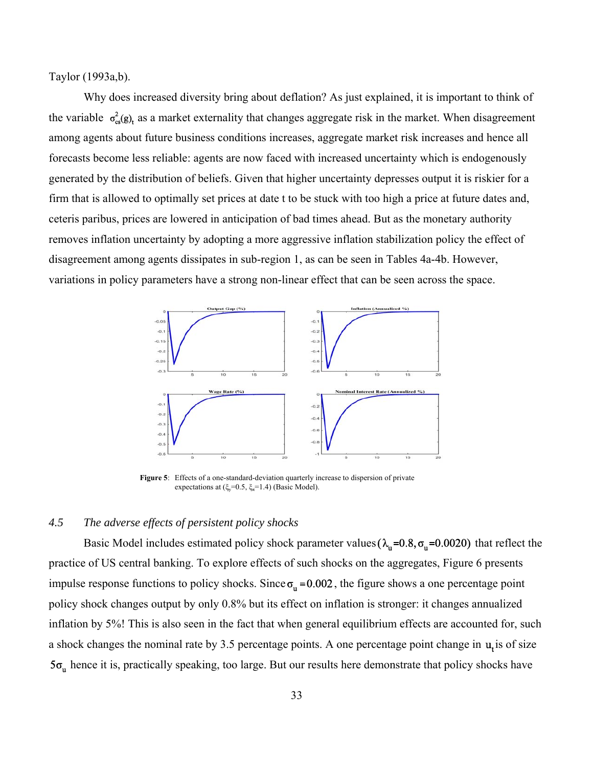Taylor (1993a,b).

Why does increased diversity bring about deflation? As just explained, it is important to think of the variable  $\sigma_{\alpha}^{2}(g)$ , as a market externality that changes aggregate risk in the market. When disagreement among agents about future business conditions increases, aggregate market risk increases and hence all forecasts become less reliable: agents are now faced with increased uncertainty which is endogenously generated by the distribution of beliefs. Given that higher uncertainty depresses output it is riskier for a firm that is allowed to optimally set prices at date t to be stuck with too high a price at future dates and, ceteris paribus, prices are lowered in anticipation of bad times ahead. But as the monetary authority removes inflation uncertainty by adopting a more aggressive inflation stabilization policy the effect of disagreement among agents dissipates in sub-region 1, as can be seen in Tables 4a-4b. However, variations in policy parameters have a strong non-linear effect that can be seen across the space.



Figure 5: Effects of a one-standard-deviation quarterly increase to dispersion of private expectations at  $(\xi_v=0.5, \xi_{\pi}=1.4)$  (Basic Model).

### *4.5 The adverse effects of persistent policy shocks*

Basic Model includes estimated policy shock parameter values ( $\lambda_n = 0.8$ ,  $\sigma_n = 0.0020$ ) that reflect the practice of US central banking. To explore effects of such shocks on the aggregates, Figure 6 presents impulse response functions to policy shocks. Since  $\sigma_n = 0.002$ , the figure shows a one percentage point policy shock changes output by only 0.8% but its effect on inflation is stronger: it changes annualized inflation by 5%! This is also seen in the fact that when general equilibrium effects are accounted for, such a shock changes the nominal rate by 3.5 percentage points. A one percentage point change in  $\mathbf{u}_i$  is of size  $5\sigma_n$  hence it is, practically speaking, too large. But our results here demonstrate that policy shocks have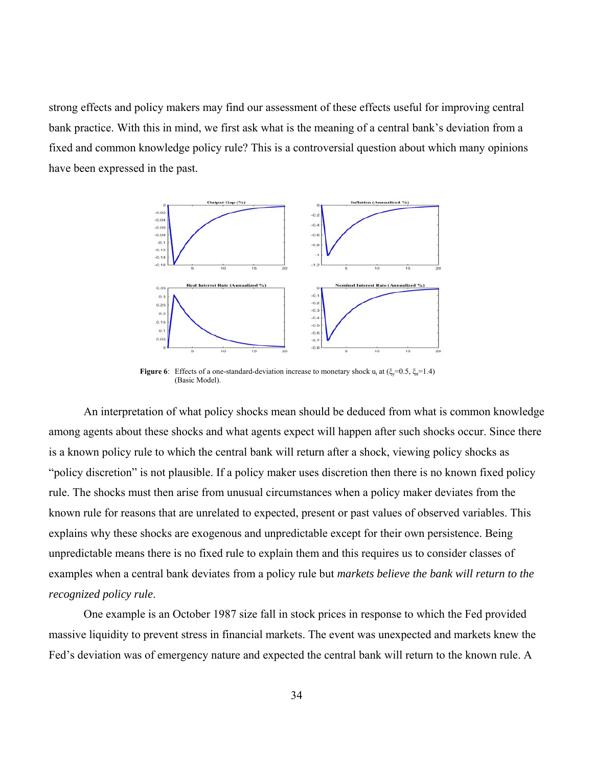strong effects and policy makers may find our assessment of these effects useful for improving central bank practice. With this in mind, we first ask what is the meaning of a central bank's deviation from a fixed and common knowledge policy rule? This is a controversial question about which many opinions have been expressed in the past.



**Figure 6**: Effects of a one-standard-deviation increase to monetary shock  $u_t$  at  $(\xi_y=0.5, \xi_\pi=1.4)$ (Basic Model).

An interpretation of what policy shocks mean should be deduced from what is common knowledge among agents about these shocks and what agents expect will happen after such shocks occur. Since there is a known policy rule to which the central bank will return after a shock, viewing policy shocks as "policy discretion" is not plausible. If a policy maker uses discretion then there is no known fixed policy rule. The shocks must then arise from unusual circumstances when a policy maker deviates from the known rule for reasons that are unrelated to expected, present or past values of observed variables. This explains why these shocks are exogenous and unpredictable except for their own persistence. Being unpredictable means there is no fixed rule to explain them and this requires us to consider classes of examples when a central bank deviates from a policy rule but *markets believe the bank will return to the recognized policy rule*.

One example is an October 1987 size fall in stock prices in response to which the Fed provided massive liquidity to prevent stress in financial markets. The event was unexpected and markets knew the Fed's deviation was of emergency nature and expected the central bank will return to the known rule. A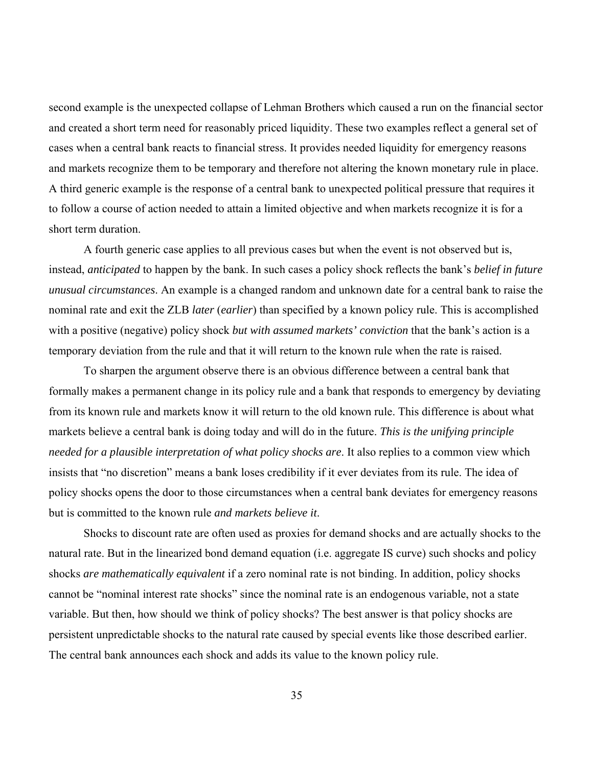second example is the unexpected collapse of Lehman Brothers which caused a run on the financial sector and created a short term need for reasonably priced liquidity. These two examples reflect a general set of cases when a central bank reacts to financial stress. It provides needed liquidity for emergency reasons and markets recognize them to be temporary and therefore not altering the known monetary rule in place. A third generic example is the response of a central bank to unexpected political pressure that requires it to follow a course of action needed to attain a limited objective and when markets recognize it is for a short term duration.

A fourth generic case applies to all previous cases but when the event is not observed but is, instead, *anticipated* to happen by the bank. In such cases a policy shock reflects the bank's *belief in future unusual circumstances*. An example is a changed random and unknown date for a central bank to raise the nominal rate and exit the ZLB *later* (*earlier*) than specified by a known policy rule. This is accomplished with a positive (negative) policy shock *but with assumed markets' conviction* that the bank's action is a temporary deviation from the rule and that it will return to the known rule when the rate is raised.

To sharpen the argument observe there is an obvious difference between a central bank that formally makes a permanent change in its policy rule and a bank that responds to emergency by deviating from its known rule and markets know it will return to the old known rule. This difference is about what markets believe a central bank is doing today and will do in the future. *This is the unifying principle needed for a plausible interpretation of what policy shocks are*. It also replies to a common view which insists that "no discretion" means a bank loses credibility if it ever deviates from its rule. The idea of policy shocks opens the door to those circumstances when a central bank deviates for emergency reasons but is committed to the known rule *and markets believe it*.

Shocks to discount rate are often used as proxies for demand shocks and are actually shocks to the natural rate. But in the linearized bond demand equation (i.e. aggregate IS curve) such shocks and policy shocks *are mathematically equivalent* if a zero nominal rate is not binding. In addition, policy shocks cannot be "nominal interest rate shocks" since the nominal rate is an endogenous variable, not a state variable. But then, how should we think of policy shocks? The best answer is that policy shocks are persistent unpredictable shocks to the natural rate caused by special events like those described earlier. The central bank announces each shock and adds its value to the known policy rule.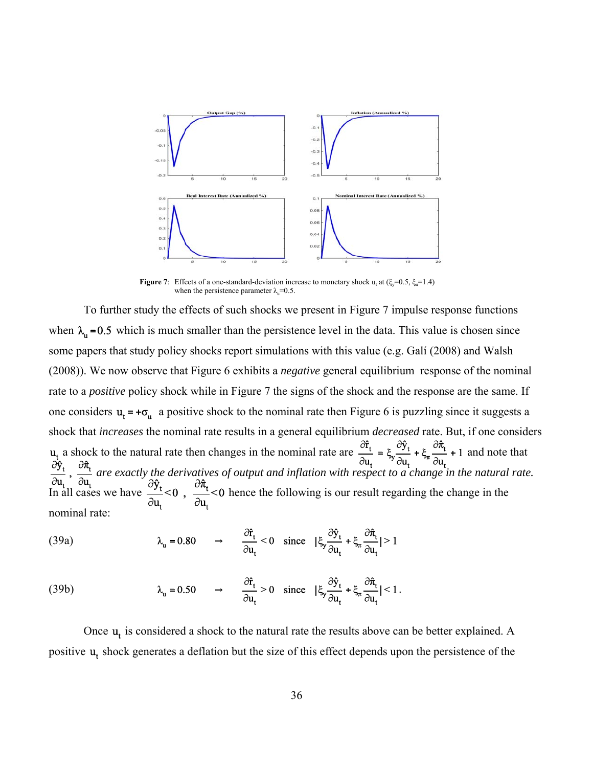

**Figure 7**: Effects of a one-standard-deviation increase to monetary shock  $u_t$  at  $(\xi_y=0.5, \xi_\pi=1.4)$ when the persistence parameter  $\lambda$ <sub>u</sub>=0.5.

To further study the effects of such shocks we present in Figure 7 impulse response functions when  $\lambda_n = 0.5$  which is much smaller than the persistence level in the data. This value is chosen since some papers that study policy shocks report simulations with this value (e.g. Galí (2008) and Walsh (2008)). We now observe that Figure 6 exhibits a *negative* general equilibrium response of the nominal rate to a *positive* policy shock while in Figure 7 the signs of the shock and the response are the same. If one considers  $\mathbf{u}_t = +\boldsymbol{\sigma}_{\mathbf{u}}$  a positive shock to the nominal rate then Figure 6 is puzzling since it suggests a shock that *increases* the nominal rate results in a general equilibrium *decreased* rate. But, if one considers a shock to the natural rate then changes in the nominal rate are  $\frac{dt}{dt} = \xi \frac{dt}{dt} + \xi \frac{dt}{dt} + 1$  and note that *are exactly the derivatives of output and inflation with respect to a change in the natural rate.* In all cases we have  $\frac{1}{2}$  <0,  $\frac{1}{2}$  <0 hence the following is our result regarding the change in the nominal rate:

(39a) 
$$
\lambda_{u} = 0.80 \Rightarrow \frac{\partial f_{t}}{\partial u_{t}} < 0 \text{ since } |\xi_{y} \frac{\partial \hat{y}_{t}}{\partial u_{t}} + \xi_{u} \frac{\partial \hat{\pi}_{t}}{\partial u_{t}}| > 1
$$

(39b) 
$$
\lambda_{u} = 0.50 \qquad \Rightarrow \qquad \frac{\partial \hat{r}_{t}}{\partial u_{t}} > 0 \quad \text{since} \quad |\xi_{y} \frac{\partial \hat{y}_{t}}{\partial u_{t}} + \xi_{\pi} \frac{\partial \hat{r}_{t}}{\partial u_{t}}| < 1.
$$

Once  $\mathbf{u}_t$  is considered a shock to the natural rate the results above can be better explained. A positive  $\mathbf{u}_t$  shock generates a deflation but the size of this effect depends upon the persistence of the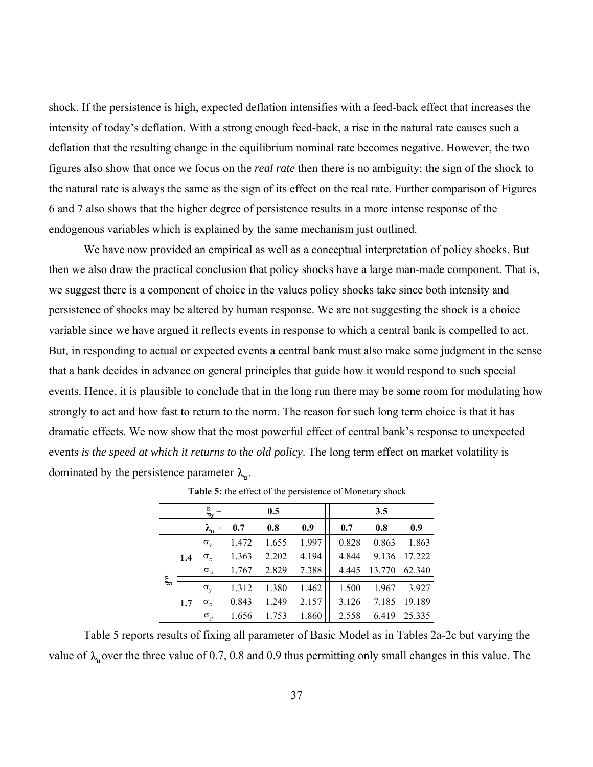shock. If the persistence is high, expected deflation intensifies with a feed-back effect that increases the intensity of today's deflation. With a strong enough feed-back, a rise in the natural rate causes such a deflation that the resulting change in the equilibrium nominal rate becomes negative. However, the two figures also show that once we focus on the *real rate* then there is no ambiguity: the sign of the shock to the natural rate is always the same as the sign of its effect on the real rate. Further comparison of Figures 6 and 7 also shows that the higher degree of persistence results in a more intense response of the endogenous variables which is explained by the same mechanism just outlined.

We have now provided an empirical as well as a conceptual interpretation of policy shocks. But then we also draw the practical conclusion that policy shocks have a large man-made component. That is, we suggest there is a component of choice in the values policy shocks take since both intensity and persistence of shocks may be altered by human response. We are not suggesting the shock is a choice variable since we have argued it reflects events in response to which a central bank is compelled to act. But, in responding to actual or expected events a central bank must also make some judgment in the sense that a bank decides in advance on general principles that guide how it would respond to such special events. Hence, it is plausible to conclude that in the long run there may be some room for modulating how strongly to act and how fast to return to the norm. The reason for such long term choice is that it has dramatic effects. We now show that the most powerful effect of central bank's response to unexpected events *is the speed at which it returns to the old policy*. The long term effect on market volatility is dominated by the persistence parameter  $\lambda_{\rm n}$ .

|             |     | $\rightarrow$                 | 0.5   |       |       |  | 3.5   |        |        |  |  |  |
|-------------|-----|-------------------------------|-------|-------|-------|--|-------|--------|--------|--|--|--|
|             |     | $\lambda_{\rm u} \rightarrow$ | 0.7   | 0.8   | 0.9   |  | 0.7   | 0.8    | 0.9    |  |  |  |
|             |     | $\sigma_{\hat{v}}$            | 1.472 | 1.655 | 1.997 |  | 0.828 | 0.863  | 1.863  |  |  |  |
|             | 1.4 | $\sigma_{\pi}$                | 1.363 | 2.202 | 4.194 |  | 4.844 | 9.136  | 17.222 |  |  |  |
|             |     | $\sigma_{\hat{c}^j}$          | 1.767 | 2.829 | 7.388 |  | 4.445 | 13.770 | 62.340 |  |  |  |
| $\xi_{\pi}$ |     | $\sigma_{\hat{v}}$            | 1.312 | 1.380 | 1.462 |  | 1.500 | 1.967  | 3.927  |  |  |  |
|             | 1.7 | $\sigma_{\pi}$                | 0.843 | 1.249 | 2.157 |  | 3.126 | 7.185  | 19.189 |  |  |  |
|             |     | $\sigma_{\hat{c}^j}$          | 1.656 | 1.753 | 1.860 |  | 2.558 | 6.419  | 25.335 |  |  |  |

**Table 5:** the effect of the persistence of Monetary shock

Table 5 reports results of fixing all parameter of Basic Model as in Tables 2a-2c but varying the value of  $\lambda_n$  over the three value of 0.7, 0.8 and 0.9 thus permitting only small changes in this value. The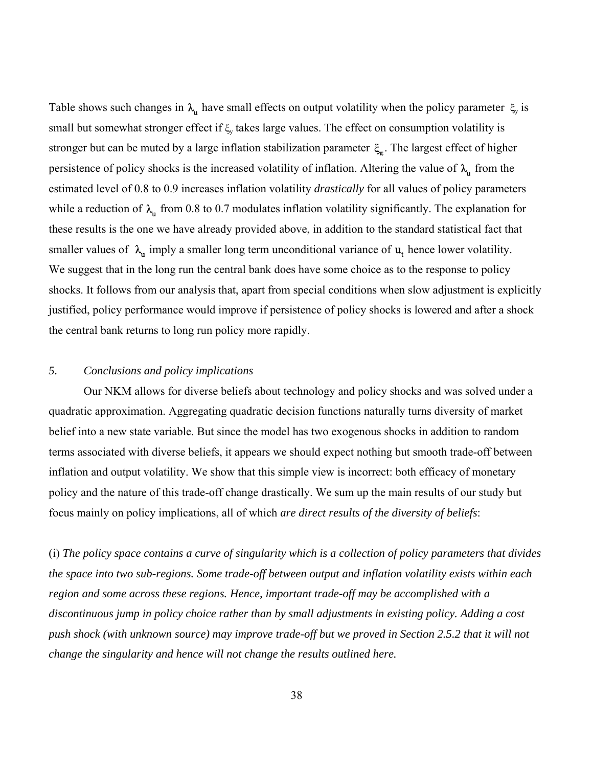Table shows such changes in  $\lambda_u$  have small effects on output volatility when the policy parameter  $\xi_y$  is small but somewhat stronger effect if  $\xi$ , takes large values. The effect on consumption volatility is stronger but can be muted by a large inflation stabilization parameter  $\xi$ <sub>*n*</sub>. The largest effect of higher persistence of policy shocks is the increased volatility of inflation. Altering the value of  $\lambda_u$  from the estimated level of 0.8 to 0.9 increases inflation volatility *drastically* for all values of policy parameters while a reduction of  $\lambda$ <sup>t</sup> from 0.8 to 0.7 modulates inflation volatility significantly. The explanation for these results is the one we have already provided above, in addition to the standard statistical fact that smaller values of  $\lambda_{\mu}$  imply a smaller long term unconditional variance of  $\mu_{\mu}$  hence lower volatility. We suggest that in the long run the central bank does have some choice as to the response to policy shocks. It follows from our analysis that, apart from special conditions when slow adjustment is explicitly justified, policy performance would improve if persistence of policy shocks is lowered and after a shock the central bank returns to long run policy more rapidly.

## *5. Conclusions and policy implications*

Our NKM allows for diverse beliefs about technology and policy shocks and was solved under a quadratic approximation. Aggregating quadratic decision functions naturally turns diversity of market belief into a new state variable. But since the model has two exogenous shocks in addition to random terms associated with diverse beliefs, it appears we should expect nothing but smooth trade-off between inflation and output volatility. We show that this simple view is incorrect: both efficacy of monetary policy and the nature of this trade-off change drastically. We sum up the main results of our study but focus mainly on policy implications, all of which *are direct results of the diversity of beliefs*:

(i) *The policy space contains a curve of singularity which is a collection of policy parameters that divides the space into two sub-regions. Some trade-off between output and inflation volatility exists within each region and some across these regions. Hence, important trade-off may be accomplished with a discontinuous jump in policy choice rather than by small adjustments in existing policy. Adding a cost push shock (with unknown source) may improve trade-off but we proved in Section 2.5.2 that it will not change the singularity and hence will not change the results outlined here.*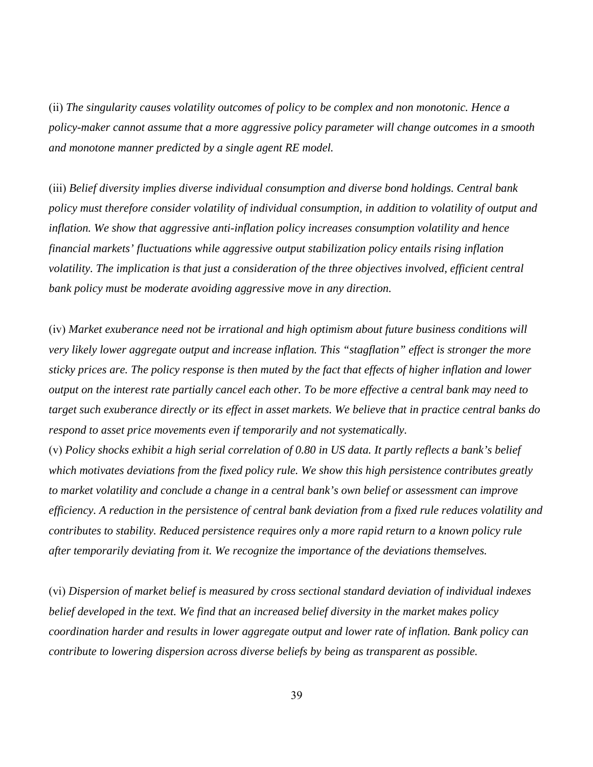(ii) *The singularity causes volatility outcomes of policy to be complex and non monotonic. Hence a policy-maker cannot assume that a more aggressive policy parameter will change outcomes in a smooth and monotone manner predicted by a single agent RE model.*

(iii) *Belief diversity implies diverse individual consumption and diverse bond holdings. Central bank policy must therefore consider volatility of individual consumption, in addition to volatility of output and inflation. We show that aggressive anti-inflation policy increases consumption volatility and hence financial markets' fluctuations while aggressive output stabilization policy entails rising inflation volatility. The implication is that just a consideration of the three objectives involved, efficient central bank policy must be moderate avoiding aggressive move in any direction.* 

(iv) *Market exuberance need not be irrational and high optimism about future business conditions will very likely lower aggregate output and increase inflation. This "stagflation" effect is stronger the more sticky prices are. The policy response is then muted by the fact that effects of higher inflation and lower output on the interest rate partially cancel each other. To be more effective a central bank may need to target such exuberance directly or its effect in asset markets. We believe that in practice central banks do respond to asset price movements even if temporarily and not systematically.* 

(v) *Policy shocks exhibit a high serial correlation of 0.80 in US data. It partly reflects a bank's belief which motivates deviations from the fixed policy rule. We show this high persistence contributes greatly to market volatility and conclude a change in a central bank's own belief or assessment can improve efficiency. A reduction in the persistence of central bank deviation from a fixed rule reduces volatility and contributes to stability. Reduced persistence requires only a more rapid return to a known policy rule after temporarily deviating from it. We recognize the importance of the deviations themselves.* 

(vi) *Dispersion of market belief is measured by cross sectional standard deviation of individual indexes belief developed in the text. We find that an increased belief diversity in the market makes policy coordination harder and results in lower aggregate output and lower rate of inflation. Bank policy can contribute to lowering dispersion across diverse beliefs by being as transparent as possible.*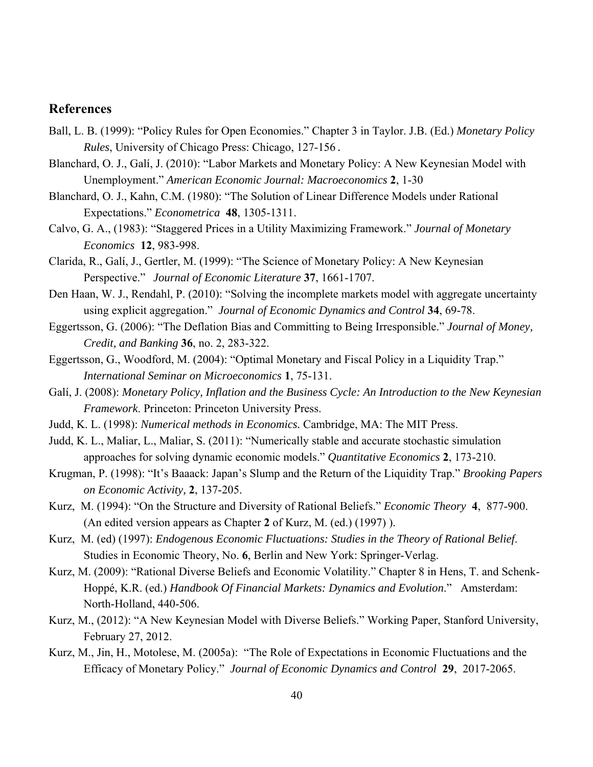## **References**

- Ball, L. B. (1999): "Policy Rules for Open Economies." Chapter 3 in Taylor. J.B. (Ed.) *Monetary Policy Rules*, University of Chicago Press: Chicago, 127-156.
- Blanchard, O. J., Galí, J. (2010): "Labor Markets and Monetary Policy: A New Keynesian Model with Unemployment." *American Economic Journal: Macroeconomics* **2**, 1-30
- Blanchard, O. J., Kahn, C.M. (1980): "The Solution of Linear Difference Models under Rational Expectations." *Econometrica* **48**, 1305-1311.
- Calvo, G. A., (1983): "Staggered Prices in a Utility Maximizing Framework." *Journal of Monetary Economics* **12**, 983-998.
- Clarida, R., Galí, J., Gertler, M. (1999): "The Science of Monetary Policy: A New Keynesian Perspective." *Journal of Economic Literature* **37**, 1661-1707.
- Den Haan, W. J., Rendahl, P. (2010): "Solving the incomplete markets model with aggregate uncertainty using explicit aggregation." *Journal of Economic Dynamics and Control* **34**, 69-78.
- Eggertsson, G. (2006): "The Deflation Bias and Committing to Being Irresponsible." *Journal of Money, Credit, and Banking* **36**, no. 2, 283-322.
- Eggertsson, G., Woodford, M. (2004): "Optimal Monetary and Fiscal Policy in a Liquidity Trap." *International Seminar on Microeconomics* **1**, 75-131.
- Galí, J. (2008): *Monetary Policy, Inflation and the Business Cycle: An Introduction to the New Keynesian Framework*. Princeton: Princeton University Press.
- Judd, K. L. (1998): *Numerical methods in Economics.* Cambridge, MA: The MIT Press.
- Judd, K. L., Maliar, L., Maliar, S. (2011): "Numerically stable and accurate stochastic simulation approaches for solving dynamic economic models." *Quantitative Economics* **2**, 173-210.
- Krugman, P. (1998): "It's Baaack: Japan's Slump and the Return of the Liquidity Trap." *Brooking Papers on Economic Activity,* **2**, 137-205.
- Kurz, M. (1994): "On the Structure and Diversity of Rational Beliefs." *Economic Theory* **4**, 877-900. (An edited version appears as Chapter **2** of Kurz, M. (ed.) (1997) ).
- Kurz, M. (ed) (1997): *Endogenous Economic Fluctuations: Studies in the Theory of Rational Belief*. Studies in Economic Theory, No. **6**, Berlin and New York: Springer-Verlag.
- Kurz, M. (2009): "Rational Diverse Beliefs and Economic Volatility." Chapter 8 in Hens, T. and Schenk-Hoppé, K.R. (ed.) *Handbook Of Financial Markets: Dynamics and Evolution*." Amsterdam: North-Holland, 440-506.
- Kurz, M., (2012): "A New Keynesian Model with Diverse Beliefs." Working Paper, Stanford University, February 27, 2012.
- Kurz, M., Jin, H., Motolese, M. (2005a): "The Role of Expectations in Economic Fluctuations and the Efficacy of Monetary Policy." *Journal of Economic Dynamics and Control* **29**, 2017-2065.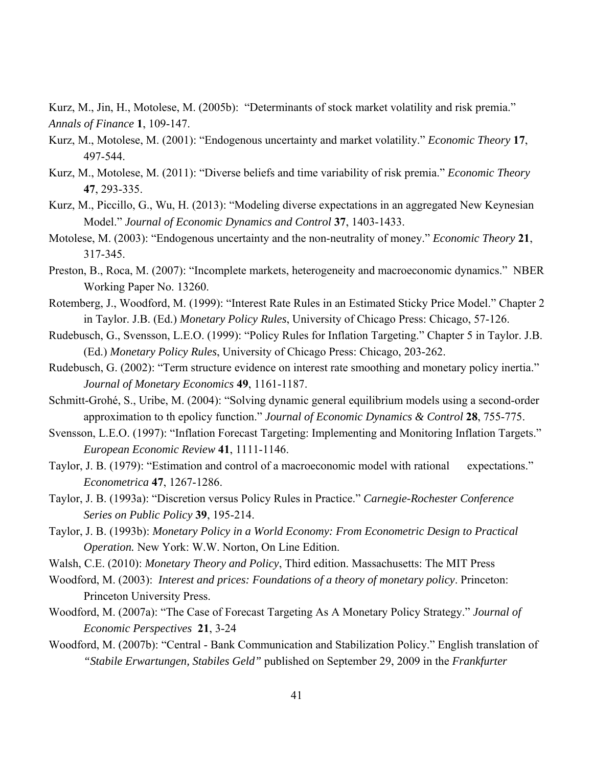Kurz, M., Jin, H., Motolese, M. (2005b): "Determinants of stock market volatility and risk premia." *Annals of Finance* **1**, 109-147.

- Kurz, M., Motolese, M. (2001): "Endogenous uncertainty and market volatility." *Economic Theory* **17**, 497-544.
- Kurz, M., Motolese, M. (2011): "Diverse beliefs and time variability of risk premia." *Economic Theory* **47**, 293-335.
- Kurz, M., Piccillo, G., Wu, H. (2013): "Modeling diverse expectations in an aggregated New Keynesian Model." *Journal of Economic Dynamics and Control* **37**, 1403-1433.
- Motolese, M. (2003): "Endogenous uncertainty and the non-neutrality of money." *Economic Theory* **21**, 317-345.
- Preston, B., Roca, M. (2007): "Incomplete markets, heterogeneity and macroeconomic dynamics." NBER Working Paper No. 13260.
- Rotemberg, J., Woodford, M. (1999): "Interest Rate Rules in an Estimated Sticky Price Model." Chapter 2 in Taylor. J.B. (Ed.) *Monetary Policy Rules*, University of Chicago Press: Chicago, 57-126.
- Rudebusch, G., Svensson, L.E.O. (1999): "Policy Rules for Inflation Targeting." Chapter 5 in Taylor. J.B. (Ed.) *Monetary Policy Rules*, University of Chicago Press: Chicago, 203-262.
- Rudebusch, G. (2002): "Term structure evidence on interest rate smoothing and monetary policy inertia." *Journal of Monetary Economics* **49**, 1161-1187.
- Schmitt-Grohé, S., Uribe, M. (2004): "Solving dynamic general equilibrium models using a second-order approximation to th epolicy function." *Journal of Economic Dynamics & Control* **28**, 755-775.
- Svensson, L.E.O. (1997): "Inflation Forecast Targeting: Implementing and Monitoring Inflation Targets." *European Economic Review* **41**, 1111-1146.
- Taylor, J. B. (1979): "Estimation and control of a macroeconomic model with rational expectations." *Econometrica* **47**, 1267-1286.
- Taylor, J. B. (1993a): "Discretion versus Policy Rules in Practice." *Carnegie-Rochester Conference Series on Public Policy* **39**, 195-214.
- Taylor, J. B. (1993b): *Monetary Policy in a World Economy: From Econometric Design to Practical Operation.* New York: W.W. Norton, On Line Edition.
- Walsh, C.E. (2010): *Monetary Theory and Policy*, Third edition. Massachusetts: The MIT Press
- Woodford, M. (2003): *Interest and prices: Foundations of a theory of monetary policy*. Princeton: Princeton University Press.
- Woodford, M. (2007a): "The Case of Forecast Targeting As A Monetary Policy Strategy." *Journal of Economic Perspectives* **21**, 3-24
- Woodford, M. (2007b): "Central Bank Communication and Stabilization Policy." English translation of *"Stabile Erwartungen, Stabiles Geld"* published on September 29, 2009 in the *Frankfurter*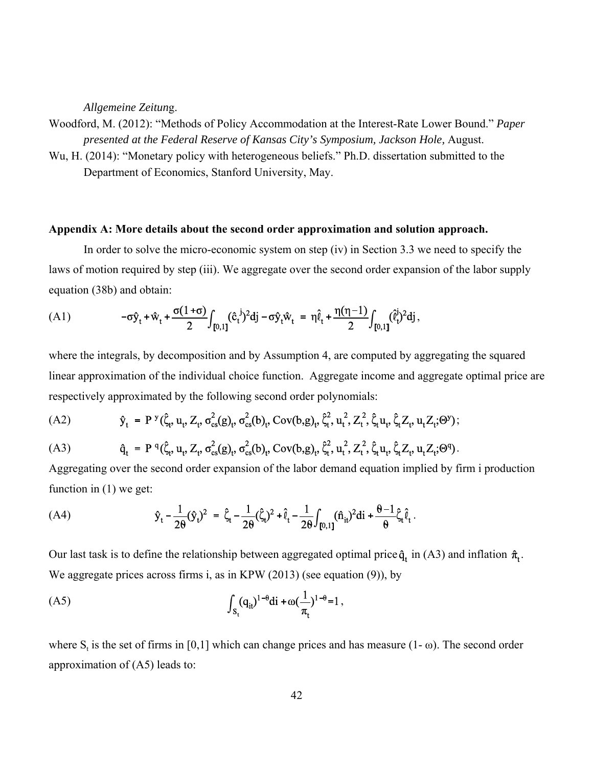*Allgemeine Zeitun*g.

Woodford, M. (2012): "Methods of Policy Accommodation at the Interest-Rate Lower Bound." *Paper presented at the Federal Reserve of Kansas City's Symposium, Jackson Hole,* August.

Wu, H. (2014): "Monetary policy with heterogeneous beliefs." Ph.D. dissertation submitted to the Department of Economics, Stanford University, May.

#### **Appendix A: More details about the second order approximation and solution approach.**

In order to solve the micro-economic system on step (iv) in Section 3.3 we need to specify the laws of motion required by step (iii). We aggregate over the second order expansion of the labor supply equation (38b) and obtain:

(A1) 
$$
-\sigma \hat{y}_t + \hat{w}_t + \frac{\sigma (1+\sigma)}{2} \int_{[0,1]} (\hat{c}_t^{\ j})^2 dj - \sigma \hat{y}_t \hat{w}_t = \eta \hat{\ell}_t + \frac{\eta(\eta-1)}{2} \int_{[0,1]} (\hat{\ell}_t^{\ j})^2 dj,
$$

where the integrals, by decomposition and by Assumption 4, are computed by aggregating the squared linear approximation of the individual choice function. Aggregate income and aggregate optimal price are respectively approximated by the following second order polynomials:

(A2) 
$$
\hat{y}_t = P^{y}(\hat{\zeta}_t, u_t, Z_t, \sigma_{cs}^{2}(g)_t, \sigma_{cs}^{2}(b)_t, Cov(b,g)_t, \hat{\zeta}_t^{2}, u_t^{2}, Z_t^{2}, \hat{\zeta}_t u_t, \hat{\zeta}_t Z_t, u_t Z_t; \Theta^{y});
$$

(A3) 
$$
\hat{q}_t = P^q(\hat{\zeta}_t, u_t, Z_t, \sigma_{cs}^2(g)_t, \sigma_{cs}^2(b)_t, Cov(b,g)_t, \hat{\zeta}_t^2, u_t^2, Z_t^2, \hat{\zeta}_t u_t, \hat{\zeta}_t Z_t, u_t Z_t; \Theta^q).
$$

Aggregating over the second order expansion of the labor demand equation implied by firm i production function in (1) we get:

(A4) 
$$
\hat{y}_t - \frac{1}{2\theta} (\hat{y}_t)^2 = \hat{\zeta}_t - \frac{1}{2\theta} (\hat{\zeta}_t)^2 + \hat{\ell}_t - \frac{1}{2\theta} \int_{[0,1]} (\hat{n}_{it})^2 dt + \frac{\theta - 1}{\theta} \hat{\zeta}_t \hat{\ell}_t.
$$

Our last task is to define the relationship between aggregated optimal price  $\hat{q}_t$  in (A3) and inflation  $\hat{\pi}_t$ . We aggregate prices across firms i, as in KPW (2013) (see equation (9)), by

(A5) 
$$
\int_{S_t} (q_{it})^{1-\theta} di + \omega (\frac{1}{\pi_t})^{1-\theta} = 1,
$$

where  $S_t$  is the set of firms in [0,1] which can change prices and has measure (1- $\omega$ ). The second order approximation of (A5) leads to: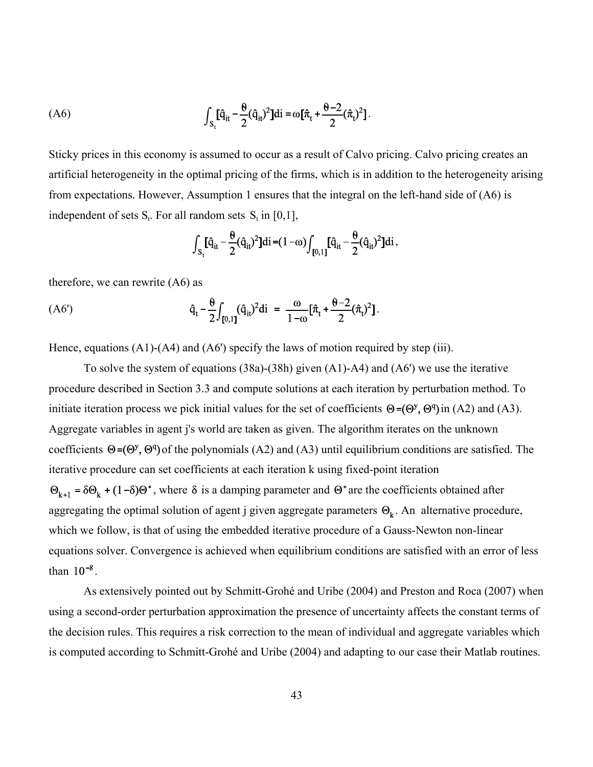(A6) 
$$
\int_{S_t} [\hat{q}_{it} - \frac{\theta}{2} (\hat{q}_{it})^2] di = \omega [\hat{\pi}_t + \frac{\theta - 2}{2} (\hat{\pi}_t)^2].
$$

Sticky prices in this economy is assumed to occur as a result of Calvo pricing. Calvo pricing creates an artificial heterogeneity in the optimal pricing of the firms, which is in addition to the heterogeneity arising from expectations. However, Assumption 1 ensures that the integral on the left-hand side of (A6) is independent of sets  $S_t$ . For all random sets  $S_t$  in [0,1],

$$
\int_{S_t} [\hat{q}_{it} - \frac{\theta}{2} (\hat{q}_{it})^2] di = (1 - \omega) \int_{[0,1]} [\hat{q}_{it} - \frac{\theta}{2} (\hat{q}_{it})^2] di,
$$

therefore, we can rewrite (A6) as

(A6') 
$$
\hat{q}_t - \frac{\theta}{2} \int_{[0,1]} (\hat{q}_{it})^2 di = \frac{\omega}{1-\omega} [\hat{\pi}_t + \frac{\theta - 2}{2} (\hat{\pi}_t)^2].
$$

Hence, equations (A1)-(A4) and (A6') specify the laws of motion required by step (iii).

To solve the system of equations (38a)-(38h) given (A1)-A4) and (A6') we use the iterative procedure described in Section 3.3 and compute solutions at each iteration by perturbation method. To initiate iteration process we pick initial values for the set of coefficients  $\Theta = (\Theta^y, \Theta^q)$  in (A2) and (A3). Aggregate variables in agent j's world are taken as given. The algorithm iterates on the unknown coefficients  $\Theta = (\Theta^y, \Theta^q)$  of the polynomials (A2) and (A3) until equilibrium conditions are satisfied. The iterative procedure can set coefficients at each iteration k using fixed-point iteration

 $\Theta_{k+1} = \delta \Theta_k + (1-\delta) \Theta^*$ , where  $\delta$  is a damping parameter and  $\Theta^*$  are the coefficients obtained after aggregating the optimal solution of agent j given aggregate parameters  $\Theta_k$ . An alternative procedure, which we follow, is that of using the embedded iterative procedure of a Gauss-Newton non-linear equations solver. Convergence is achieved when equilibrium conditions are satisfied with an error of less than  $10^{-8}$ .

As extensively pointed out by Schmitt-Grohé and Uribe (2004) and Preston and Roca (2007) when using a second-order perturbation approximation the presence of uncertainty affects the constant terms of the decision rules. This requires a risk correction to the mean of individual and aggregate variables which is computed according to Schmitt-Grohé and Uribe (2004) and adapting to our case their Matlab routines.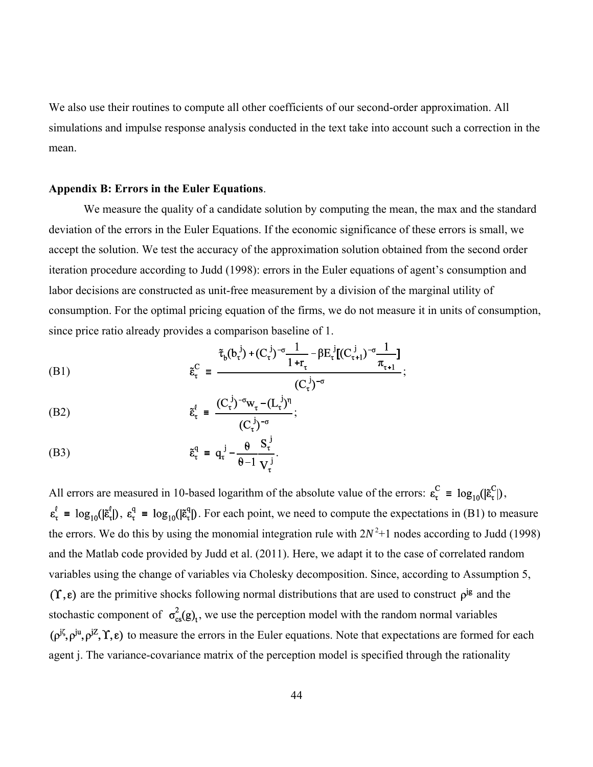We also use their routines to compute all other coefficients of our second-order approximation. All simulations and impulse response analysis conducted in the text take into account such a correction in the mean.

#### **Appendix B: Errors in the Euler Equations**.

We measure the quality of a candidate solution by computing the mean, the max and the standard deviation of the errors in the Euler Equations. If the economic significance of these errors is small, we accept the solution. We test the accuracy of the approximation solution obtained from the second order iteration procedure according to Judd (1998): errors in the Euler equations of agent's consumption and labor decisions are constructed as unit-free measurement by a division of the marginal utility of consumption. For the optimal pricing equation of the firms, we do not measure it in units of consumption, since price ratio already provides a comparison baseline of 1.

(B1) 
$$
\tilde{\epsilon}_{\tau}^{C} = \frac{\tilde{\tau}_{b}(b_{\tau}^{j}) + (C_{\tau}^{j})^{-\sigma} \frac{1}{1+r_{\tau}} - \beta E_{\tau}^{j} [(C_{\tau+1}^{j})^{-\sigma} \frac{1}{\pi_{\tau+1}}]}{(C_{\tau}^{j})^{-\sigma}};
$$

(B2) 
$$
\tilde{\epsilon}_{\tau}^{\ell} = \frac{(C_{\tau}^{j})^{-\sigma} w_{\tau} - (L_{\tau}^{j})^{n}}{(C_{\tau}^{j})^{-\sigma}};
$$

(B3) 
$$
\tilde{\epsilon}_{\tau}^{q} = q_{\tau}^{j} - \frac{\theta}{\theta - 1} \frac{S_{\tau}^{j}}{V_{\tau}^{j}}.
$$

All errors are measured in 10-based logarithm of the absolute value of the errors:  $\varepsilon_{\tau}^C = \log_{10}(\varepsilon_{\tau}^C)$ ,  $\varepsilon_{\tau}^{\ell} = \log_{10}(|\tilde{\varepsilon}_{\tau}^{\ell}|)$ ,  $\varepsilon_{\tau}^{\mathsf{q}} = \log_{10}(|\tilde{\varepsilon}_{\tau}^{\mathsf{q}}|)$ . For each point, we need to compute the expectations in (B1) to measure the errors. We do this by using the monomial integration rule with  $2N^2+1$  nodes according to Judd (1998) and the Matlab code provided by Judd et al. (2011). Here, we adapt it to the case of correlated random variables using the change of variables via Cholesky decomposition. Since, according to Assumption 5,  $(\Upsilon, \varepsilon)$  are the primitive shocks following normal distributions that are used to construct  $\rho^{j\varepsilon}$  and the stochastic component of  $\sigma_{cs}^2(g)$ , we use the perception model with the random normal variables  $(\rho^{j\zeta}, \rho^{ju}, \rho^{jZ}, \Upsilon, \varepsilon)$  to measure the errors in the Euler equations. Note that expectations are formed for each agent j. The variance-covariance matrix of the perception model is specified through the rationality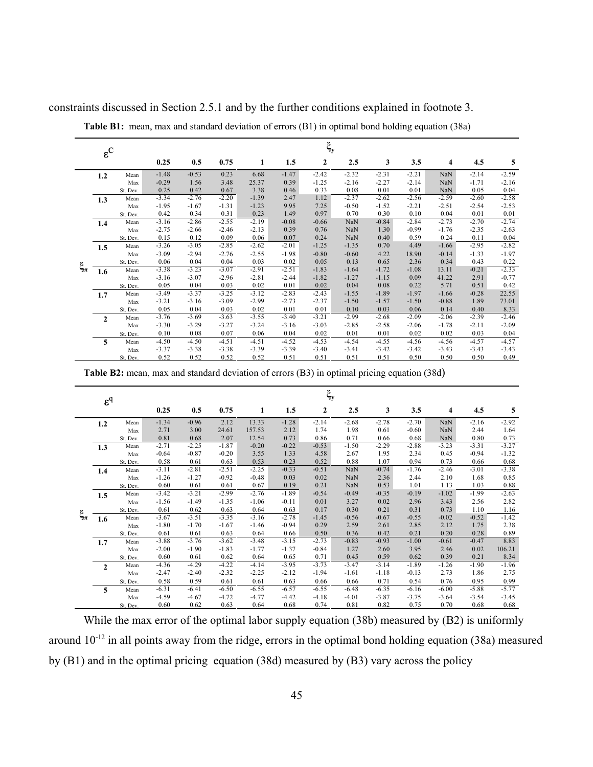|             | $\varepsilon^C$ |          |         |         |         |         |         | $\xi_{\rm y}$  |         |         |         |            |         |         |
|-------------|-----------------|----------|---------|---------|---------|---------|---------|----------------|---------|---------|---------|------------|---------|---------|
|             |                 |          | 0.25    | 0.5     | 0.75    | 1       | 1.5     | $\overline{2}$ | 2.5     | 3       | 3.5     | 4          | 4.5     | 5       |
|             | 1.2             | Mean     | $-1.48$ | $-0.53$ | 0.23    | 6.68    | $-1.47$ | $-2.42$        | $-2.32$ | $-2.31$ | $-2.21$ | <b>NaN</b> | $-2.14$ | $-2.59$ |
|             |                 | Max      | $-0.29$ | 1.56    | 3.48    | 25.37   | 0.39    | $-1.25$        | $-2.16$ | $-2.27$ | $-2.14$ | <b>NaN</b> | $-1.71$ | $-2.16$ |
|             |                 | St. Dev. | 0.25    | 0.42    | 0.67    | 3.38    | 0.46    | 0.33           | 0.08    | 0.01    | 0.01    | <b>NaN</b> | 0.05    | 0.04    |
|             | 1.3             | Mean     | $-3.34$ | $-2.76$ | $-2.20$ | $-1.39$ | 2.47    | 1.12           | $-2.37$ | $-2.62$ | $-2.56$ | $-2.59$    | $-2.60$ | $-2.58$ |
|             |                 | Max      | $-1.95$ | $-1.67$ | $-1.31$ | $-1.23$ | 9.95    | 7.25           | $-0.50$ | $-1.52$ | $-2.21$ | $-2.51$    | $-2.54$ | $-2.53$ |
|             |                 | St. Dev. | 0.42    | 0.34    | 0.31    | 0.23    | 1.49    | 0.97           | 0.70    | 0.30    | 0.10    | 0.04       | 0.01    | 0.01    |
|             | 1.4             | Mean     | $-3.16$ | $-2.86$ | $-2.55$ | $-2.19$ | $-0.08$ | $-0.66$        | NaN     | $-0.84$ | $-2.84$ | $-2.73$    | $-2.70$ | $-2.74$ |
|             |                 | Max      | $-2.75$ | $-2.66$ | $-2.46$ | $-2.13$ | 0.39    | 0.76           | NaN     | 1.30    | $-0.99$ | $-1.76$    | $-2.35$ | $-2.63$ |
|             |                 | St. Dev. | 0.15    | 0.12    | 0.09    | 0.06    | 0.07    | 0.24           | NaN     | 0.40    | 0.59    | 0.24       | 0.11    | 0.04    |
|             | 1.5             | Mean     | $-3.26$ | $-3.05$ | $-2.85$ | $-2.62$ | $-2.01$ | $-1.25$        | $-1.35$ | 0.70    | 4.49    | $-1.66$    | $-2.95$ | $-2.82$ |
|             |                 | Max      | $-3.09$ | $-2.94$ | $-2.76$ | $-2.55$ | $-1.98$ | $-0.80$        | $-0.60$ | 4.22    | 18.90   | $-0.14$    | $-1.33$ | $-1.97$ |
|             |                 | St. Dev. | 0.06    | 0.04    | 0.04    | 0.03    | 0.02    | 0.05           | 0.13    | 0.65    | 2.36    | 0.34       | 0.43    | 0.22    |
| $\xi_{\pi}$ | 1.6             | Mean     | $-3.38$ | $-3.23$ | $-3.07$ | $-2.91$ | $-2.51$ | $-1.83$        | $-1.64$ | $-1.72$ | $-1.08$ | 13.11      | $-0.21$ | $-2.33$ |
|             |                 | Max      | $-3.16$ | $-3.07$ | $-2.96$ | $-2.81$ | $-2.44$ | $-1.82$        | $-1.27$ | $-1.15$ | 0.09    | 41.22      | 2.91    | $-0.77$ |
|             |                 | St. Dev. | 0.05    | 0.04    | 0.03    | 0.02    | 0.01    | 0.02           | 0.04    | 0.08    | 0.22    | 5.71       | 0.51    | 0.42    |
|             | 1.7             | Mean     | $-3.49$ | $-3.37$ | $-3.25$ | $-3.12$ | $-2.83$ | $-2.43$        | $-1.55$ | $-1.89$ | $-1.97$ | $-1.66$    | $-0.28$ | 22.55   |
|             |                 | Max      | $-3.21$ | $-3.16$ | $-3.09$ | $-2.99$ | $-2.73$ | $-2.37$        | $-1.50$ | $-1.57$ | $-1.50$ | $-0.88$    | 1.89    | 73.01   |
|             |                 | St. Dev. | 0.05    | 0.04    | 0.03    | 0.02    | 0.01    | 0.01           | 0.10    | 0.03    | 0.06    | 0.14       | 0.40    | 8.33    |
|             | $\overline{2}$  | Mean     | $-3.76$ | $-3.69$ | $-3.63$ | $-3.55$ | $-3.40$ | $-3.21$        | $-2.99$ | $-2.68$ | $-2.09$ | $-2.06$    | $-2.39$ | $-2.46$ |
|             |                 | Max      | $-3.30$ | $-3.29$ | $-3.27$ | $-3.24$ | $-3.16$ | $-3.03$        | $-2.85$ | $-2.58$ | $-2.06$ | $-1.78$    | $-2.11$ | $-2.09$ |
|             |                 | St. Dev. | 0.10    | 0.08    | 0.07    | 0.06    | 0.04    | 0.02           | 0.01    | 0.01    | 0.02    | 0.02       | 0.03    | 0.04    |
|             | $\overline{5}$  | Mean     | $-4.50$ | $-4.50$ | $-4.51$ | $-4.51$ | $-4.52$ | $-4.53$        | $-4.54$ | $-4.55$ | $-4.56$ | $-4.56$    | $-4.57$ | $-4.57$ |
|             |                 | Max      | $-3.37$ | $-3.38$ | $-3.38$ | $-3.39$ | $-3.39$ | $-3.40$        | $-3.41$ | $-3.42$ | $-3.42$ | $-3.43$    | $-3.43$ | $-3.43$ |
|             |                 | St. Dev. | 0.52    | 0.52    | 0.52    | 0.52    | 0.51    | 0.51           | 0.51    | 0.51    | 0.50    | 0.50       | 0.50    | 0.49    |

constraints discussed in Section 2.5.1 and by the further conditions explained in footnote 3.

**Table B1:** mean, max and standard deviation of errors (B1) in optimal bond holding equation (38a)

| Table B2: mean, max and standard deviation of errors (B3) in optimal pricing equation (38d) |  |  |  |  |  |  |
|---------------------------------------------------------------------------------------------|--|--|--|--|--|--|
|                                                                                             |  |  |  |  |  |  |

| $\varepsilon^q$                               |                | $\xi_{\rm y}$ |         |         |         |         |         |         |         |         |         |                         |         |         |
|-----------------------------------------------|----------------|---------------|---------|---------|---------|---------|---------|---------|---------|---------|---------|-------------------------|---------|---------|
|                                               |                |               | 0.25    | 0.5     | 0.75    | 1       | 1.5     | 2       | 2.5     | 3       | 3.5     | $\overline{\mathbf{4}}$ | 4.5     | 5       |
| $\mathord{\mathop{\text{--}}\nolimits_{\pi}}$ | 1.2            | Mean          | $-1.34$ | $-0.96$ | 2.12    | 13.33   | $-1.28$ | $-2.14$ | $-2.68$ | $-2.78$ | $-2.70$ | NaN                     | $-2.16$ | $-2.92$ |
|                                               |                | Max           | 2.71    | 3.00    | 24.61   | 157.53  | 2.12    | 1.74    | 1.98    | 0.61    | $-0.60$ | <b>NaN</b>              | 2.44    | 1.64    |
|                                               |                | St. Dev.      | 0.81    | 0.68    | 2.07    | 12.54   | 0.73    | 0.86    | 0.71    | 0.66    | 0.68    | <b>NaN</b>              | 0.80    | 0.73    |
|                                               | 1.3            | Mean          | $-2.71$ | $-2.25$ | $-1.87$ | $-0.20$ | $-0.22$ | $-0.53$ | $-1.50$ | $-2.29$ | $-2.88$ | $-3.23$                 | $-3.31$ | $-3.27$ |
|                                               |                | Max           | $-0.64$ | $-0.87$ | $-0.20$ | 3.55    | 1.33    | 4.58    | 2.67    | 1.95    | 2.34    | 0.45                    | $-0.94$ | $-1.32$ |
|                                               |                | St. Dev.      | 0.58    | 0.61    | 0.63    | 0.53    | 0.23    | 0.52    | 0.88    | 1.07    | 0.94    | 0.73                    | 0.66    | 0.68    |
|                                               | 1.4            | Mean          | $-3.11$ | $-2.81$ | $-2.51$ | $-2.25$ | $-0.33$ | $-0.51$ | NaN     | $-0.74$ | $-1.76$ | $-2.46$                 | $-3.01$ | $-3.38$ |
|                                               |                | Max           | $-1.26$ | $-1.27$ | $-0.92$ | $-0.48$ | 0.03    | 0.02    | NaN     | 2.36    | 2.44    | 2.10                    | 1.68    | 0.85    |
|                                               |                | St. Dev.      | 0.60    | 0.61    | 0.61    | 0.67    | 0.19    | 0.21    | NaN     | 0.53    | 1.01    | 1.13                    | 1.03    | 0.88    |
|                                               | 1.5            | Mean          | $-3.42$ | $-3.21$ | $-2.99$ | $-2.76$ | $-1.89$ | $-0.54$ | $-0.49$ | $-0.35$ | $-0.19$ | $-1.02$                 | $-1.99$ | $-2.63$ |
|                                               |                | Max           | $-1.56$ | $-1.49$ | $-1.35$ | $-1.06$ | $-0.11$ | 0.01    | 3.27    | 0.02    | 2.96    | 3.43                    | 2.56    | 2.82    |
|                                               |                | St. Dev.      | 0.61    | 0.62    | 0.63    | 0.64    | 0.63    | 0.17    | 0.30    | 0.21    | 0.31    | 0.73                    | 1.10    | 1.16    |
|                                               | 1.6            | Mean          | $-3.67$ | $-3.51$ | $-3.35$ | $-3.16$ | $-2.78$ | $-1.45$ | $-0.56$ | $-0.67$ | $-0.55$ | $-0.02$                 | $-0.52$ | $-1.42$ |
|                                               |                | Max           | $-1.80$ | $-1.70$ | $-1.67$ | $-1.46$ | $-0.94$ | 0.29    | 2.59    | 2.61    | 2.85    | 2.12                    | 1.75    | 2.38    |
|                                               |                | St. Dev.      | 0.61    | 0.61    | 0.63    | 0.64    | 0.66    | 0.50    | 0.36    | 0.42    | 0.21    | 0.20                    | 0.28    | 0.89    |
|                                               | 1.7            | Mean          | $-3.88$ | $-3.76$ | $-3.62$ | $-3.48$ | $-3.15$ | $-2.73$ | $-0.83$ | $-0.93$ | $-1.00$ | $-0.61$                 | $-0.47$ | 8.83    |
|                                               |                | Max           | $-2.00$ | $-1.90$ | $-1.83$ | $-1.77$ | $-1.37$ | $-0.84$ | 1.27    | 2.60    | 3.95    | 2.46                    | 0.02    | 106.21  |
|                                               |                | St. Dev.      | 0.60    | 0.61    | 0.62    | 0.64    | 0.65    | 0.71    | 0.45    | 0.59    | 0.62    | 0.39                    | 0.21    | 8.34    |
|                                               | $\overline{2}$ | Mean          | $-4.36$ | $-4.29$ | $-4.22$ | $-4.14$ | $-3.95$ | $-3.73$ | $-3.47$ | $-3.14$ | $-1.89$ | $-1.26$                 | $-1.90$ | $-1.96$ |
|                                               |                | Max           | $-2.47$ | $-2.40$ | $-2.32$ | $-2.25$ | $-2.12$ | $-1.94$ | $-1.61$ | $-1.18$ | $-0.13$ | 2.73                    | 1.86    | 2.75    |
|                                               |                | St. Dev.      | 0.58    | 0.59    | 0.61    | 0.61    | 0.63    | 0.66    | 0.66    | 0.71    | 0.54    | 0.76                    | 0.95    | 0.99    |
|                                               | 5              | Mean          | $-6.31$ | $-6.41$ | $-6.50$ | $-6.55$ | $-6.57$ | $-6.55$ | $-6.48$ | $-6.35$ | $-6.16$ | $-6.00$                 | $-5.88$ | $-5.77$ |
|                                               |                | Max           | $-4.59$ | $-4.67$ | $-4.72$ | $-4.77$ | $-4.42$ | $-4.18$ | $-4.01$ | $-3.87$ | $-3.75$ | $-3.64$                 | $-3.54$ | $-3.45$ |
|                                               |                | St. Dev.      | 0.60    | 0.62    | 0.63    | 0.64    | 0.68    | 0.74    | 0.81    | 0.82    | 0.75    | 0.70                    | 0.68    | 0.68    |

While the max error of the optimal labor supply equation (38b) measured by (B2) is uniformly around  $10^{-12}$  in all points away from the ridge, errors in the optimal bond holding equation (38a) measured by (B1) and in the optimal pricing equation (38d) measured by (B3) vary across the policy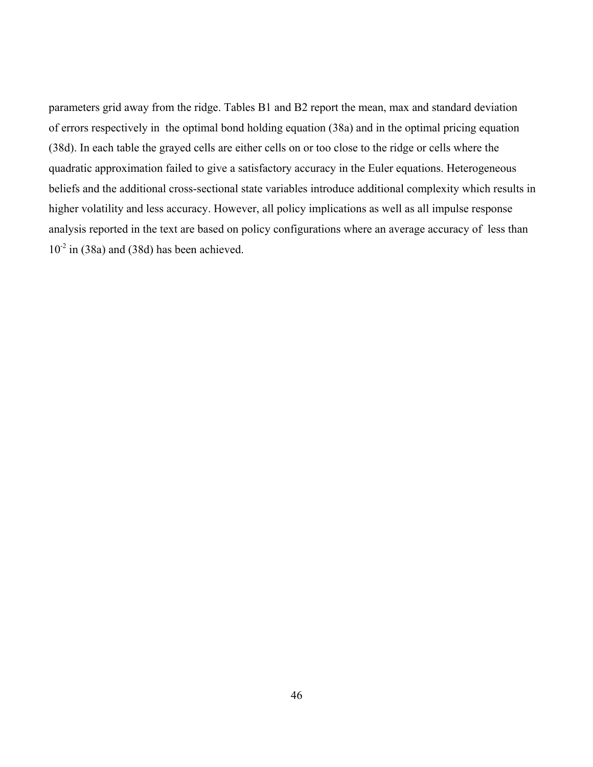parameters grid away from the ridge. Tables B1 and B2 report the mean, max and standard deviation of errors respectively in the optimal bond holding equation (38a) and in the optimal pricing equation (38d). In each table the grayed cells are either cells on or too close to the ridge or cells where the quadratic approximation failed to give a satisfactory accuracy in the Euler equations. Heterogeneous beliefs and the additional cross-sectional state variables introduce additional complexity which results in higher volatility and less accuracy. However, all policy implications as well as all impulse response analysis reported in the text are based on policy configurations where an average accuracy of less than  $10^{-2}$  in (38a) and (38d) has been achieved.